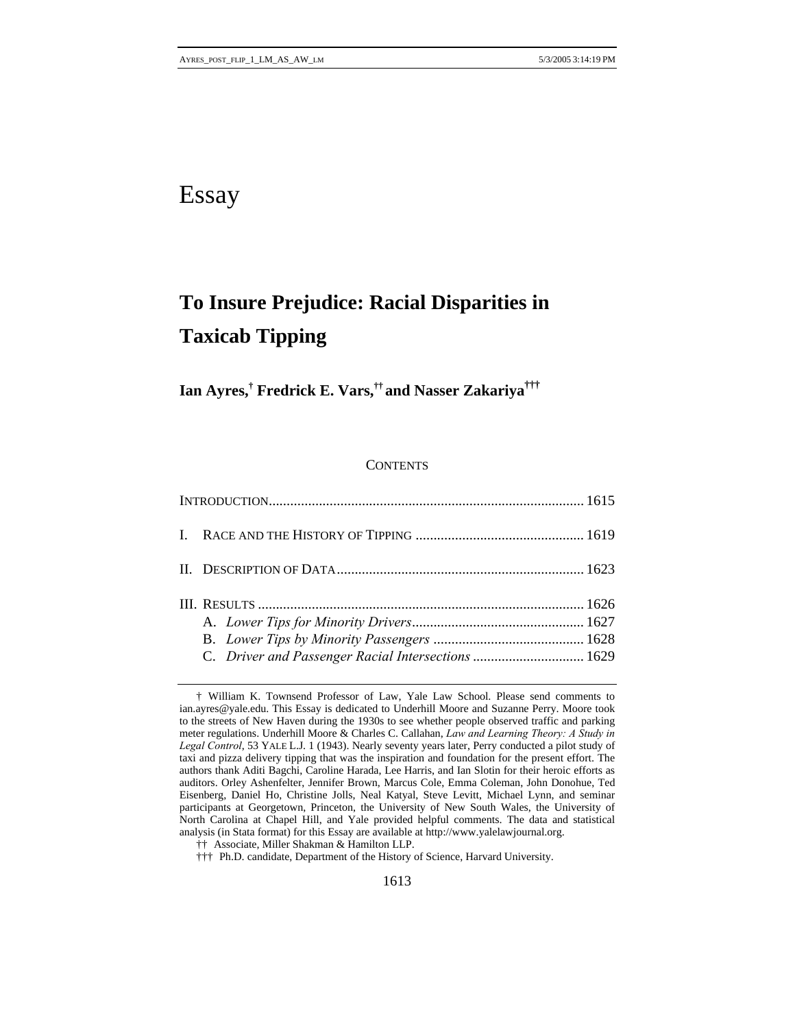# Essay

# **To Insure Prejudice: Racial Disparities in Taxicab Tipping**

**Ian Ayres,† Fredrick E. Vars,†† and Nasser Zakariya†††**

#### **CONTENTS**

| C. Driver and Passenger Racial Intersections  1629 |  |
|----------------------------------------------------|--|

<sup>†</sup> William K. Townsend Professor of Law, Yale Law School. Please send comments to ian.ayres@yale.edu. This Essay is dedicated to Underhill Moore and Suzanne Perry. Moore took to the streets of New Haven during the 1930s to see whether people observed traffic and parking meter regulations. Underhill Moore & Charles C. Callahan, *Law and Learning Theory: A Study in Legal Control*, 53 YALE L.J. 1 (1943). Nearly seventy years later, Perry conducted a pilot study of taxi and pizza delivery tipping that was the inspiration and foundation for the present effort. The authors thank Aditi Bagchi, Caroline Harada, Lee Harris, and Ian Slotin for their heroic efforts as auditors. Orley Ashenfelter, Jennifer Brown, Marcus Cole, Emma Coleman, John Donohue, Ted Eisenberg, Daniel Ho, Christine Jolls, Neal Katyal, Steve Levitt, Michael Lynn, and seminar participants at Georgetown, Princeton, the University of New South Wales, the University of North Carolina at Chapel Hill, and Yale provided helpful comments. The data and statistical analysis (in Stata format) for this Essay are available at http://www.yalelawjournal.org.

<sup>††</sup> Associate, Miller Shakman & Hamilton LLP.

<sup>†††</sup> Ph.D. candidate, Department of the History of Science, Harvard University.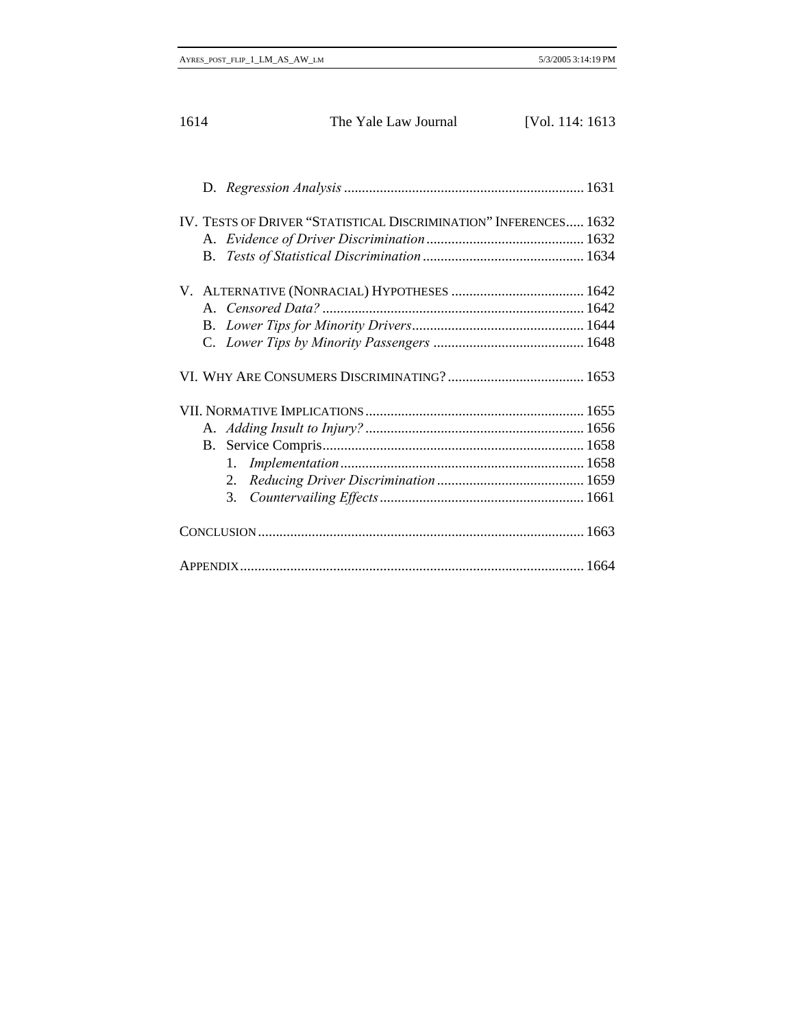| 1614      | The Yale Law Journal                                             | [Vol. 114: 1613 |
|-----------|------------------------------------------------------------------|-----------------|
|           |                                                                  |                 |
|           |                                                                  |                 |
|           |                                                                  |                 |
|           |                                                                  |                 |
|           | IV. TESTS OF DRIVER "STATISTICAL DISCRIMINATION" INFERENCES 1632 |                 |
|           |                                                                  |                 |
| <b>B.</b> |                                                                  |                 |
|           |                                                                  |                 |
|           |                                                                  |                 |
|           |                                                                  |                 |
|           |                                                                  |                 |
|           |                                                                  |                 |
|           |                                                                  |                 |
|           |                                                                  |                 |
|           |                                                                  |                 |
|           |                                                                  |                 |
|           |                                                                  |                 |
|           | 1.                                                               |                 |
|           | 2.                                                               |                 |
|           | 3.                                                               |                 |
|           |                                                                  |                 |
|           |                                                                  |                 |
|           |                                                                  |                 |
|           |                                                                  |                 |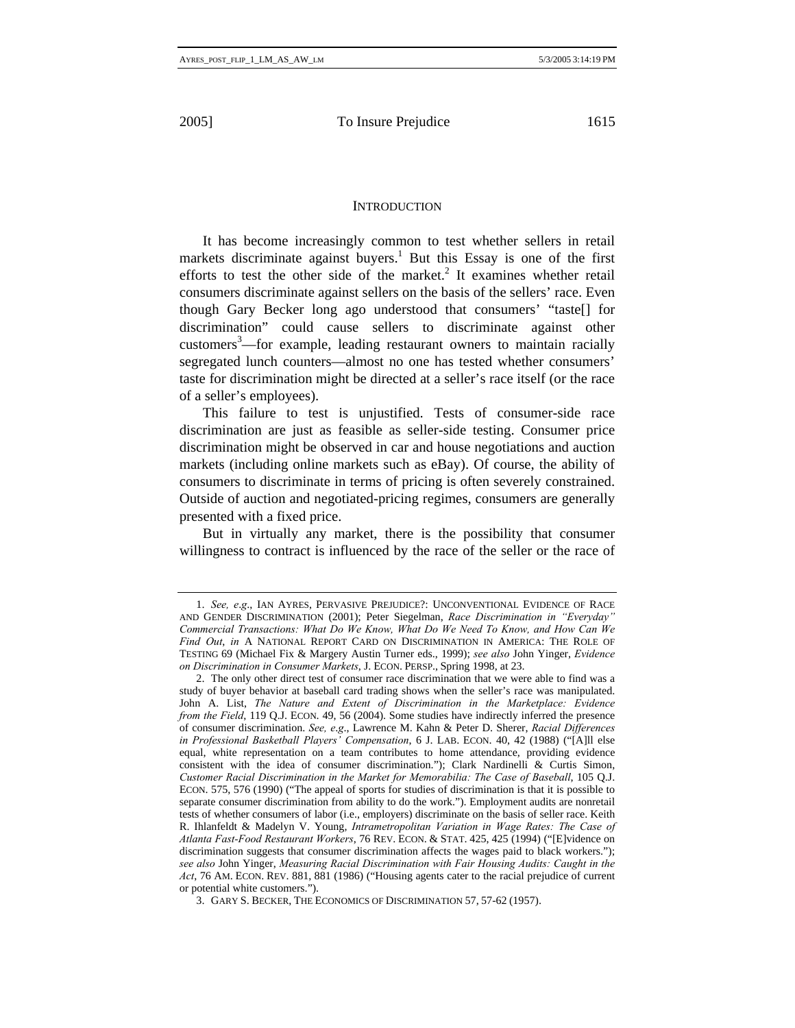#### **INTRODUCTION**

It has become increasingly common to test whether sellers in retail markets discriminate against buyers.<sup>1</sup> But this Essay is one of the first efforts to test the other side of the market.<sup>2</sup> It examines whether retail consumers discriminate against sellers on the basis of the sellers' race. Even though Gary Becker long ago understood that consumers' "taste[] for discrimination" could cause sellers to discriminate against other customers<sup>3</sup>—for example, leading restaurant owners to maintain racially segregated lunch counters—almost no one has tested whether consumers' taste for discrimination might be directed at a seller's race itself (or the race of a seller's employees).

This failure to test is unjustified. Tests of consumer-side race discrimination are just as feasible as seller-side testing. Consumer price discrimination might be observed in car and house negotiations and auction markets (including online markets such as eBay). Of course, the ability of consumers to discriminate in terms of pricing is often severely constrained. Outside of auction and negotiated-pricing regimes, consumers are generally presented with a fixed price.

But in virtually any market, there is the possibility that consumer willingness to contract is influenced by the race of the seller or the race of

<sup>1.</sup> *See, e*.*g*., IAN AYRES, PERVASIVE PREJUDICE?: UNCONVENTIONAL EVIDENCE OF RACE AND GENDER DISCRIMINATION (2001); Peter Siegelman, *Race Discrimination in "Everyday" Commercial Transactions: What Do We Know, What Do We Need To Know, and How Can We Find Out*, *in* A NATIONAL REPORT CARD ON DISCRIMINATION IN AMERICA: THE ROLE OF TESTING 69 (Michael Fix & Margery Austin Turner eds., 1999); *see also* John Yinger, *Evidence on Discrimination in Consumer Markets*, J. ECON. PERSP., Spring 1998, at 23.

<sup>2.</sup> The only other direct test of consumer race discrimination that we were able to find was a study of buyer behavior at baseball card trading shows when the seller's race was manipulated. John A. List, *The Nature and Extent of Discrimination in the Marketplace: Evidence from the Field*, 119 Q.J. ECON. 49, 56 (2004). Some studies have indirectly inferred the presence of consumer discrimination. *See, e*.*g*., Lawrence M. Kahn & Peter D. Sherer, *Racial Differences in Professional Basketball Players' Compensation*, 6 J. LAB. ECON. 40, 42 (1988) ("[A]ll else equal, white representation on a team contributes to home attendance, providing evidence consistent with the idea of consumer discrimination."); Clark Nardinelli & Curtis Simon, *Customer Racial Discrimination in the Market for Memorabilia: The Case of Baseball*, 105 Q.J. ECON. 575, 576 (1990) ("The appeal of sports for studies of discrimination is that it is possible to separate consumer discrimination from ability to do the work."). Employment audits are nonretail tests of whether consumers of labor (i.e., employers) discriminate on the basis of seller race. Keith R. Ihlanfeldt & Madelyn V. Young, *Intrametropolitan Variation in Wage Rates: The Case of Atlanta Fast-Food Restaurant Workers*, 76 REV. ECON. & STAT. 425, 425 (1994) ("[E]vidence on discrimination suggests that consumer discrimination affects the wages paid to black workers."); *see also* John Yinger, *Measuring Racial Discrimination with Fair Housing Audits: Caught in the Act*, 76 AM. ECON. REV. 881, 881 (1986) ("Housing agents cater to the racial prejudice of current or potential white customers.").

<sup>3.</sup> GARY S. BECKER, THE ECONOMICS OF DISCRIMINATION 57, 57-62 (1957).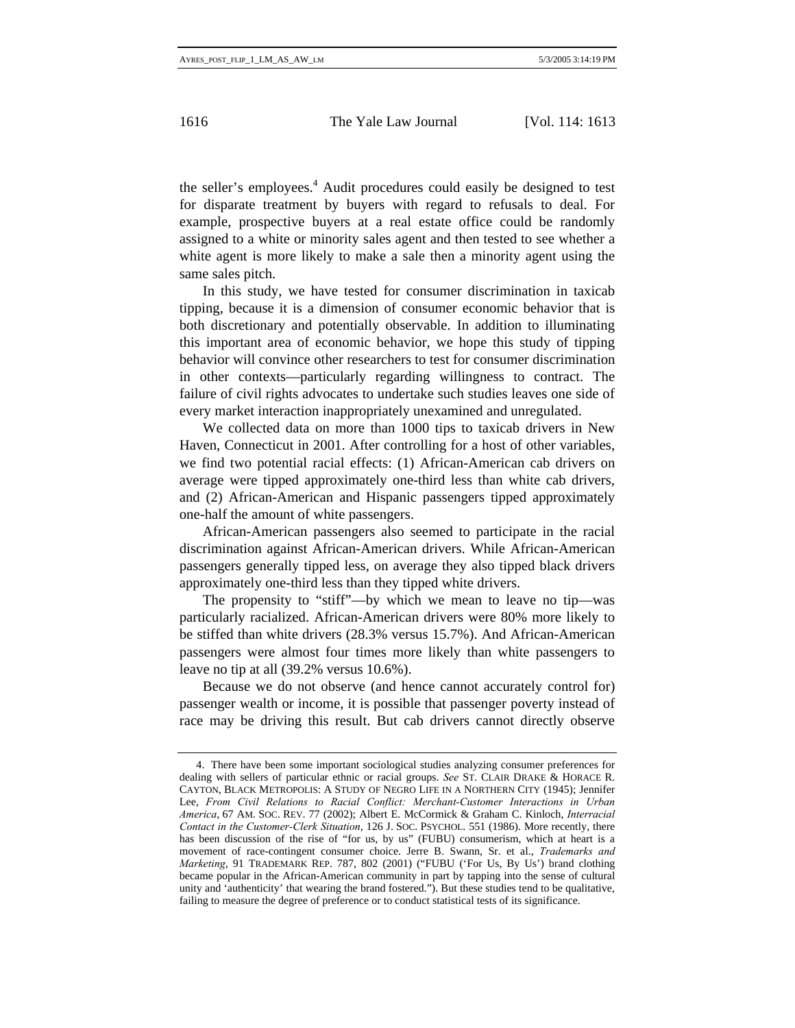the seller's employees.<sup>4</sup> Audit procedures could easily be designed to test for disparate treatment by buyers with regard to refusals to deal. For example, prospective buyers at a real estate office could be randomly assigned to a white or minority sales agent and then tested to see whether a white agent is more likely to make a sale then a minority agent using the same sales pitch.

In this study, we have tested for consumer discrimination in taxicab tipping, because it is a dimension of consumer economic behavior that is both discretionary and potentially observable. In addition to illuminating this important area of economic behavior, we hope this study of tipping behavior will convince other researchers to test for consumer discrimination in other contexts—particularly regarding willingness to contract. The failure of civil rights advocates to undertake such studies leaves one side of every market interaction inappropriately unexamined and unregulated.

We collected data on more than 1000 tips to taxicab drivers in New Haven, Connecticut in 2001. After controlling for a host of other variables, we find two potential racial effects: (1) African-American cab drivers on average were tipped approximately one-third less than white cab drivers, and (2) African-American and Hispanic passengers tipped approximately one-half the amount of white passengers.

African-American passengers also seemed to participate in the racial discrimination against African-American drivers. While African-American passengers generally tipped less, on average they also tipped black drivers approximately one-third less than they tipped white drivers.

The propensity to "stiff"—by which we mean to leave no tip—was particularly racialized. African-American drivers were 80% more likely to be stiffed than white drivers (28.3% versus 15.7%). And African-American passengers were almost four times more likely than white passengers to leave no tip at all (39.2% versus 10.6%).

Because we do not observe (and hence cannot accurately control for) passenger wealth or income, it is possible that passenger poverty instead of race may be driving this result. But cab drivers cannot directly observe

<sup>4.</sup> There have been some important sociological studies analyzing consumer preferences for dealing with sellers of particular ethnic or racial groups. *See* ST. CLAIR DRAKE & HORACE R. CAYTON, BLACK METROPOLIS: A STUDY OF NEGRO LIFE IN A NORTHERN CITY (1945); Jennifer Lee, *From Civil Relations to Racial Conflict: Merchant-Customer Interactions in Urban America*, 67 AM. SOC. REV. 77 (2002); Albert E. McCormick & Graham C. Kinloch, *Interracial Contact in the Customer-Clerk Situation*, 126 J. SOC. PSYCHOL. 551 (1986). More recently, there has been discussion of the rise of "for us, by us" (FUBU) consumerism, which at heart is a movement of race-contingent consumer choice. Jerre B. Swann, Sr. et al., *Trademarks and Marketing*, 91 TRADEMARK REP. 787, 802 (2001) ("FUBU ('For Us, By Us') brand clothing became popular in the African-American community in part by tapping into the sense of cultural unity and 'authenticity' that wearing the brand fostered."). But these studies tend to be qualitative, failing to measure the degree of preference or to conduct statistical tests of its significance.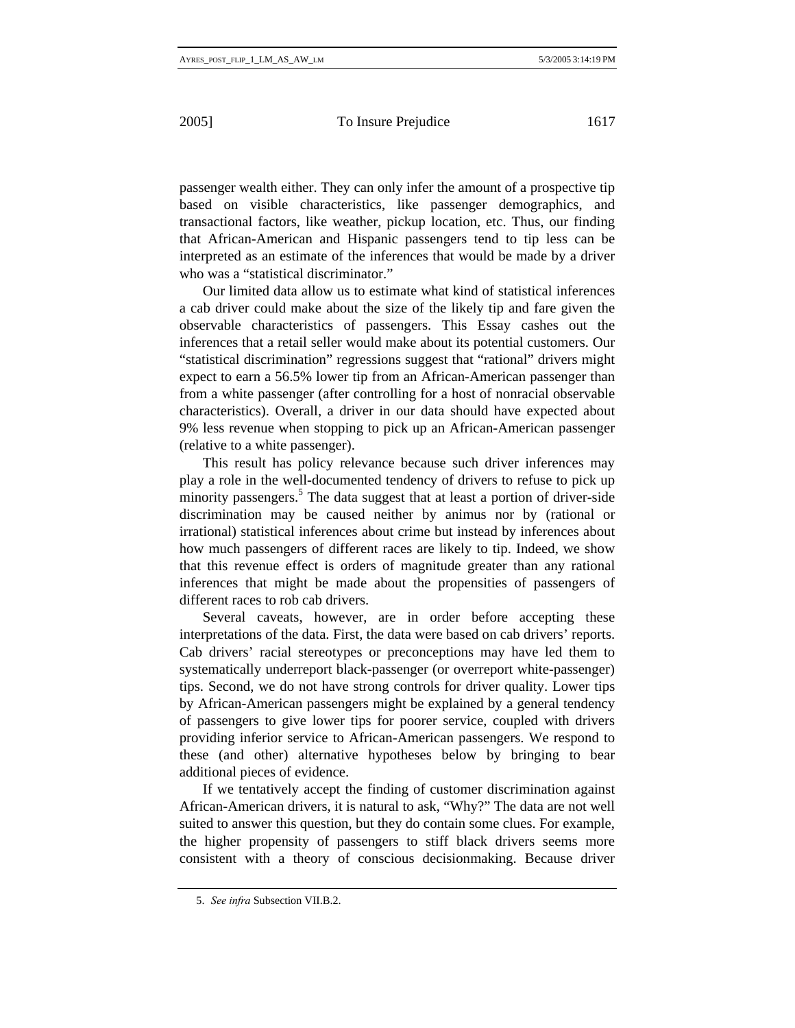passenger wealth either. They can only infer the amount of a prospective tip based on visible characteristics, like passenger demographics, and transactional factors, like weather, pickup location, etc. Thus, our finding that African-American and Hispanic passengers tend to tip less can be interpreted as an estimate of the inferences that would be made by a driver who was a "statistical discriminator."

Our limited data allow us to estimate what kind of statistical inferences a cab driver could make about the size of the likely tip and fare given the observable characteristics of passengers. This Essay cashes out the inferences that a retail seller would make about its potential customers. Our "statistical discrimination" regressions suggest that "rational" drivers might expect to earn a 56.5% lower tip from an African-American passenger than from a white passenger (after controlling for a host of nonracial observable characteristics). Overall, a driver in our data should have expected about 9% less revenue when stopping to pick up an African-American passenger (relative to a white passenger).

This result has policy relevance because such driver inferences may play a role in the well-documented tendency of drivers to refuse to pick up minority passengers.<sup>5</sup> The data suggest that at least a portion of driver-side discrimination may be caused neither by animus nor by (rational or irrational) statistical inferences about crime but instead by inferences about how much passengers of different races are likely to tip. Indeed, we show that this revenue effect is orders of magnitude greater than any rational inferences that might be made about the propensities of passengers of different races to rob cab drivers.

Several caveats, however, are in order before accepting these interpretations of the data. First, the data were based on cab drivers' reports. Cab drivers' racial stereotypes or preconceptions may have led them to systematically underreport black-passenger (or overreport white-passenger) tips. Second, we do not have strong controls for driver quality. Lower tips by African-American passengers might be explained by a general tendency of passengers to give lower tips for poorer service, coupled with drivers providing inferior service to African-American passengers. We respond to these (and other) alternative hypotheses below by bringing to bear additional pieces of evidence.

If we tentatively accept the finding of customer discrimination against African-American drivers, it is natural to ask, "Why?" The data are not well suited to answer this question, but they do contain some clues. For example, the higher propensity of passengers to stiff black drivers seems more consistent with a theory of conscious decisionmaking. Because driver

<sup>5.</sup> *See infra* Subsection VII.B.2.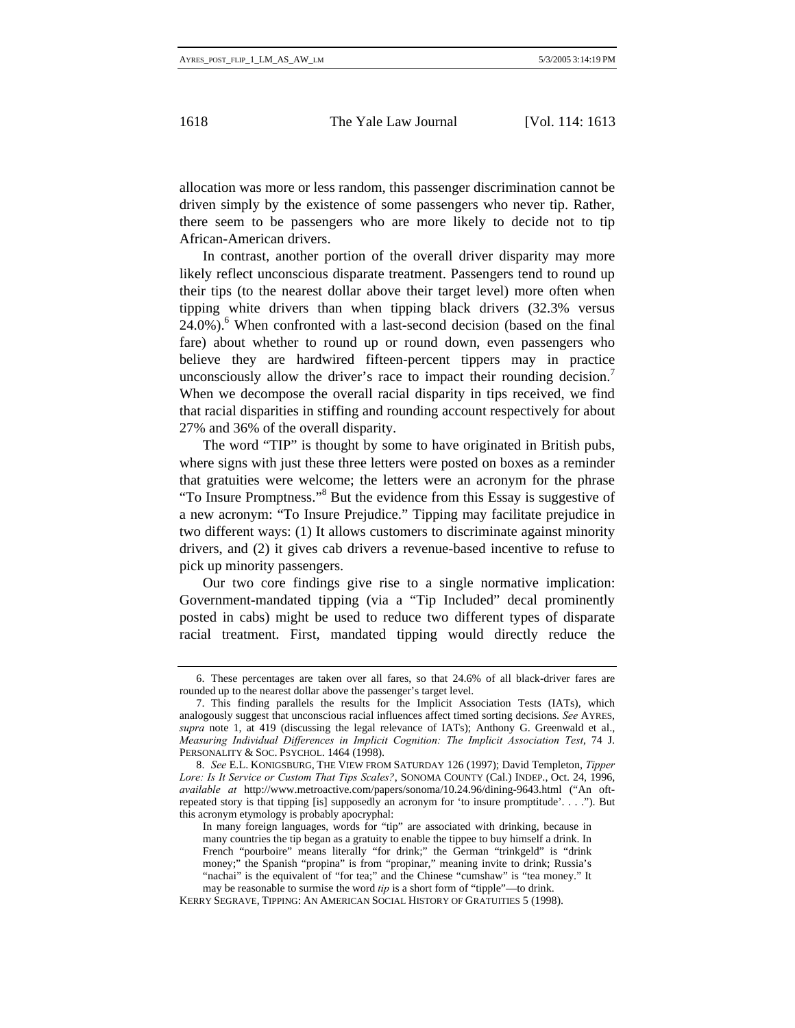allocation was more or less random, this passenger discrimination cannot be driven simply by the existence of some passengers who never tip. Rather, there seem to be passengers who are more likely to decide not to tip African-American drivers.

In contrast, another portion of the overall driver disparity may more likely reflect unconscious disparate treatment. Passengers tend to round up their tips (to the nearest dollar above their target level) more often when tipping white drivers than when tipping black drivers (32.3% versus  $24.0\%$ ).<sup>6</sup> When confronted with a last-second decision (based on the final fare) about whether to round up or round down, even passengers who believe they are hardwired fifteen-percent tippers may in practice unconsciously allow the driver's race to impact their rounding decision.<sup>7</sup> When we decompose the overall racial disparity in tips received, we find that racial disparities in stiffing and rounding account respectively for about 27% and 36% of the overall disparity.

The word "TIP" is thought by some to have originated in British pubs, where signs with just these three letters were posted on boxes as a reminder that gratuities were welcome; the letters were an acronym for the phrase "To Insure Promptness."<sup>8</sup> But the evidence from this Essay is suggestive of a new acronym: "To Insure Prejudice." Tipping may facilitate prejudice in two different ways: (1) It allows customers to discriminate against minority drivers, and (2) it gives cab drivers a revenue-based incentive to refuse to pick up minority passengers.

Our two core findings give rise to a single normative implication: Government-mandated tipping (via a "Tip Included" decal prominently posted in cabs) might be used to reduce two different types of disparate racial treatment. First, mandated tipping would directly reduce the

<sup>6.</sup> These percentages are taken over all fares, so that 24.6% of all black-driver fares are rounded up to the nearest dollar above the passenger's target level.

<sup>7.</sup> This finding parallels the results for the Implicit Association Tests (IATs), which analogously suggest that unconscious racial influences affect timed sorting decisions. *See* AYRES, *supra* note 1, at 419 (discussing the legal relevance of IATs); Anthony G. Greenwald et al., *Measuring Individual Differences in Implicit Cognition: The Implicit Association Test*, 74 J. PERSONALITY & SOC. PSYCHOL. 1464 (1998).

<sup>8.</sup> *See* E.L. KONIGSBURG, THE VIEW FROM SATURDAY 126 (1997); David Templeton, *Tipper Lore: Is It Service or Custom That Tips Scales?*, SONOMA COUNTY (Cal.) INDEP., Oct. 24, 1996, *available at* http://www.metroactive.com/papers/sonoma/10.24.96/dining-9643.html ("An oftrepeated story is that tipping [is] supposedly an acronym for 'to insure promptitude'. . . ."). But this acronym etymology is probably apocryphal:

In many foreign languages, words for "tip" are associated with drinking, because in many countries the tip began as a gratuity to enable the tippee to buy himself a drink. In French "pourboire" means literally "for drink;" the German "trinkgeld" is "drink money;" the Spanish "propina" is from "propinar," meaning invite to drink; Russia's "nachai" is the equivalent of "for tea;" and the Chinese "cumshaw" is "tea money." It may be reasonable to surmise the word *tip* is a short form of "tipple"—to drink.

KERRY SEGRAVE, TIPPING: AN AMERICAN SOCIAL HISTORY OF GRATUITIES 5 (1998).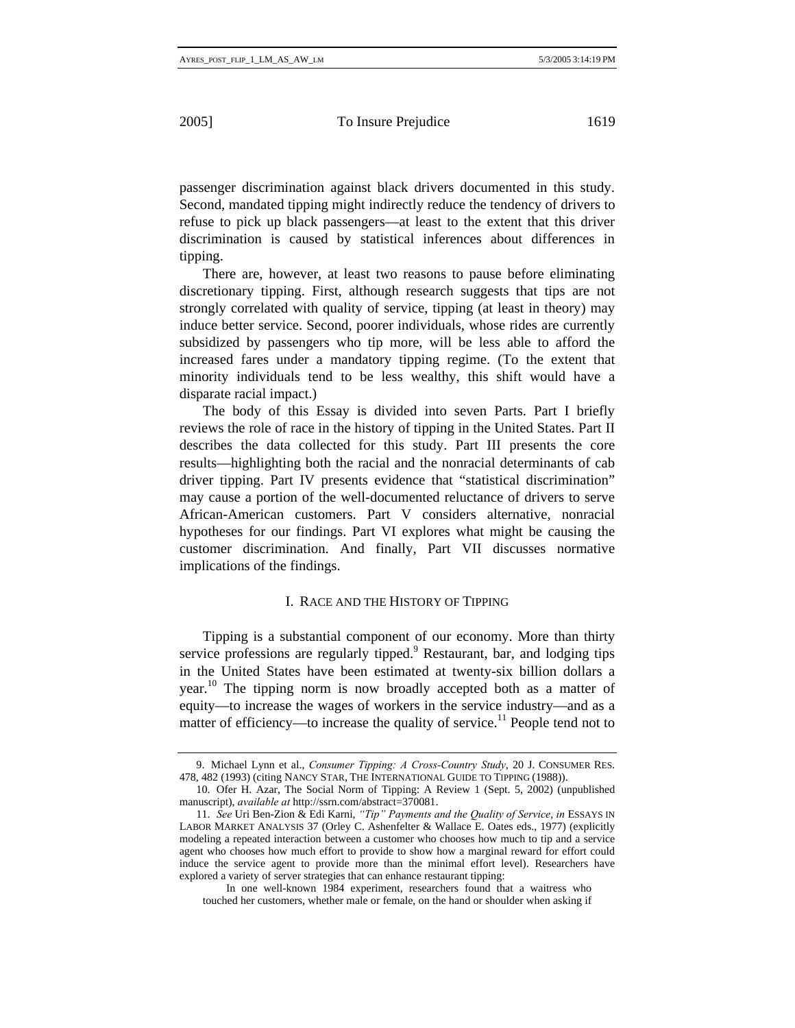passenger discrimination against black drivers documented in this study. Second, mandated tipping might indirectly reduce the tendency of drivers to refuse to pick up black passengers—at least to the extent that this driver discrimination is caused by statistical inferences about differences in tipping.

There are, however, at least two reasons to pause before eliminating discretionary tipping. First, although research suggests that tips are not strongly correlated with quality of service, tipping (at least in theory) may induce better service. Second, poorer individuals, whose rides are currently subsidized by passengers who tip more, will be less able to afford the increased fares under a mandatory tipping regime. (To the extent that minority individuals tend to be less wealthy, this shift would have a disparate racial impact.)

The body of this Essay is divided into seven Parts. Part I briefly reviews the role of race in the history of tipping in the United States. Part II describes the data collected for this study. Part III presents the core results—highlighting both the racial and the nonracial determinants of cab driver tipping. Part IV presents evidence that "statistical discrimination" may cause a portion of the well-documented reluctance of drivers to serve African-American customers. Part V considers alternative, nonracial hypotheses for our findings. Part VI explores what might be causing the customer discrimination. And finally, Part VII discusses normative implications of the findings.

#### I. RACE AND THE HISTORY OF TIPPING

Tipping is a substantial component of our economy. More than thirty service professions are regularly tipped.<sup>9</sup> Restaurant, bar, and lodging tips in the United States have been estimated at twenty-six billion dollars a year.<sup>10</sup> The tipping norm is now broadly accepted both as a matter of equity—to increase the wages of workers in the service industry—and as a matter of efficiency—to increase the quality of service.<sup>11</sup> People tend not to

In one well-known 1984 experiment, researchers found that a waitress who touched her customers, whether male or female, on the hand or shoulder when asking if

<sup>9.</sup> Michael Lynn et al., *Consumer Tipping: A Cross-Country Study*, 20 J. CONSUMER RES. 478, 482 (1993) (citing NANCY STAR, THE INTERNATIONAL GUIDE TO TIPPING (1988)).

<sup>10.</sup> Ofer H. Azar, The Social Norm of Tipping: A Review 1 (Sept. 5, 2002) (unpublished manuscript), *available at* http://ssrn.com/abstract=370081.

<sup>11.</sup> *See* Uri Ben-Zion & Edi Karni, *"Tip" Payments and the Quality of Service*, *in* ESSAYS IN LABOR MARKET ANALYSIS 37 (Orley C. Ashenfelter & Wallace E. Oates eds., 1977) (explicitly modeling a repeated interaction between a customer who chooses how much to tip and a service agent who chooses how much effort to provide to show how a marginal reward for effort could induce the service agent to provide more than the minimal effort level). Researchers have explored a variety of server strategies that can enhance restaurant tipping: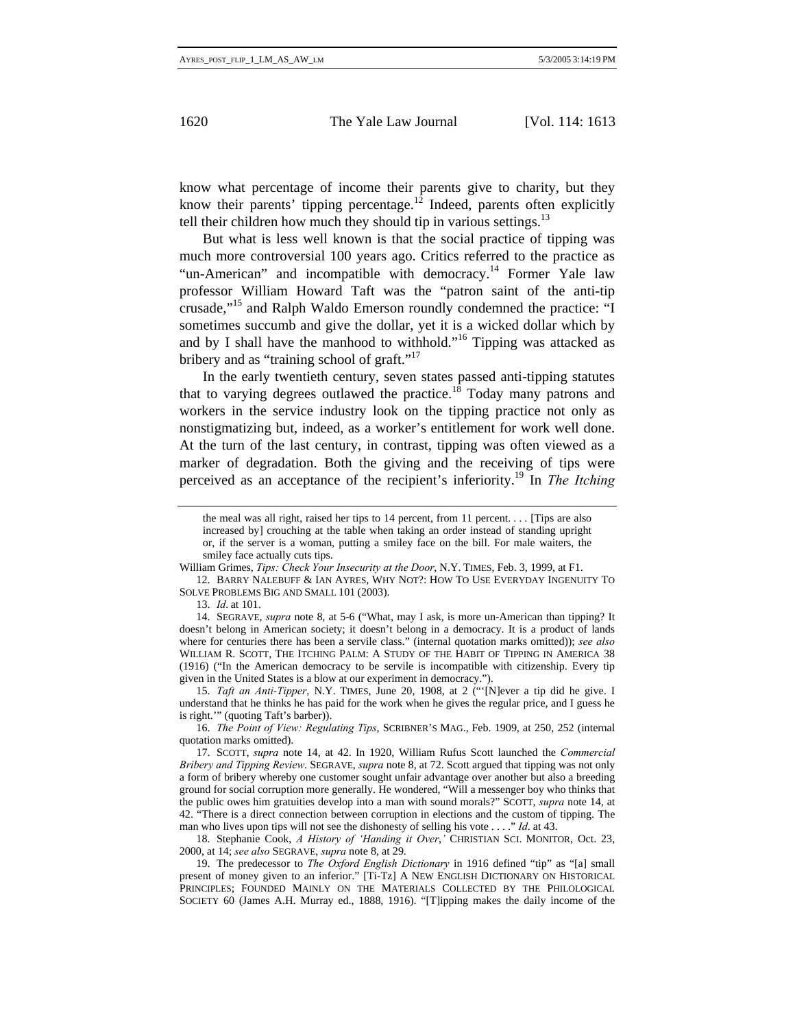know what percentage of income their parents give to charity, but they know their parents' tipping percentage.<sup>12</sup> Indeed, parents often explicitly tell their children how much they should tip in various settings. $^{13}$ 

But what is less well known is that the social practice of tipping was much more controversial 100 years ago. Critics referred to the practice as "un-American" and incompatible with democracy.<sup>14</sup> Former Yale law professor William Howard Taft was the "patron saint of the anti-tip crusade,"15 and Ralph Waldo Emerson roundly condemned the practice: "I sometimes succumb and give the dollar, yet it is a wicked dollar which by and by I shall have the manhood to withhold."16 Tipping was attacked as bribery and as "training school of graft."<sup>17</sup>

In the early twentieth century, seven states passed anti-tipping statutes that to varying degrees outlawed the practice.<sup>18</sup> Today many patrons and workers in the service industry look on the tipping practice not only as nonstigmatizing but, indeed, as a worker's entitlement for work well done. At the turn of the last century, in contrast, tipping was often viewed as a marker of degradation. Both the giving and the receiving of tips were perceived as an acceptance of the recipient's inferiority.19 In *The Itching* 

15. *Taft an Anti-Tipper*, N.Y. TIMES, June 20, 1908, at 2 ("'[N]ever a tip did he give. I understand that he thinks he has paid for the work when he gives the regular price, and I guess he is right.'" (quoting Taft's barber)).

16. *The Point of View: Regulating Tips*, SCRIBNER'S MAG., Feb. 1909, at 250, 252 (internal quotation marks omitted).

17. SCOTT, *supra* note 14, at 42. In 1920, William Rufus Scott launched the *Commercial Bribery and Tipping Review*. SEGRAVE, *supra* note 8, at 72. Scott argued that tipping was not only a form of bribery whereby one customer sought unfair advantage over another but also a breeding ground for social corruption more generally. He wondered, "Will a messenger boy who thinks that the public owes him gratuities develop into a man with sound morals?" SCOTT, *supra* note 14, at 42. "There is a direct connection between corruption in elections and the custom of tipping. The man who lives upon tips will not see the dishonesty of selling his vote . . . ." *Id*. at 43.

18. Stephanie Cook, *A History of 'Handing it Over*,*'* CHRISTIAN SCI. MONITOR, Oct. 23, 2000, at 14; *see also* SEGRAVE, *supra* note 8, at 29.

19. The predecessor to *The Oxford English Dictionary* in 1916 defined "tip" as "[a] small present of money given to an inferior." [Ti-Tz] A NEW ENGLISH DICTIONARY ON HISTORICAL PRINCIPLES; FOUNDED MAINLY ON THE MATERIALS COLLECTED BY THE PHILOLOGICAL SOCIETY 60 (James A.H. Murray ed., 1888, 1916). "[T]ipping makes the daily income of the

the meal was all right, raised her tips to 14 percent, from 11 percent. . . . [Tips are also increased by] crouching at the table when taking an order instead of standing upright or, if the server is a woman, putting a smiley face on the bill. For male waiters, the smiley face actually cuts tips.

William Grimes, *Tips: Check Your Insecurity at the Door*, N.Y. TIMES, Feb. 3, 1999, at F1.

<sup>12.</sup> BARRY NALEBUFF & IAN AYRES, WHY NOT?: HOW TO USE EVERYDAY INGENUITY TO SOLVE PROBLEMS BIG AND SMALL 101 (2003).

<sup>13.</sup> *Id*. at 101.

<sup>14.</sup> SEGRAVE, *supra* note 8, at 5-6 ("What, may I ask, is more un-American than tipping? It doesn't belong in American society; it doesn't belong in a democracy. It is a product of lands where for centuries there has been a servile class." (internal quotation marks omitted)); *see also* WILLIAM R. SCOTT, THE ITCHING PALM: A STUDY OF THE HABIT OF TIPPING IN AMERICA 38 (1916) ("In the American democracy to be servile is incompatible with citizenship. Every tip given in the United States is a blow at our experiment in democracy.").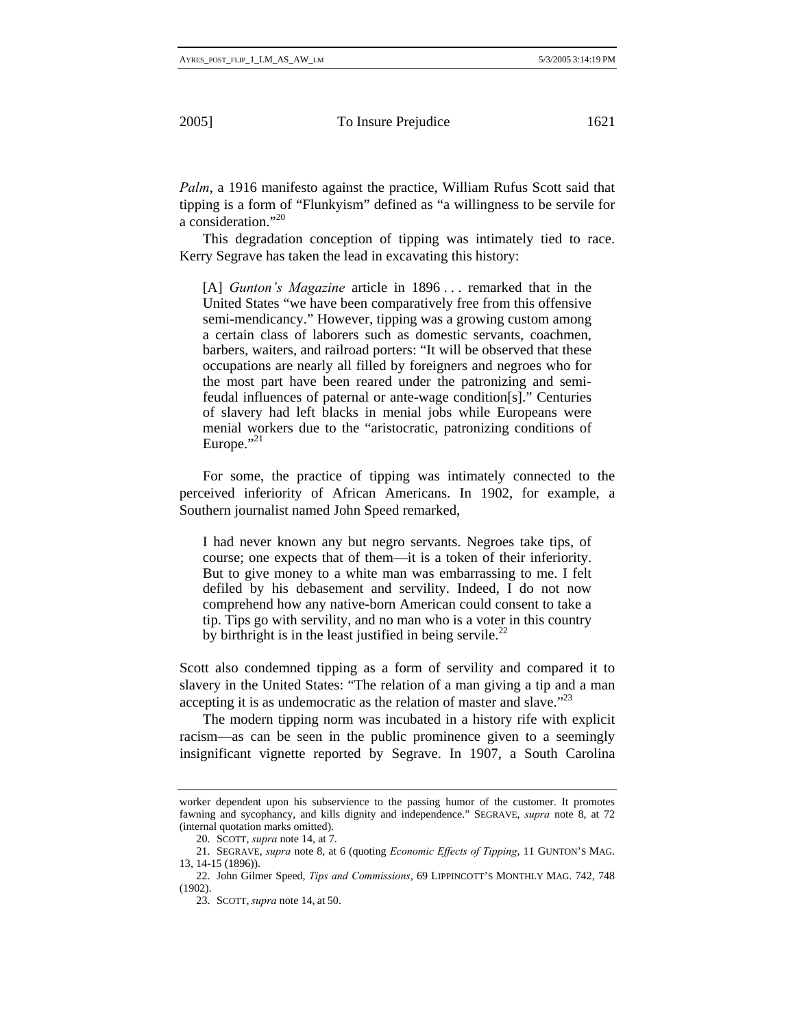*Palm*, a 1916 manifesto against the practice, William Rufus Scott said that tipping is a form of "Flunkyism" defined as "a willingness to be servile for a consideration."<sup>20</sup>

This degradation conception of tipping was intimately tied to race. Kerry Segrave has taken the lead in excavating this history:

[A] *Gunton's Magazine* article in 1896 . . . remarked that in the United States "we have been comparatively free from this offensive semi-mendicancy." However, tipping was a growing custom among a certain class of laborers such as domestic servants, coachmen, barbers, waiters, and railroad porters: "It will be observed that these occupations are nearly all filled by foreigners and negroes who for the most part have been reared under the patronizing and semifeudal influences of paternal or ante-wage condition[s]." Centuries of slavery had left blacks in menial jobs while Europeans were menial workers due to the "aristocratic, patronizing conditions of Europe."<sup>21</sup>

For some, the practice of tipping was intimately connected to the perceived inferiority of African Americans. In 1902, for example, a Southern journalist named John Speed remarked,

I had never known any but negro servants. Negroes take tips, of course; one expects that of them—it is a token of their inferiority. But to give money to a white man was embarrassing to me. I felt defiled by his debasement and servility. Indeed, I do not now comprehend how any native-born American could consent to take a tip. Tips go with servility, and no man who is a voter in this country by birthright is in the least justified in being servile. $^{22}$ 

Scott also condemned tipping as a form of servility and compared it to slavery in the United States: "The relation of a man giving a tip and a man accepting it is as undemocratic as the relation of master and slave."<sup>23</sup>

The modern tipping norm was incubated in a history rife with explicit racism—as can be seen in the public prominence given to a seemingly insignificant vignette reported by Segrave. In 1907, a South Carolina

worker dependent upon his subservience to the passing humor of the customer. It promotes fawning and sycophancy, and kills dignity and independence." SEGRAVE, *supra* note 8, at 72 (internal quotation marks omitted).

<sup>20.</sup> SCOTT, *supra* note 14, at 7.

<sup>21.</sup> SEGRAVE, *supra* note 8, at 6 (quoting *Economic Effects of Tipping*, 11 GUNTON'S MAG. 13, 14-15 (1896)).

<sup>22.</sup> John Gilmer Speed, *Tips and Commissions*, 69 LIPPINCOTT'S MONTHLY MAG. 742, 748 (1902).

<sup>23.</sup> SCOTT, *supra* note 14, at 50.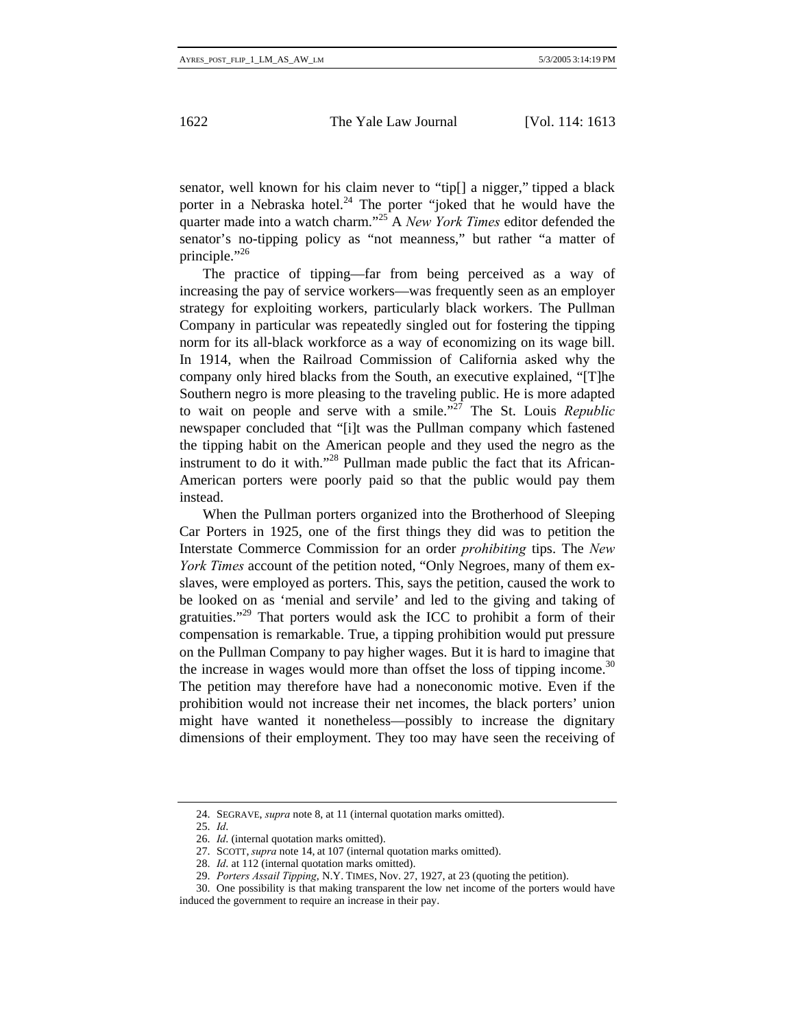senator, well known for his claim never to "tip[] a nigger," tipped a black porter in a Nebraska hotel.<sup>24</sup> The porter "joked that he would have the quarter made into a watch charm."25 A *New York Times* editor defended the senator's no-tipping policy as "not meanness," but rather "a matter of principle."<sup>26</sup>

The practice of tipping—far from being perceived as a way of increasing the pay of service workers—was frequently seen as an employer strategy for exploiting workers, particularly black workers. The Pullman Company in particular was repeatedly singled out for fostering the tipping norm for its all-black workforce as a way of economizing on its wage bill. In 1914, when the Railroad Commission of California asked why the company only hired blacks from the South, an executive explained, "[T]he Southern negro is more pleasing to the traveling public. He is more adapted to wait on people and serve with a smile."27 The St. Louis *Republic*  newspaper concluded that "[i]t was the Pullman company which fastened the tipping habit on the American people and they used the negro as the instrument to do it with."<sup>28</sup> Pullman made public the fact that its African-American porters were poorly paid so that the public would pay them instead.

When the Pullman porters organized into the Brotherhood of Sleeping Car Porters in 1925, one of the first things they did was to petition the Interstate Commerce Commission for an order *prohibiting* tips. The *New York Times* account of the petition noted, "Only Negroes, many of them exslaves, were employed as porters. This, says the petition, caused the work to be looked on as 'menial and servile' and led to the giving and taking of gratuities."29 That porters would ask the ICC to prohibit a form of their compensation is remarkable. True, a tipping prohibition would put pressure on the Pullman Company to pay higher wages. But it is hard to imagine that the increase in wages would more than offset the loss of tipping income.<sup>30</sup> The petition may therefore have had a noneconomic motive. Even if the prohibition would not increase their net incomes, the black porters' union might have wanted it nonetheless—possibly to increase the dignitary dimensions of their employment. They too may have seen the receiving of

<sup>24.</sup> SEGRAVE, *supra* note 8, at 11 (internal quotation marks omitted).

<sup>25.</sup> *Id*.

<sup>26.</sup> *Id*. (internal quotation marks omitted).

<sup>27.</sup> SCOTT, *supra* note 14, at 107 (internal quotation marks omitted).

<sup>28.</sup> *Id*. at 112 (internal quotation marks omitted).

<sup>29.</sup> *Porters Assail Tipping*, N.Y. TIMES, Nov. 27, 1927, at 23 (quoting the petition).

<sup>30.</sup> One possibility is that making transparent the low net income of the porters would have induced the government to require an increase in their pay.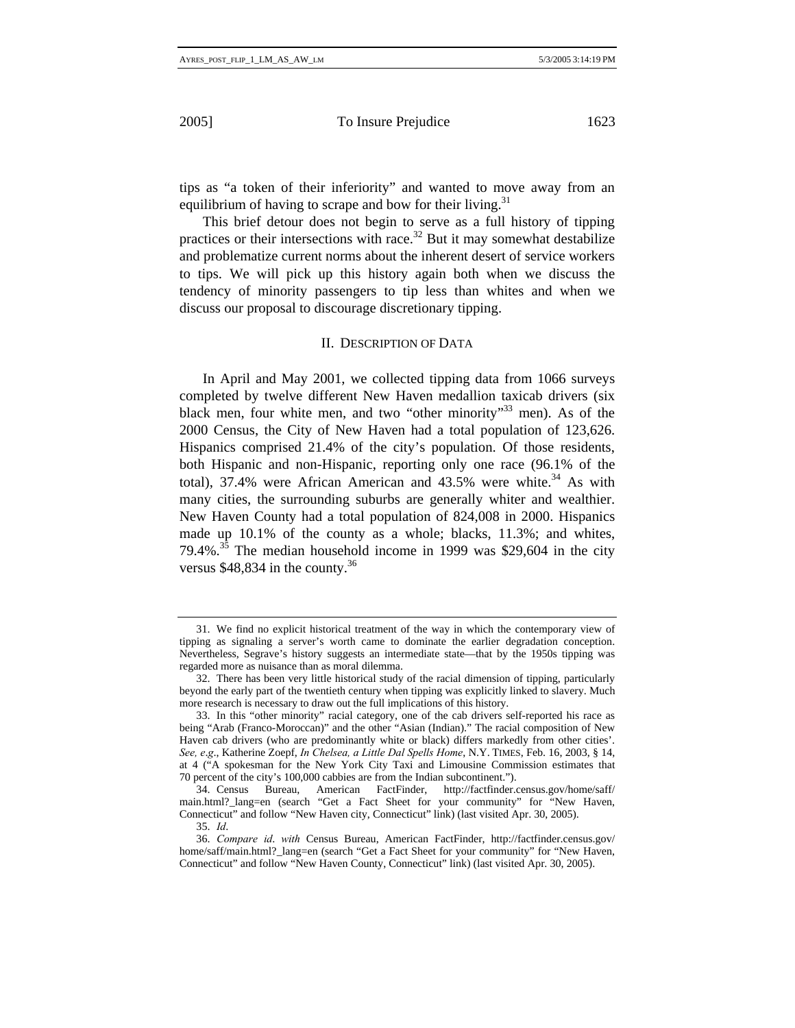tips as "a token of their inferiority" and wanted to move away from an equilibrium of having to scrape and bow for their living.<sup>31</sup>

This brief detour does not begin to serve as a full history of tipping practices or their intersections with race.<sup>32</sup> But it may somewhat destabilize and problematize current norms about the inherent desert of service workers to tips. We will pick up this history again both when we discuss the tendency of minority passengers to tip less than whites and when we discuss our proposal to discourage discretionary tipping.

#### II. DESCRIPTION OF DATA

In April and May 2001, we collected tipping data from 1066 surveys completed by twelve different New Haven medallion taxicab drivers (six black men, four white men, and two "other minority"<sup>33</sup> men). As of the 2000 Census, the City of New Haven had a total population of 123,626. Hispanics comprised 21.4% of the city's population. Of those residents, both Hispanic and non-Hispanic, reporting only one race (96.1% of the total), 37.4% were African American and  $43.5\%$  were white.<sup>34</sup> As with many cities, the surrounding suburbs are generally whiter and wealthier. New Haven County had a total population of 824,008 in 2000. Hispanics made up 10.1% of the county as a whole; blacks, 11.3%; and whites, 79.4%.<sup>35</sup> The median household income in 1999 was \$29,604 in the city versus \$48,834 in the county.<sup>36</sup>

<sup>31.</sup> We find no explicit historical treatment of the way in which the contemporary view of tipping as signaling a server's worth came to dominate the earlier degradation conception. Nevertheless, Segrave's history suggests an intermediate state—that by the 1950s tipping was regarded more as nuisance than as moral dilemma.

<sup>32.</sup> There has been very little historical study of the racial dimension of tipping, particularly beyond the early part of the twentieth century when tipping was explicitly linked to slavery. Much more research is necessary to draw out the full implications of this history.

<sup>33.</sup> In this "other minority" racial category, one of the cab drivers self-reported his race as being "Arab (Franco-Moroccan)" and the other "Asian (Indian)." The racial composition of New Haven cab drivers (who are predominantly white or black) differs markedly from other cities'. *See, e*.*g*., Katherine Zoepf, *In Chelsea, a Little Dal Spells Home*, N.Y. TIMES, Feb. 16, 2003, § 14, at 4 ("A spokesman for the New York City Taxi and Limousine Commission estimates that 70 percent of the city's 100,000 cabbies are from the Indian subcontinent.").

<sup>34.</sup> Census Bureau, American FactFinder, http://factfinder.census.gov/home/saff/ main.html? lang=en (search "Get a Fact Sheet for your community" for "New Haven, Connecticut" and follow "New Haven city, Connecticut" link) (last visited Apr. 30, 2005). 35. *Id*.

<sup>36.</sup> *Compare id*. *with* Census Bureau, American FactFinder, http://factfinder.census.gov/ home/saff/main.html?\_lang=en (search "Get a Fact Sheet for your community" for "New Haven, Connecticut" and follow "New Haven County, Connecticut" link) (last visited Apr. 30, 2005).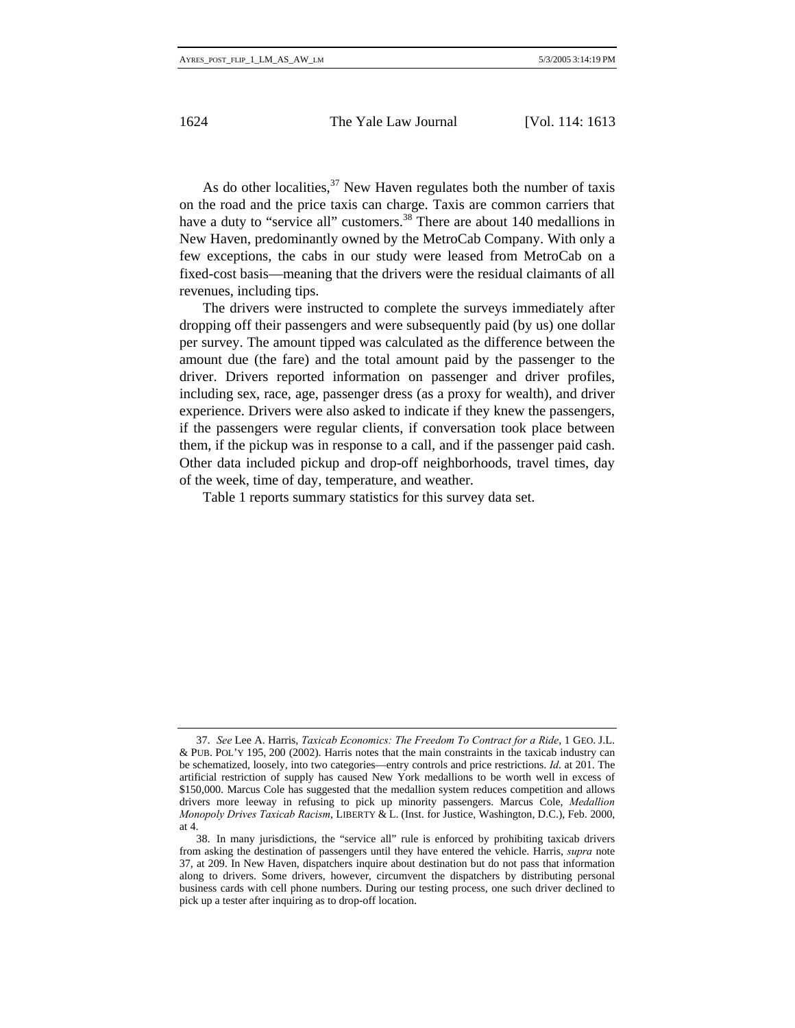As do other localities,  $37$  New Haven regulates both the number of taxis on the road and the price taxis can charge. Taxis are common carriers that have a duty to "service all" customers.<sup>38</sup> There are about 140 medallions in New Haven, predominantly owned by the MetroCab Company. With only a few exceptions, the cabs in our study were leased from MetroCab on a fixed-cost basis—meaning that the drivers were the residual claimants of all revenues, including tips.

The drivers were instructed to complete the surveys immediately after dropping off their passengers and were subsequently paid (by us) one dollar per survey. The amount tipped was calculated as the difference between the amount due (the fare) and the total amount paid by the passenger to the driver. Drivers reported information on passenger and driver profiles, including sex, race, age, passenger dress (as a proxy for wealth), and driver experience. Drivers were also asked to indicate if they knew the passengers, if the passengers were regular clients, if conversation took place between them, if the pickup was in response to a call, and if the passenger paid cash. Other data included pickup and drop-off neighborhoods, travel times, day of the week, time of day, temperature, and weather.

Table 1 reports summary statistics for this survey data set.

<sup>37.</sup> *See* Lee A. Harris, *Taxicab Economics: The Freedom To Contract for a Ride*, 1 GEO. J.L. & PUB. POL'Y 195, 200 (2002). Harris notes that the main constraints in the taxicab industry can be schematized, loosely, into two categories—entry controls and price restrictions. *Id*. at 201. The artificial restriction of supply has caused New York medallions to be worth well in excess of \$150,000. Marcus Cole has suggested that the medallion system reduces competition and allows drivers more leeway in refusing to pick up minority passengers. Marcus Cole, *Medallion Monopoly Drives Taxicab Racism*, LIBERTY & L. (Inst. for Justice, Washington, D.C.), Feb. 2000, at 4.

<sup>38.</sup> In many jurisdictions, the "service all" rule is enforced by prohibiting taxicab drivers from asking the destination of passengers until they have entered the vehicle. Harris, *supra* note 37, at 209. In New Haven, dispatchers inquire about destination but do not pass that information along to drivers. Some drivers, however, circumvent the dispatchers by distributing personal business cards with cell phone numbers. During our testing process, one such driver declined to pick up a tester after inquiring as to drop-off location.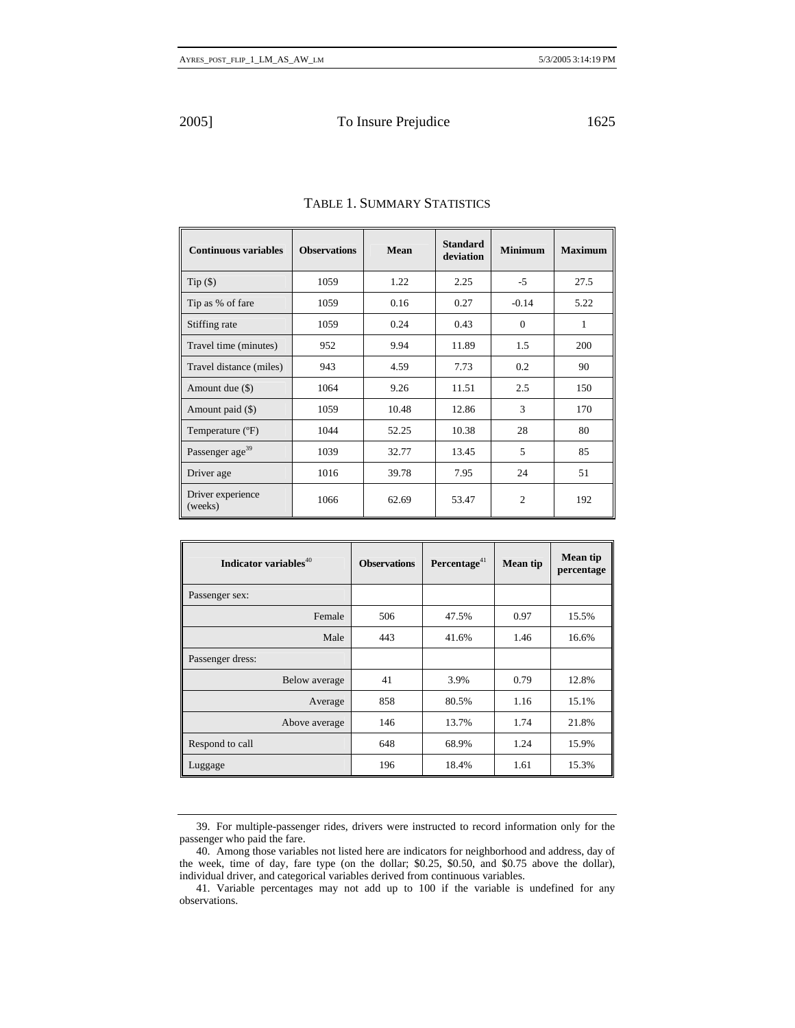| <b>Continuous variables</b>  | <b>Observations</b> | Mean  | <b>Standard</b><br>deviation | <b>Minimum</b> | <b>Maximum</b> |
|------------------------------|---------------------|-------|------------------------------|----------------|----------------|
| Tip(\$)                      | 1059                | 1.22  | 2.25                         | $-5$           | 27.5           |
| Tip as % of fare             | 1059                | 0.16  | 0.27                         | $-0.14$        | 5.22           |
| Stiffing rate                | 1059                | 0.24  | 0.43                         | $\Omega$       | 1              |
| Travel time (minutes)        | 952                 | 9.94  | 11.89                        | 1.5            | 200            |
| Travel distance (miles)      | 943                 | 4.59  | 7.73                         | 0.2            | 90             |
| Amount due $(\$)$            | 1064                | 9.26  | 11.51                        | 2.5            | 150            |
| Amount paid (\$)             | 1059                | 10.48 | 12.86                        | 3              | 170            |
| Temperature (°F)             | 1044                | 52.25 | 10.38                        | 28             | 80             |
| Passenger age <sup>39</sup>  | 1039                | 32.77 | 13.45                        | 5              | 85             |
| Driver age                   | 1016                | 39.78 | 7.95                         | 24             | 51             |
| Driver experience<br>(weeks) | 1066                | 62.69 | 53.47                        | $\overline{c}$ | 192            |

# TABLE 1. SUMMARY STATISTICS

| Indicator variables $40$ | <b>Observations</b> | Percentage <sup>41</sup> | <b>Mean tip</b> | <b>Mean tip</b><br>percentage |
|--------------------------|---------------------|--------------------------|-----------------|-------------------------------|
| Passenger sex:           |                     |                          |                 |                               |
| Female                   | 506                 | 47.5%                    | 0.97            | 15.5%                         |
| Male                     | 443                 | 41.6%                    | 1.46            | 16.6%                         |
| Passenger dress:         |                     |                          |                 |                               |
| Below average            | 41                  | 3.9%                     | 0.79            | 12.8%                         |
| Average                  | 858                 | 80.5%                    | 1.16            | 15.1%                         |
| Above average            | 146                 | 13.7%                    | 1.74            | 21.8%                         |
| Respond to call          | 648                 | 68.9%                    | 1.24            | 15.9%                         |
| Luggage                  | 196                 | 18.4%                    | 1.61            | 15.3%                         |

<sup>39.</sup> For multiple-passenger rides, drivers were instructed to record information only for the passenger who paid the fare.

<sup>40.</sup> Among those variables not listed here are indicators for neighborhood and address, day of the week, time of day, fare type (on the dollar; \$0.25, \$0.50, and \$0.75 above the dollar), individual driver, and categorical variables derived from continuous variables.

<sup>41.</sup> Variable percentages may not add up to 100 if the variable is undefined for any observations.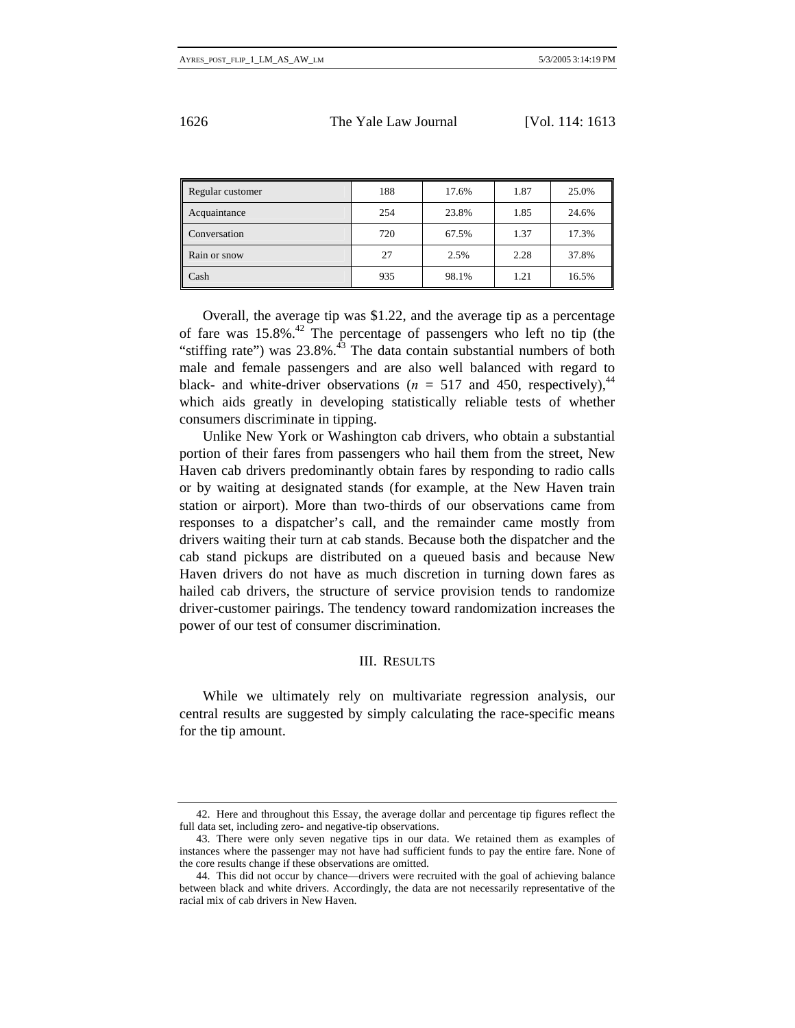| Regular customer   | 188 | 17.6% | 1.87 | 25.0% |
|--------------------|-----|-------|------|-------|
| II<br>Acquaintance | 254 | 23.8% | 1.85 | 24.6% |
| Conversation       | 720 | 67.5% | 1.37 | 17.3% |
| Rain or snow       | 27  | 2.5%  | 2.28 | 37.8% |
| Cash               | 935 | 98.1% | 1.21 | 16.5% |

Overall, the average tip was \$1.22, and the average tip as a percentage of fare was 15.8%.42 The percentage of passengers who left no tip (the "stiffing rate") was  $23.8\%$ .<sup>43</sup> The data contain substantial numbers of both male and female passengers and are also well balanced with regard to black- and white-driver observations ( $n = 517$  and 450, respectively),<sup>44</sup> which aids greatly in developing statistically reliable tests of whether consumers discriminate in tipping.

Unlike New York or Washington cab drivers, who obtain a substantial portion of their fares from passengers who hail them from the street, New Haven cab drivers predominantly obtain fares by responding to radio calls or by waiting at designated stands (for example, at the New Haven train station or airport). More than two-thirds of our observations came from responses to a dispatcher's call, and the remainder came mostly from drivers waiting their turn at cab stands. Because both the dispatcher and the cab stand pickups are distributed on a queued basis and because New Haven drivers do not have as much discretion in turning down fares as hailed cab drivers, the structure of service provision tends to randomize driver-customer pairings. The tendency toward randomization increases the power of our test of consumer discrimination.

#### III. RESULTS

While we ultimately rely on multivariate regression analysis, our central results are suggested by simply calculating the race-specific means for the tip amount.

<sup>42.</sup> Here and throughout this Essay, the average dollar and percentage tip figures reflect the full data set, including zero- and negative-tip observations.

<sup>43.</sup> There were only seven negative tips in our data. We retained them as examples of instances where the passenger may not have had sufficient funds to pay the entire fare. None of the core results change if these observations are omitted.

<sup>44.</sup> This did not occur by chance—drivers were recruited with the goal of achieving balance between black and white drivers. Accordingly, the data are not necessarily representative of the racial mix of cab drivers in New Haven.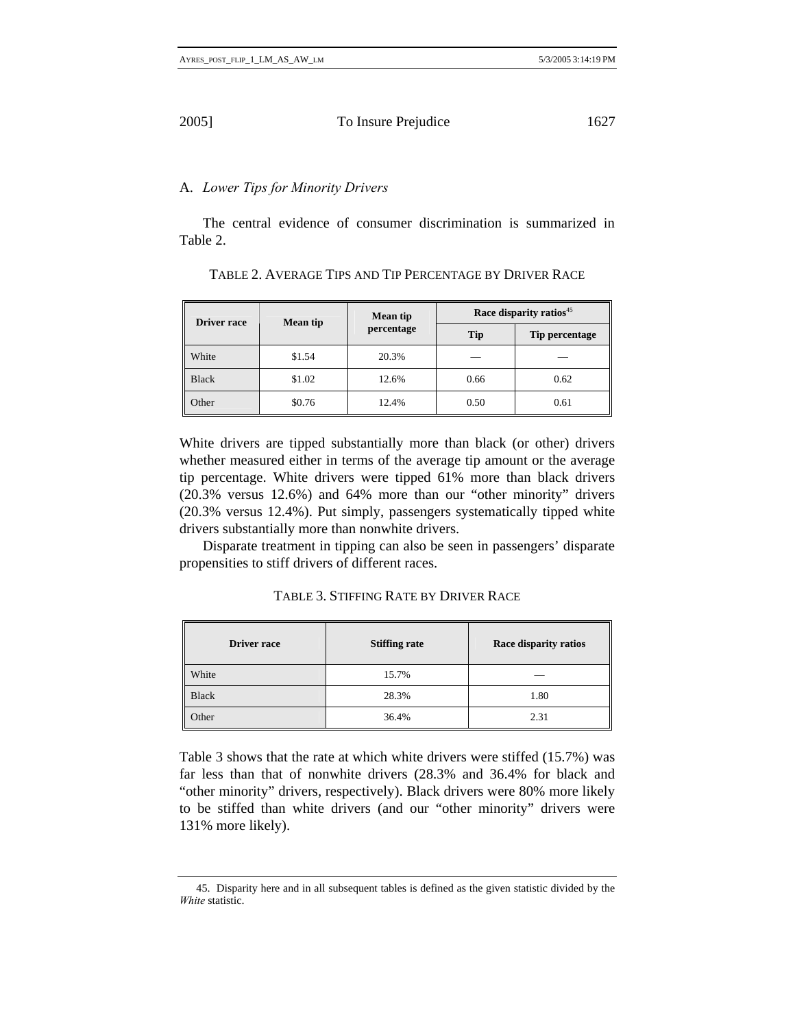#### A. *Lower Tips for Minority Drivers*

The central evidence of consumer discrimination is summarized in Table 2.

| <b>Driver race</b> | <b>Mean tip</b> | <b>Mean tip</b> | Race disparity ratios <sup>45</sup> |                |  |
|--------------------|-----------------|-----------------|-------------------------------------|----------------|--|
|                    |                 | percentage      | <b>Tip</b>                          | Tip percentage |  |
| White              | \$1.54          | 20.3%           |                                     |                |  |
| <b>Black</b>       | \$1.02          | 12.6%           | 0.66                                | 0.62           |  |
| Other              | \$0.76          | 12.4%           | 0.50                                | 0.61           |  |

TABLE 2. AVERAGE TIPS AND TIP PERCENTAGE BY DRIVER RACE

White drivers are tipped substantially more than black (or other) drivers whether measured either in terms of the average tip amount or the average tip percentage. White drivers were tipped 61% more than black drivers (20.3% versus 12.6%) and 64% more than our "other minority" drivers (20.3% versus 12.4%). Put simply, passengers systematically tipped white drivers substantially more than nonwhite drivers.

Disparate treatment in tipping can also be seen in passengers' disparate propensities to stiff drivers of different races.

#### TABLE 3. STIFFING RATE BY DRIVER RACE

| <b>Driver race</b> | <b>Stiffing rate</b> | Race disparity ratios |  |  |
|--------------------|----------------------|-----------------------|--|--|
| White              | 15.7%                |                       |  |  |
| <b>Black</b>       | 28.3%                | 1.80                  |  |  |
| Other              | 36.4%                | 2.31                  |  |  |

Table 3 shows that the rate at which white drivers were stiffed (15.7%) was far less than that of nonwhite drivers (28.3% and 36.4% for black and "other minority" drivers, respectively). Black drivers were 80% more likely to be stiffed than white drivers (and our "other minority" drivers were 131% more likely).

<sup>45.</sup> Disparity here and in all subsequent tables is defined as the given statistic divided by the *White* statistic.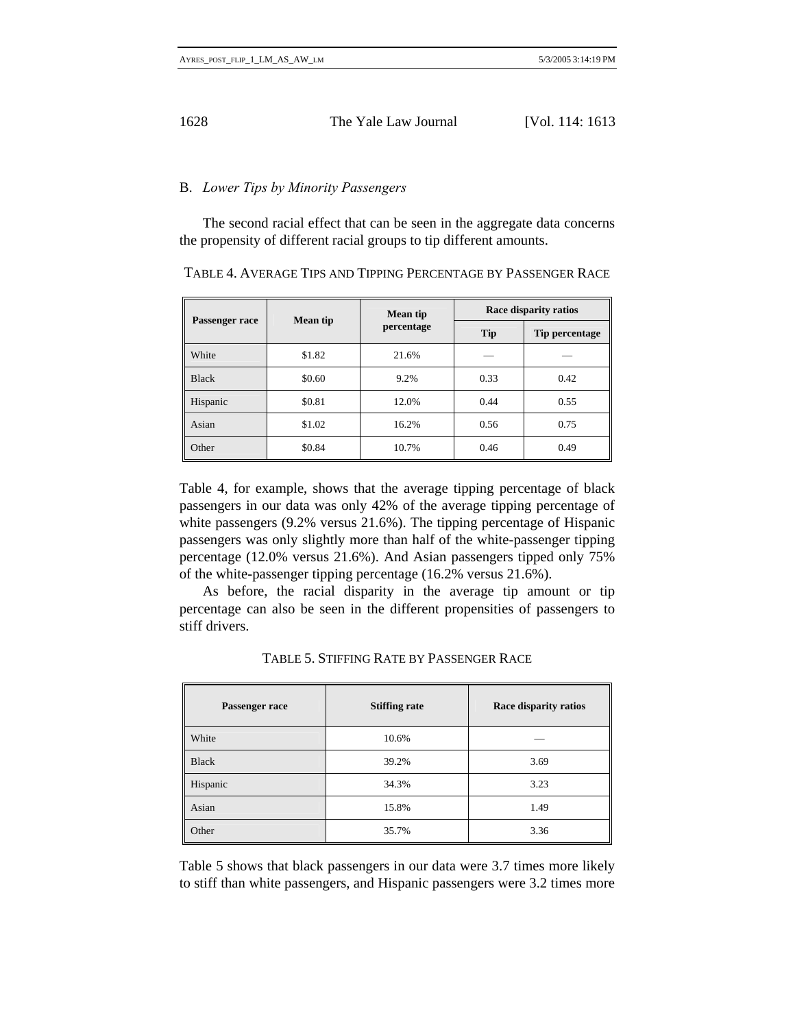### B. *Lower Tips by Minority Passengers*

The second racial effect that can be seen in the aggregate data concerns the propensity of different racial groups to tip different amounts.

|                | <b>Mean tip</b> | <b>Mean tip</b> | Race disparity ratios |                |  |
|----------------|-----------------|-----------------|-----------------------|----------------|--|
| Passenger race |                 | percentage      | <b>Tip</b>            | Tip percentage |  |
| White          | \$1.82          | 21.6%           |                       |                |  |
| <b>Black</b>   | \$0.60          | 9.2%            | 0.33                  | 0.42           |  |
| Hispanic       | \$0.81          | 12.0%           | 0.44                  | 0.55           |  |
| Asian          | \$1.02          | 16.2%           | 0.56                  | 0.75           |  |
| Other          | \$0.84          | 10.7%           | 0.46                  | 0.49           |  |

TABLE 4. AVERAGE TIPS AND TIPPING PERCENTAGE BY PASSENGER RACE

Table 4, for example, shows that the average tipping percentage of black passengers in our data was only 42% of the average tipping percentage of white passengers (9.2% versus 21.6%). The tipping percentage of Hispanic passengers was only slightly more than half of the white-passenger tipping percentage (12.0% versus 21.6%). And Asian passengers tipped only 75% of the white-passenger tipping percentage (16.2% versus 21.6%).

As before, the racial disparity in the average tip amount or tip percentage can also be seen in the different propensities of passengers to stiff drivers.

| Passenger race | <b>Stiffing rate</b> | Race disparity ratios |
|----------------|----------------------|-----------------------|
| White          | 10.6%                |                       |
| <b>Black</b>   | 39.2%                | 3.69                  |
| Hispanic       | 34.3%                | 3.23                  |
| Asian          | 15.8%                | 1.49                  |
| Other          | 35.7%                | 3.36                  |

TABLE 5. STIFFING RATE BY PASSENGER RACE

Table 5 shows that black passengers in our data were 3.7 times more likely to stiff than white passengers, and Hispanic passengers were 3.2 times more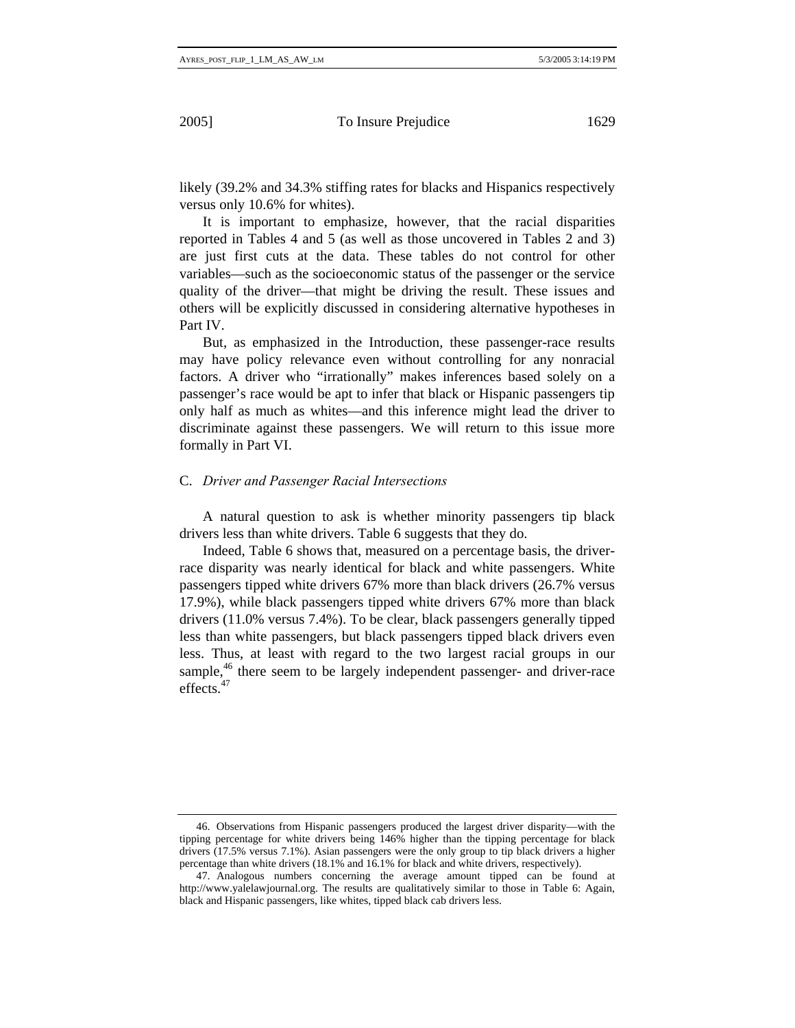likely (39.2% and 34.3% stiffing rates for blacks and Hispanics respectively versus only 10.6% for whites).

It is important to emphasize, however, that the racial disparities reported in Tables 4 and 5 (as well as those uncovered in Tables 2 and 3) are just first cuts at the data. These tables do not control for other variables—such as the socioeconomic status of the passenger or the service quality of the driver—that might be driving the result. These issues and others will be explicitly discussed in considering alternative hypotheses in Part IV.

But, as emphasized in the Introduction, these passenger-race results may have policy relevance even without controlling for any nonracial factors. A driver who "irrationally" makes inferences based solely on a passenger's race would be apt to infer that black or Hispanic passengers tip only half as much as whites—and this inference might lead the driver to discriminate against these passengers. We will return to this issue more formally in Part VI.

#### C. *Driver and Passenger Racial Intersections*

A natural question to ask is whether minority passengers tip black drivers less than white drivers. Table 6 suggests that they do.

Indeed, Table 6 shows that, measured on a percentage basis, the driverrace disparity was nearly identical for black and white passengers. White passengers tipped white drivers 67% more than black drivers (26.7% versus 17.9%), while black passengers tipped white drivers 67% more than black drivers (11.0% versus 7.4%). To be clear, black passengers generally tipped less than white passengers, but black passengers tipped black drivers even less. Thus, at least with regard to the two largest racial groups in our sample, $46$  there seem to be largely independent passenger- and driver-race effects.<sup>47</sup>

<sup>46.</sup> Observations from Hispanic passengers produced the largest driver disparity—with the tipping percentage for white drivers being 146% higher than the tipping percentage for black drivers (17.5% versus 7.1%). Asian passengers were the only group to tip black drivers a higher percentage than white drivers (18.1% and 16.1% for black and white drivers, respectively).

<sup>47.</sup> Analogous numbers concerning the average amount tipped can be found at http://www.yalelawjournal.org. The results are qualitatively similar to those in Table 6: Again, black and Hispanic passengers, like whites, tipped black cab drivers less.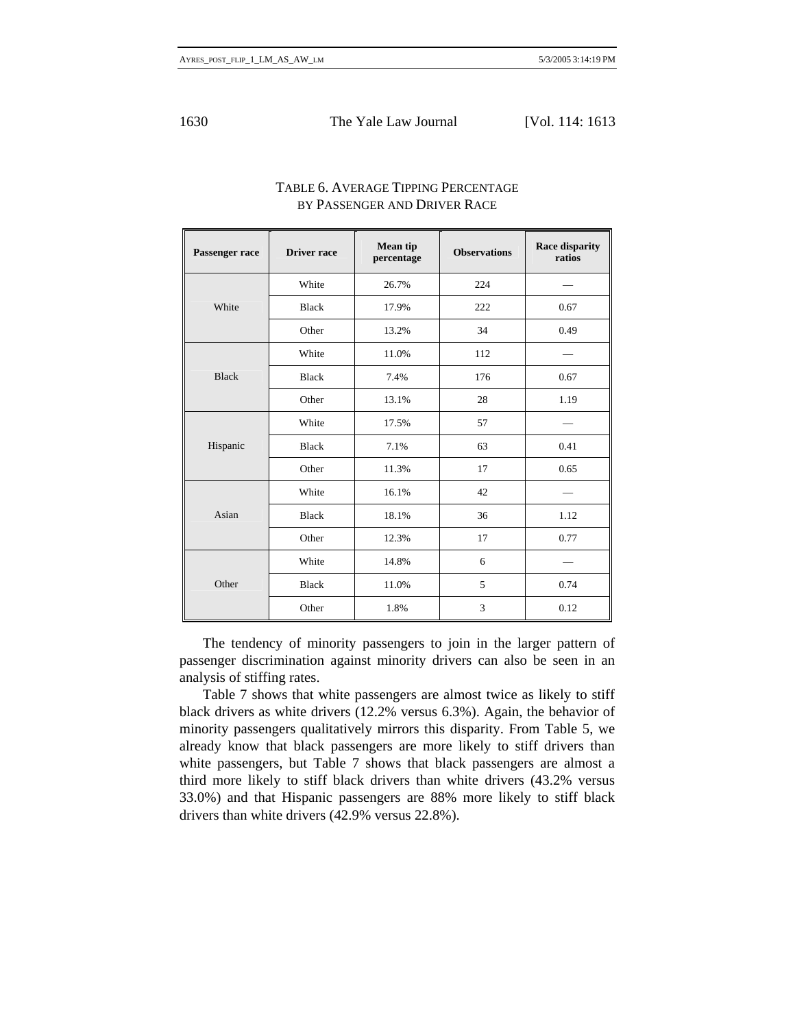| Passenger race | <b>Driver race</b> | Mean tip<br>percentage | <b>Observations</b> | <b>Race disparity</b><br>ratios |
|----------------|--------------------|------------------------|---------------------|---------------------------------|
|                | White              | 26.7%                  | 224                 |                                 |
| White          | <b>Black</b>       | 17.9%                  | 222                 | 0.67                            |
|                | Other              | 13.2%                  | 34                  | 0.49                            |
|                | White              | 11.0%                  | 112                 |                                 |
| <b>Black</b>   | <b>Black</b>       | 7.4%                   | 176                 | 0.67                            |
|                | Other              | 13.1%                  | 28                  | 1.19                            |
|                | White              | 17.5%                  | 57                  |                                 |
| Hispanic       | <b>Black</b>       | 7.1%                   | 63                  | 0.41                            |
|                | Other              | 11.3%                  | 17                  | 0.65                            |
|                | White              | 16.1%                  | 42                  |                                 |
| Asian          | <b>Black</b>       | 18.1%                  | 36                  | 1.12                            |
|                | Other              | 12.3%                  | 17                  | 0.77                            |
|                | White              | 14.8%                  | 6                   |                                 |
| Other          | <b>Black</b>       | 11.0%                  | 5                   | 0.74                            |
|                | Other              | 1.8%                   | 3                   | 0.12                            |

# TABLE 6. AVERAGE TIPPING PERCENTAGE BY PASSENGER AND DRIVER RACE

The tendency of minority passengers to join in the larger pattern of passenger discrimination against minority drivers can also be seen in an analysis of stiffing rates.

Table 7 shows that white passengers are almost twice as likely to stiff black drivers as white drivers (12.2% versus 6.3%). Again, the behavior of minority passengers qualitatively mirrors this disparity. From Table 5, we already know that black passengers are more likely to stiff drivers than white passengers, but Table 7 shows that black passengers are almost a third more likely to stiff black drivers than white drivers (43.2% versus 33.0%) and that Hispanic passengers are 88% more likely to stiff black drivers than white drivers (42.9% versus 22.8%).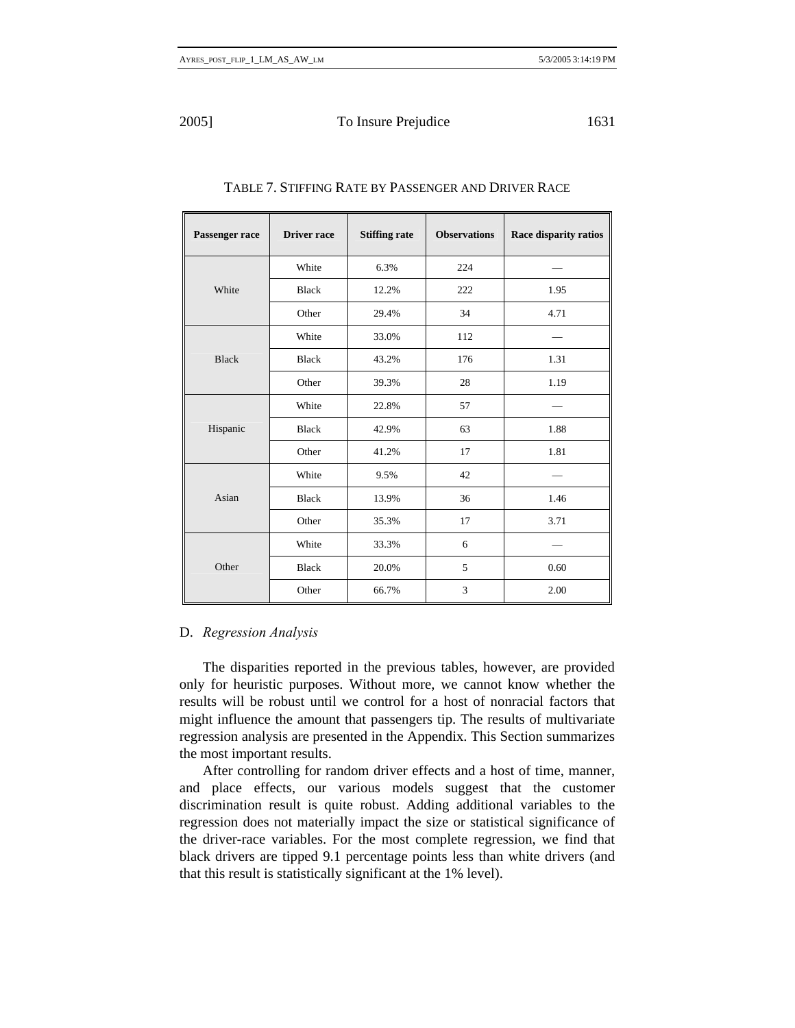**Passenger race Driver race Stiffing rate Observations Race disparity ratios** White 6.3% 224 — White Black 12.2% 222 1.95 Other 29.4% 34 4.71 White 33.0% 112 — Black Black 13.2% 176 1.31 Other 1 39.3% 28 1.19 White 22.8% 57 — Hispanic Black 42.9% 63 1.88 Other | 41.2% | 17 | 1.81 White 9.5% 42 — Asian | Black | 13.9% | 36 | 1.46 Other 135.3% 17 3.71 White  $33.3\%$  6 —  $-$ Other **Black** 20.0% 5 0.60 Other 66.7% 3 2.00

#### TABLE 7. STIFFING RATE BY PASSENGER AND DRIVER RACE

#### D. *Regression Analysis*

The disparities reported in the previous tables, however, are provided only for heuristic purposes. Without more, we cannot know whether the results will be robust until we control for a host of nonracial factors that might influence the amount that passengers tip. The results of multivariate regression analysis are presented in the Appendix. This Section summarizes the most important results.

After controlling for random driver effects and a host of time, manner, and place effects, our various models suggest that the customer discrimination result is quite robust. Adding additional variables to the regression does not materially impact the size or statistical significance of the driver-race variables. For the most complete regression, we find that black drivers are tipped 9.1 percentage points less than white drivers (and that this result is statistically significant at the 1% level).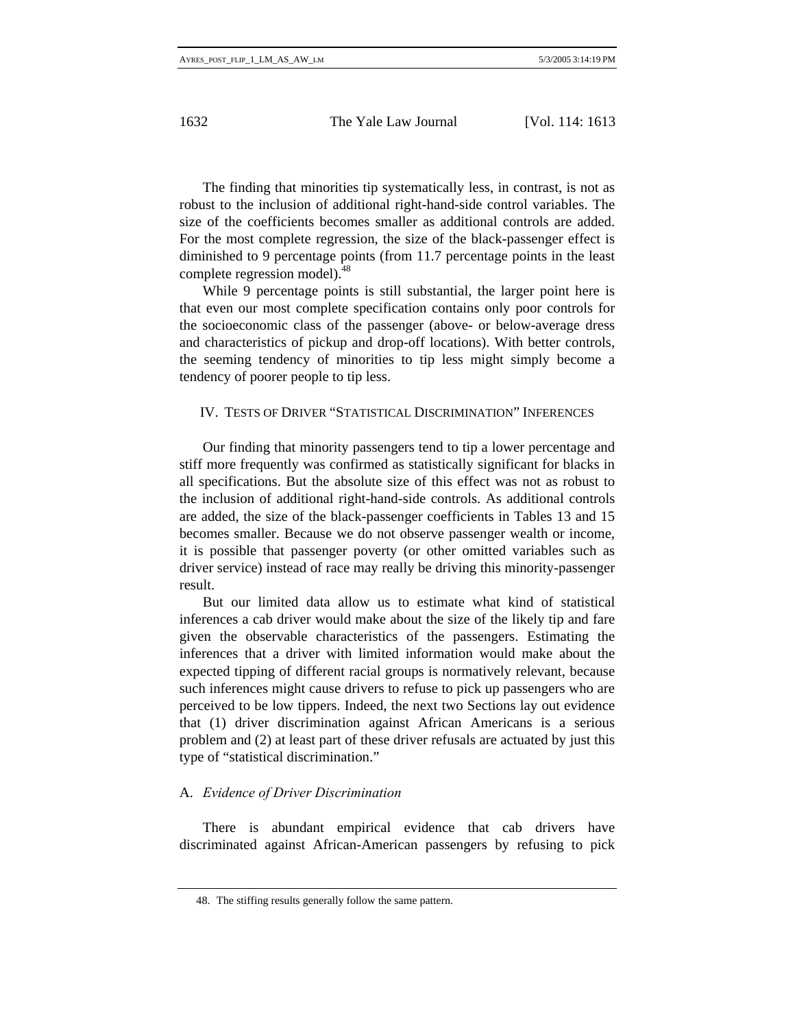The finding that minorities tip systematically less, in contrast, is not as robust to the inclusion of additional right-hand-side control variables. The size of the coefficients becomes smaller as additional controls are added. For the most complete regression, the size of the black-passenger effect is diminished to 9 percentage points (from 11.7 percentage points in the least complete regression model).<sup>48</sup>

While 9 percentage points is still substantial, the larger point here is that even our most complete specification contains only poor controls for the socioeconomic class of the passenger (above- or below-average dress and characteristics of pickup and drop-off locations). With better controls, the seeming tendency of minorities to tip less might simply become a tendency of poorer people to tip less.

#### IV. TESTS OF DRIVER "STATISTICAL DISCRIMINATION" INFERENCES

Our finding that minority passengers tend to tip a lower percentage and stiff more frequently was confirmed as statistically significant for blacks in all specifications. But the absolute size of this effect was not as robust to the inclusion of additional right-hand-side controls. As additional controls are added, the size of the black-passenger coefficients in Tables 13 and 15 becomes smaller. Because we do not observe passenger wealth or income, it is possible that passenger poverty (or other omitted variables such as driver service) instead of race may really be driving this minority-passenger result.

But our limited data allow us to estimate what kind of statistical inferences a cab driver would make about the size of the likely tip and fare given the observable characteristics of the passengers. Estimating the inferences that a driver with limited information would make about the expected tipping of different racial groups is normatively relevant, because such inferences might cause drivers to refuse to pick up passengers who are perceived to be low tippers. Indeed, the next two Sections lay out evidence that (1) driver discrimination against African Americans is a serious problem and (2) at least part of these driver refusals are actuated by just this type of "statistical discrimination."

# A. *Evidence of Driver Discrimination*

There is abundant empirical evidence that cab drivers have discriminated against African-American passengers by refusing to pick

<sup>48.</sup> The stiffing results generally follow the same pattern.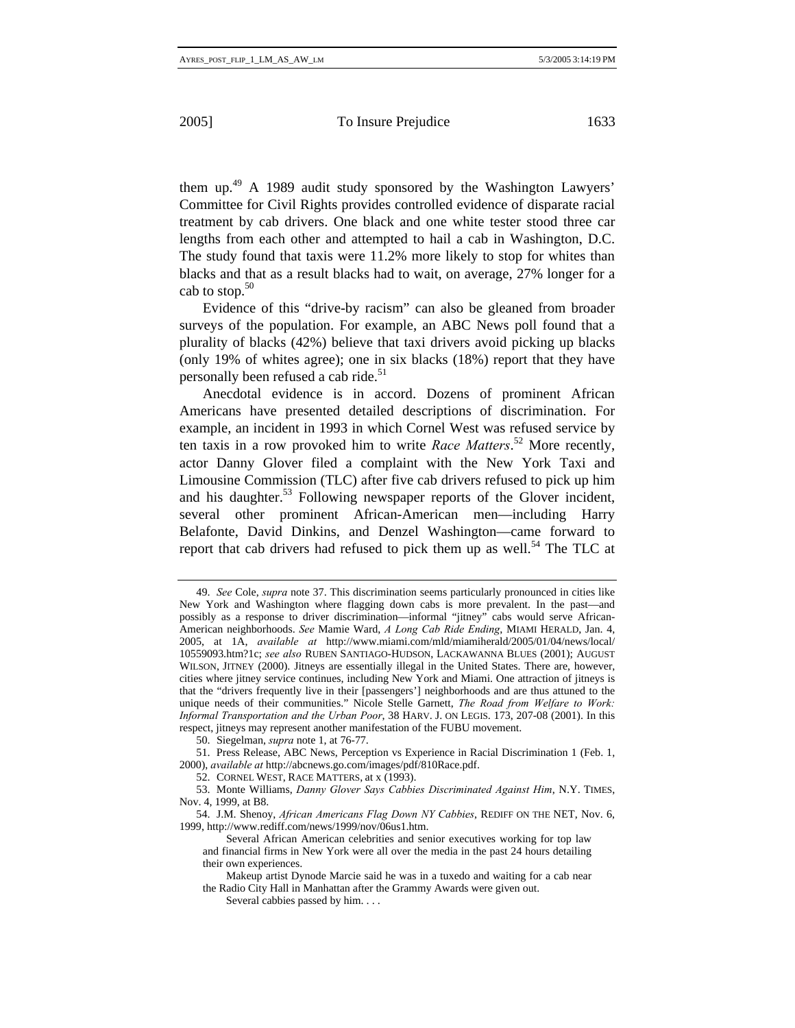them up.49 A 1989 audit study sponsored by the Washington Lawyers' Committee for Civil Rights provides controlled evidence of disparate racial treatment by cab drivers. One black and one white tester stood three car lengths from each other and attempted to hail a cab in Washington, D.C. The study found that taxis were 11.2% more likely to stop for whites than blacks and that as a result blacks had to wait, on average, 27% longer for a cab to stop. $50$ 

Evidence of this "drive-by racism" can also be gleaned from broader surveys of the population. For example, an ABC News poll found that a plurality of blacks (42%) believe that taxi drivers avoid picking up blacks (only 19% of whites agree); one in six blacks (18%) report that they have personally been refused a cab ride.<sup>51</sup>

Anecdotal evidence is in accord. Dozens of prominent African Americans have presented detailed descriptions of discrimination. For example, an incident in 1993 in which Cornel West was refused service by ten taxis in a row provoked him to write *Race Matters*. 52 More recently, actor Danny Glover filed a complaint with the New York Taxi and Limousine Commission (TLC) after five cab drivers refused to pick up him and his daughter.<sup>53</sup> Following newspaper reports of the Glover incident, several other prominent African-American men—including Harry Belafonte, David Dinkins, and Denzel Washington—came forward to report that cab drivers had refused to pick them up as well.<sup>54</sup> The TLC at

<sup>49.</sup> *See* Cole, *supra* note 37. This discrimination seems particularly pronounced in cities like New York and Washington where flagging down cabs is more prevalent. In the past—and possibly as a response to driver discrimination—informal "jitney" cabs would serve African-American neighborhoods. *See* Mamie Ward, *A Long Cab Ride Ending*, MIAMI HERALD, Jan. 4, 2005, at 1A, *available at* http://www.miami.com/mld/miamiherald/2005/01/04/news/local/ 10559093.htm?1c; *see also* RUBEN SANTIAGO-HUDSON, LACKAWANNA BLUES (2001); AUGUST WILSON, JITNEY (2000). Jitneys are essentially illegal in the United States. There are, however, cities where jitney service continues, including New York and Miami. One attraction of jitneys is that the "drivers frequently live in their [passengers'] neighborhoods and are thus attuned to the unique needs of their communities." Nicole Stelle Garnett, *The Road from Welfare to Work: Informal Transportation and the Urban Poor*, 38 HARV. J. ON LEGIS. 173, 207-08 (2001). In this respect, jitneys may represent another manifestation of the FUBU movement.

<sup>50.</sup> Siegelman, *supra* note 1, at 76-77.

<sup>51.</sup> Press Release, ABC News, Perception vs Experience in Racial Discrimination 1 (Feb. 1, 2000), *available at* http://abcnews.go.com/images/pdf/810Race.pdf.

<sup>52.</sup> CORNEL WEST, RACE MATTERS, at x (1993).

<sup>53.</sup> Monte Williams, *Danny Glover Says Cabbies Discriminated Against Him*, N.Y. TIMES, Nov. 4, 1999, at B8.

<sup>54.</sup> J.M. Shenoy, *African Americans Flag Down NY Cabbies*, REDIFF ON THE NET, Nov. 6, 1999, http://www.rediff.com/news/1999/nov/06us1.htm.

Several African American celebrities and senior executives working for top law and financial firms in New York were all over the media in the past 24 hours detailing their own experiences.

Makeup artist Dynode Marcie said he was in a tuxedo and waiting for a cab near the Radio City Hall in Manhattan after the Grammy Awards were given out.

Several cabbies passed by him. . . .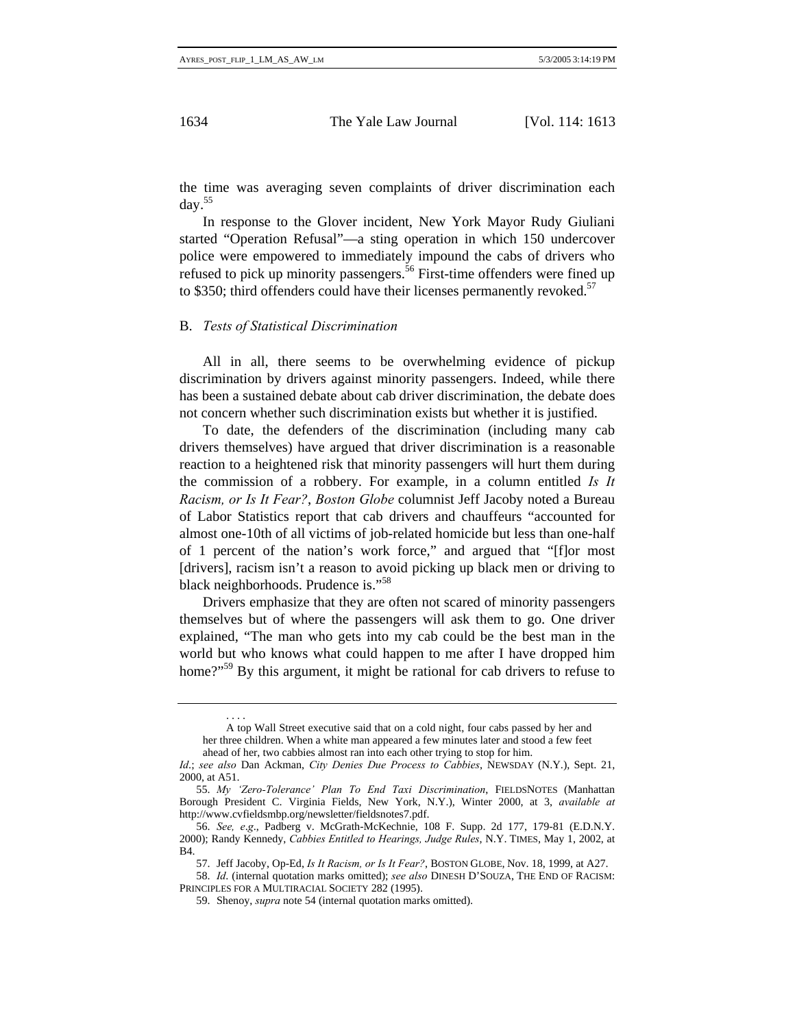the time was averaging seven complaints of driver discrimination each day.55

In response to the Glover incident, New York Mayor Rudy Giuliani started "Operation Refusal"—a sting operation in which 150 undercover police were empowered to immediately impound the cabs of drivers who refused to pick up minority passengers.<sup>56</sup> First-time offenders were fined up to \$350; third offenders could have their licenses permanently revoked.<sup>57</sup>

#### B. *Tests of Statistical Discrimination*

. . . .

All in all, there seems to be overwhelming evidence of pickup discrimination by drivers against minority passengers. Indeed, while there has been a sustained debate about cab driver discrimination, the debate does not concern whether such discrimination exists but whether it is justified.

To date, the defenders of the discrimination (including many cab drivers themselves) have argued that driver discrimination is a reasonable reaction to a heightened risk that minority passengers will hurt them during the commission of a robbery. For example, in a column entitled *Is It Racism, or Is It Fear?*, *Boston Globe* columnist Jeff Jacoby noted a Bureau of Labor Statistics report that cab drivers and chauffeurs "accounted for almost one-10th of all victims of job-related homicide but less than one-half of 1 percent of the nation's work force," and argued that "[f]or most [drivers], racism isn't a reason to avoid picking up black men or driving to black neighborhoods. Prudence is."<sup>58</sup>

Drivers emphasize that they are often not scared of minority passengers themselves but of where the passengers will ask them to go. One driver explained, "The man who gets into my cab could be the best man in the world but who knows what could happen to me after I have dropped him home?"<sup>59</sup> By this argument, it might be rational for cab drivers to refuse to

A top Wall Street executive said that on a cold night, four cabs passed by her and her three children. When a white man appeared a few minutes later and stood a few feet ahead of her, two cabbies almost ran into each other trying to stop for him.

*Id*.; *see also* Dan Ackman, *City Denies Due Process to Cabbies*, NEWSDAY (N.Y.), Sept. 21, 2000, at A51.

<sup>55.</sup> *My 'Zero-Tolerance' Plan To End Taxi Discrimination*, FIELDSNOTES (Manhattan Borough President C. Virginia Fields, New York, N.Y.), Winter 2000, at 3, *available at* http://www.cvfieldsmbp.org/newsletter/fieldsnotes7.pdf.

<sup>56.</sup> *See, e*.*g*., Padberg v. McGrath-McKechnie, 108 F. Supp. 2d 177, 179-81 (E.D.N.Y. 2000); Randy Kennedy, *Cabbies Entitled to Hearings, Judge Rules*, N.Y. TIMES, May 1, 2002, at B4.

<sup>57.</sup> Jeff Jacoby, Op-Ed, *Is It Racism, or Is It Fear?*, BOSTON GLOBE, Nov. 18, 1999, at A27.

<sup>58.</sup> *Id*. (internal quotation marks omitted); *see also* DINESH D'SOUZA, THE END OF RACISM: PRINCIPLES FOR A MULTIRACIAL SOCIETY 282 (1995).

<sup>59.</sup> Shenoy, *supra* note 54 (internal quotation marks omitted).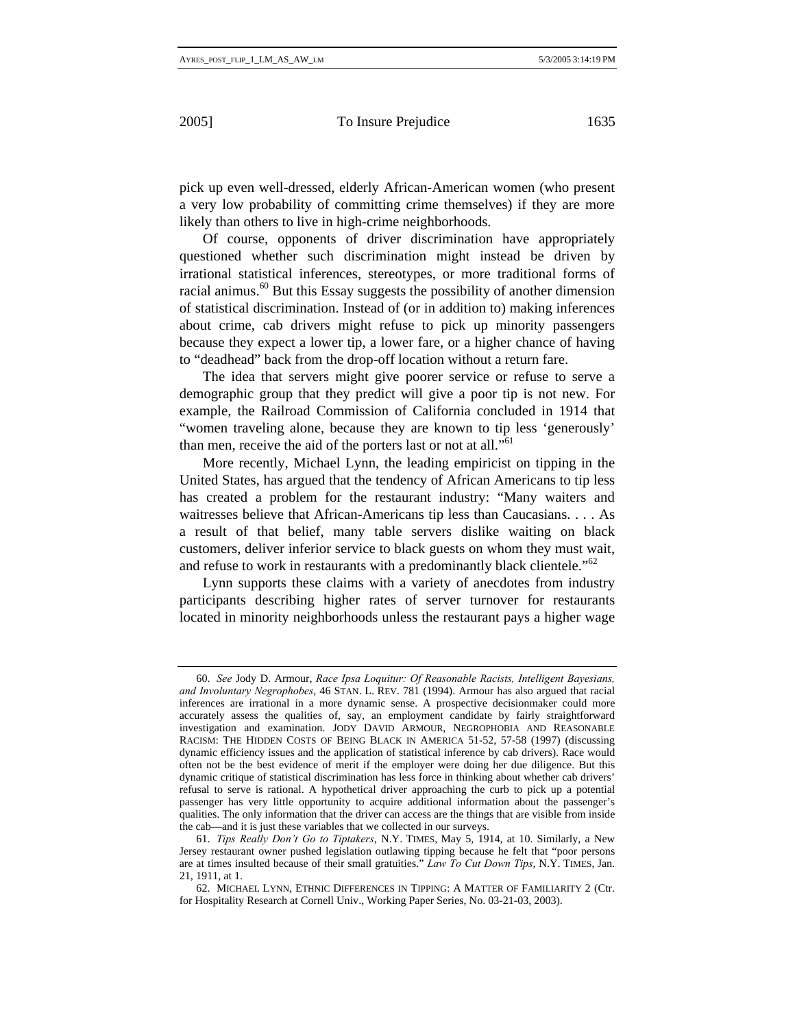pick up even well-dressed, elderly African-American women (who present a very low probability of committing crime themselves) if they are more likely than others to live in high-crime neighborhoods.

Of course, opponents of driver discrimination have appropriately questioned whether such discrimination might instead be driven by irrational statistical inferences, stereotypes, or more traditional forms of racial animus.<sup>60</sup> But this Essay suggests the possibility of another dimension of statistical discrimination. Instead of (or in addition to) making inferences about crime, cab drivers might refuse to pick up minority passengers because they expect a lower tip, a lower fare, or a higher chance of having to "deadhead" back from the drop-off location without a return fare.

The idea that servers might give poorer service or refuse to serve a demographic group that they predict will give a poor tip is not new. For example, the Railroad Commission of California concluded in 1914 that "women traveling alone, because they are known to tip less 'generously' than men, receive the aid of the porters last or not at all."<sup>61</sup>

More recently, Michael Lynn, the leading empiricist on tipping in the United States, has argued that the tendency of African Americans to tip less has created a problem for the restaurant industry: "Many waiters and waitresses believe that African-Americans tip less than Caucasians. . . . As a result of that belief, many table servers dislike waiting on black customers, deliver inferior service to black guests on whom they must wait, and refuse to work in restaurants with a predominantly black clientele.<sup>"62</sup>

Lynn supports these claims with a variety of anecdotes from industry participants describing higher rates of server turnover for restaurants located in minority neighborhoods unless the restaurant pays a higher wage

<sup>60.</sup> *See* Jody D. Armour, *Race Ipsa Loquitur: Of Reasonable Racists, Intelligent Bayesians, and Involuntary Negrophobes*, 46 STAN. L. REV. 781 (1994). Armour has also argued that racial inferences are irrational in a more dynamic sense. A prospective decisionmaker could more accurately assess the qualities of, say, an employment candidate by fairly straightforward investigation and examination. JODY DAVID ARMOUR, NEGROPHOBIA AND REASONABLE RACISM: THE HIDDEN COSTS OF BEING BLACK IN AMERICA 51-52, 57-58 (1997) (discussing dynamic efficiency issues and the application of statistical inference by cab drivers). Race would often not be the best evidence of merit if the employer were doing her due diligence. But this dynamic critique of statistical discrimination has less force in thinking about whether cab drivers' refusal to serve is rational. A hypothetical driver approaching the curb to pick up a potential passenger has very little opportunity to acquire additional information about the passenger's qualities. The only information that the driver can access are the things that are visible from inside the cab—and it is just these variables that we collected in our surveys.

<sup>61.</sup> *Tips Really Don't Go to Tiptakers*, N.Y. TIMES, May 5, 1914, at 10. Similarly, a New Jersey restaurant owner pushed legislation outlawing tipping because he felt that "poor persons are at times insulted because of their small gratuities." *Law To Cut Down Tips*, N.Y. TIMES, Jan. 21, 1911, at 1.

<sup>62.</sup> MICHAEL LYNN, ETHNIC DIFFERENCES IN TIPPING: A MATTER OF FAMILIARITY 2 (Ctr. for Hospitality Research at Cornell Univ., Working Paper Series, No. 03-21-03, 2003).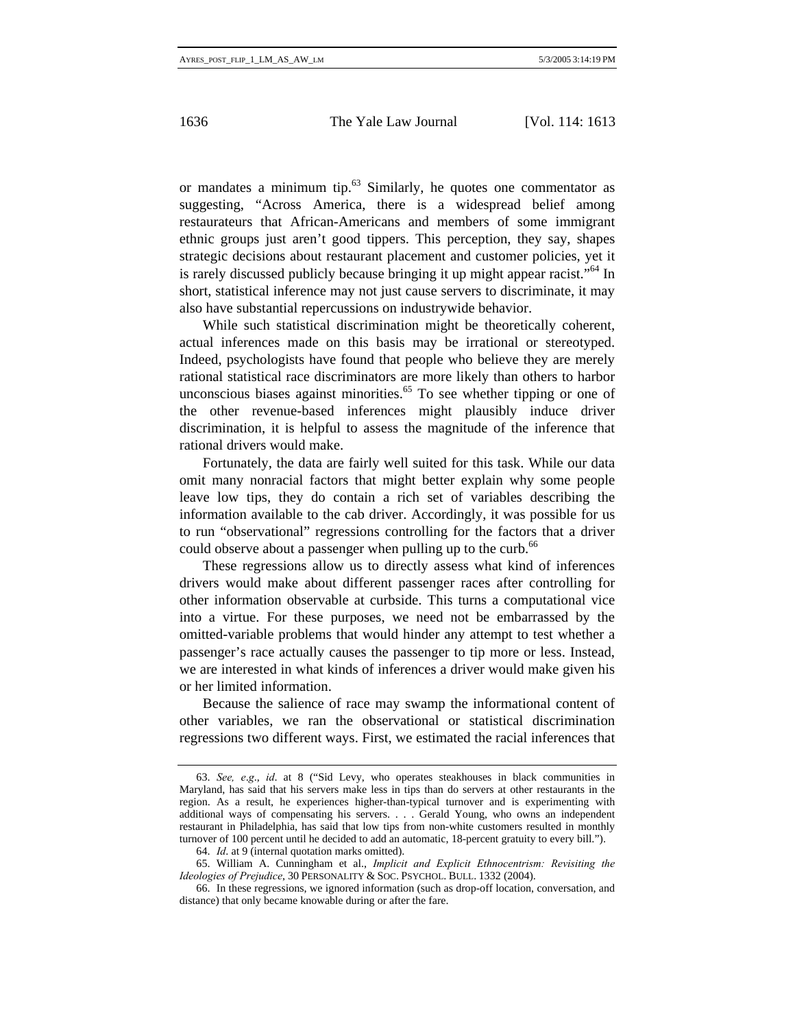or mandates a minimum tip. $63$  Similarly, he quotes one commentator as suggesting, "Across America, there is a widespread belief among restaurateurs that African-Americans and members of some immigrant ethnic groups just aren't good tippers. This perception, they say, shapes strategic decisions about restaurant placement and customer policies, yet it is rarely discussed publicly because bringing it up might appear racist."<sup>64</sup> In short, statistical inference may not just cause servers to discriminate, it may also have substantial repercussions on industrywide behavior.

While such statistical discrimination might be theoretically coherent, actual inferences made on this basis may be irrational or stereotyped. Indeed, psychologists have found that people who believe they are merely rational statistical race discriminators are more likely than others to harbor unconscious biases against minorities. $65$  To see whether tipping or one of the other revenue-based inferences might plausibly induce driver discrimination, it is helpful to assess the magnitude of the inference that rational drivers would make.

Fortunately, the data are fairly well suited for this task. While our data omit many nonracial factors that might better explain why some people leave low tips, they do contain a rich set of variables describing the information available to the cab driver. Accordingly, it was possible for us to run "observational" regressions controlling for the factors that a driver could observe about a passenger when pulling up to the curb.<sup>66</sup>

These regressions allow us to directly assess what kind of inferences drivers would make about different passenger races after controlling for other information observable at curbside. This turns a computational vice into a virtue. For these purposes, we need not be embarrassed by the omitted-variable problems that would hinder any attempt to test whether a passenger's race actually causes the passenger to tip more or less. Instead, we are interested in what kinds of inferences a driver would make given his or her limited information.

Because the salience of race may swamp the informational content of other variables, we ran the observational or statistical discrimination regressions two different ways. First, we estimated the racial inferences that

<sup>63.</sup> *See, e*.*g*., *id*. at 8 ("Sid Levy, who operates steakhouses in black communities in Maryland, has said that his servers make less in tips than do servers at other restaurants in the region. As a result, he experiences higher-than-typical turnover and is experimenting with additional ways of compensating his servers. . . . Gerald Young, who owns an independent restaurant in Philadelphia, has said that low tips from non-white customers resulted in monthly turnover of 100 percent until he decided to add an automatic, 18-percent gratuity to every bill.").

<sup>64.</sup> *Id*. at 9 (internal quotation marks omitted).

<sup>65.</sup> William A. Cunningham et al., *Implicit and Explicit Ethnocentrism: Revisiting the Ideologies of Prejudice*, 30 PERSONALITY & SOC. PSYCHOL. BULL. 1332 (2004).

<sup>66.</sup> In these regressions, we ignored information (such as drop-off location, conversation, and distance) that only became knowable during or after the fare.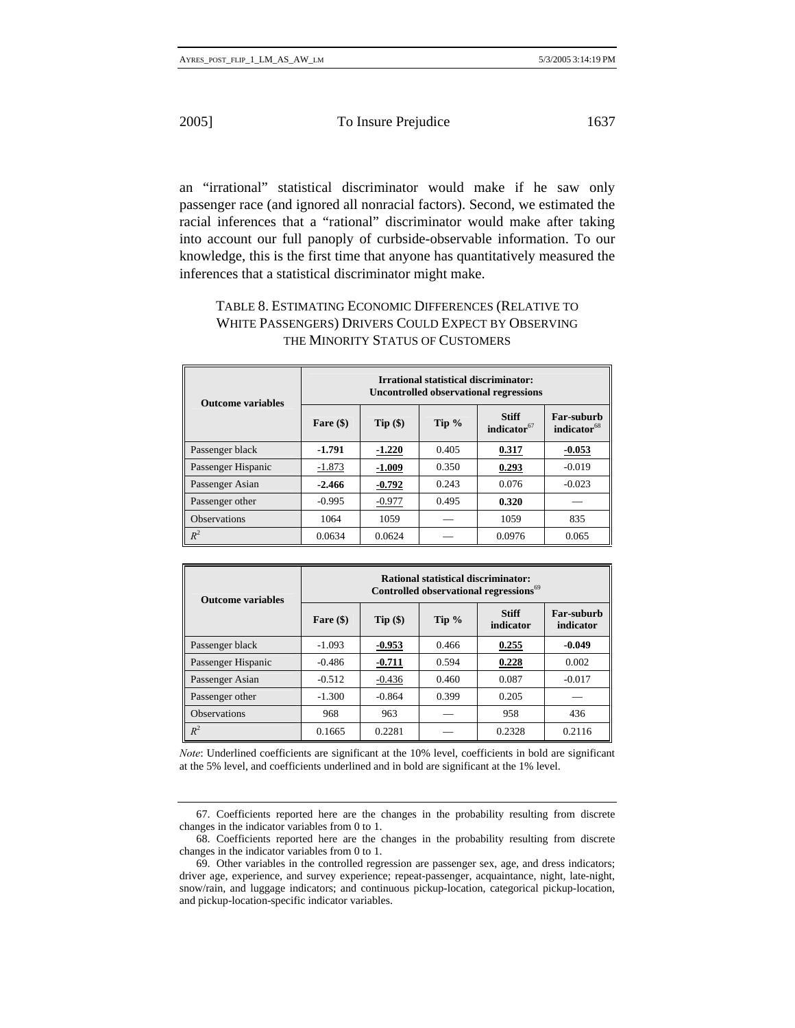an "irrational" statistical discriminator would make if he saw only passenger race (and ignored all nonracial factors). Second, we estimated the racial inferences that a "rational" discriminator would make after taking into account our full panoply of curbside-observable information. To our knowledge, this is the first time that anyone has quantitatively measured the inferences that a statistical discriminator might make.

# TABLE 8. ESTIMATING ECONOMIC DIFFERENCES (RELATIVE TO WHITE PASSENGERS) DRIVERS COULD EXPECT BY OBSERVING THE MINORITY STATUS OF CUSTOMERS

| <b>Outcome variables</b> | Irrational statistical discriminator:<br>Uncontrolled observational regressions |          |       |                                |                                              |  |
|--------------------------|---------------------------------------------------------------------------------|----------|-------|--------------------------------|----------------------------------------------|--|
|                          | Fare $(\$)$                                                                     | Tip(\$)  | Tip % | <b>Stiff</b><br>indicator $67$ | <b>Far-suburb</b><br>indicator <sup>68</sup> |  |
| Passenger black          | $-1.791$                                                                        | $-1.220$ | 0.405 | 0.317                          | $-0.053$                                     |  |
| Passenger Hispanic       | $-1.873$                                                                        | $-1.009$ | 0.350 | 0.293                          | $-0.019$                                     |  |
| Passenger Asian          | $-2.466$                                                                        | $-0.792$ | 0.243 | 0.076                          | $-0.023$                                     |  |
| Passenger other          | $-0.995$                                                                        | $-0.977$ | 0.495 | 0.320                          |                                              |  |
| <b>Observations</b>      | 1064                                                                            | 1059     |       | 1059                           | 835                                          |  |
| $\mathbf{I}$<br>$R^2$    | 0.0634                                                                          | 0.0624   |       | 0.0976                         | 0.065                                        |  |

| <b>Outcome variables</b> | Rational statistical discriminator:<br>Controlled observational regressions <sup>69</sup> |          |       |                           |                                |  |
|--------------------------|-------------------------------------------------------------------------------------------|----------|-------|---------------------------|--------------------------------|--|
|                          | Fare $(\$)$                                                                               | Tip(\$)  | Tip % | <b>Stiff</b><br>indicator | <b>Far-suburb</b><br>indicator |  |
| Passenger black          | $-1.093$                                                                                  | $-0.953$ | 0.466 | 0.255                     | $-0.049$                       |  |
| Passenger Hispanic       | $-0.486$                                                                                  | $-0.711$ | 0.594 | 0.228                     | 0.002                          |  |
| Passenger Asian          | $-0.512$                                                                                  | $-0.436$ | 0.460 | 0.087                     | $-0.017$                       |  |
| Passenger other          | $-1.300$                                                                                  | $-0.864$ | 0.399 | 0.205                     |                                |  |
| <b>Observations</b>      | 968                                                                                       | 963      |       | 958                       | 436                            |  |
| $R^2$                    | 0.1665                                                                                    | 0.2281   |       | 0.2328                    | 0.2116                         |  |

*Note*: Underlined coefficients are significant at the 10% level, coefficients in bold are significant at the 5% level, and coefficients underlined and in bold are significant at the 1% level.

<sup>67.</sup> Coefficients reported here are the changes in the probability resulting from discrete changes in the indicator variables from 0 to 1.

<sup>68.</sup> Coefficients reported here are the changes in the probability resulting from discrete changes in the indicator variables from 0 to 1.

<sup>69.</sup> Other variables in the controlled regression are passenger sex, age, and dress indicators; driver age, experience, and survey experience; repeat-passenger, acquaintance, night, late-night, snow/rain, and luggage indicators; and continuous pickup-location, categorical pickup-location, and pickup-location-specific indicator variables.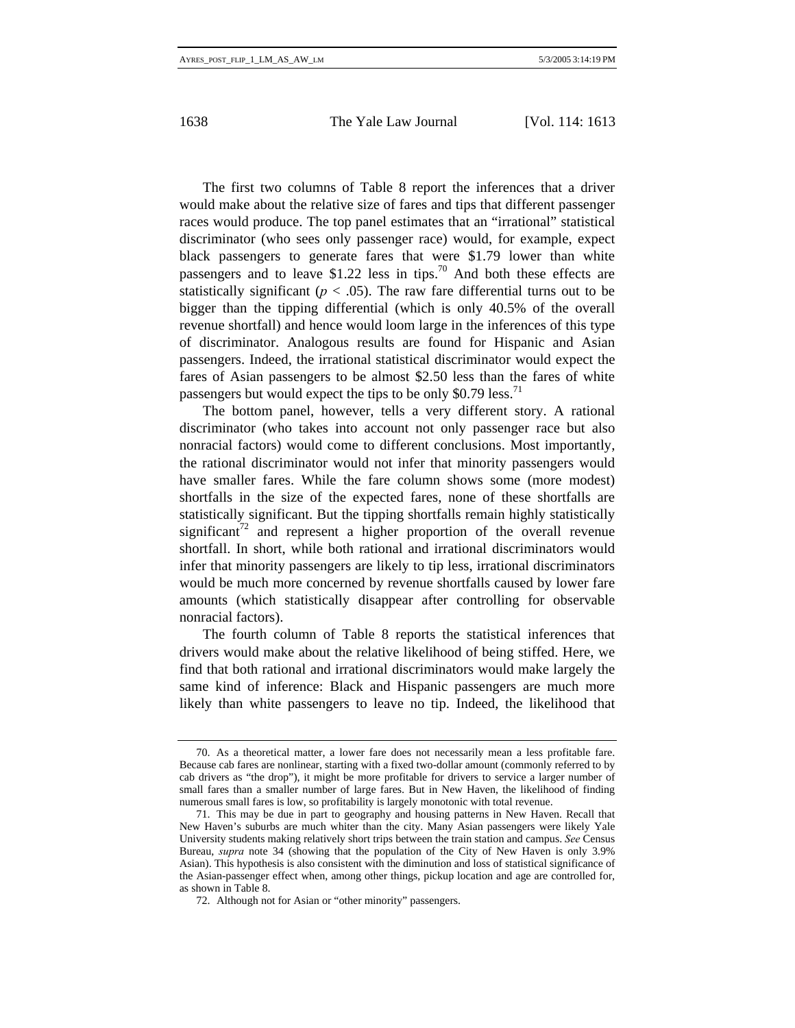The first two columns of Table 8 report the inferences that a driver would make about the relative size of fares and tips that different passenger races would produce. The top panel estimates that an "irrational" statistical discriminator (who sees only passenger race) would, for example, expect black passengers to generate fares that were \$1.79 lower than white passengers and to leave \$1.22 less in tips.<sup>70</sup> And both these effects are statistically significant ( $p < .05$ ). The raw fare differential turns out to be bigger than the tipping differential (which is only 40.5% of the overall revenue shortfall) and hence would loom large in the inferences of this type of discriminator. Analogous results are found for Hispanic and Asian passengers. Indeed, the irrational statistical discriminator would expect the fares of Asian passengers to be almost \$2.50 less than the fares of white passengers but would expect the tips to be only  $$0.79$  less.<sup>71</sup>

The bottom panel, however, tells a very different story. A rational discriminator (who takes into account not only passenger race but also nonracial factors) would come to different conclusions. Most importantly, the rational discriminator would not infer that minority passengers would have smaller fares. While the fare column shows some (more modest) shortfalls in the size of the expected fares, none of these shortfalls are statistically significant. But the tipping shortfalls remain highly statistically significant<sup>72</sup> and represent a higher proportion of the overall revenue shortfall. In short, while both rational and irrational discriminators would infer that minority passengers are likely to tip less, irrational discriminators would be much more concerned by revenue shortfalls caused by lower fare amounts (which statistically disappear after controlling for observable nonracial factors).

The fourth column of Table 8 reports the statistical inferences that drivers would make about the relative likelihood of being stiffed. Here, we find that both rational and irrational discriminators would make largely the same kind of inference: Black and Hispanic passengers are much more likely than white passengers to leave no tip. Indeed, the likelihood that

<sup>70.</sup> As a theoretical matter, a lower fare does not necessarily mean a less profitable fare. Because cab fares are nonlinear, starting with a fixed two-dollar amount (commonly referred to by cab drivers as "the drop"), it might be more profitable for drivers to service a larger number of small fares than a smaller number of large fares. But in New Haven, the likelihood of finding numerous small fares is low, so profitability is largely monotonic with total revenue.

<sup>71.</sup> This may be due in part to geography and housing patterns in New Haven. Recall that New Haven's suburbs are much whiter than the city. Many Asian passengers were likely Yale University students making relatively short trips between the train station and campus. *See* Census Bureau, *supra* note 34 (showing that the population of the City of New Haven is only 3.9% Asian). This hypothesis is also consistent with the diminution and loss of statistical significance of the Asian-passenger effect when, among other things, pickup location and age are controlled for, as shown in Table 8.

<sup>72.</sup> Although not for Asian or "other minority" passengers.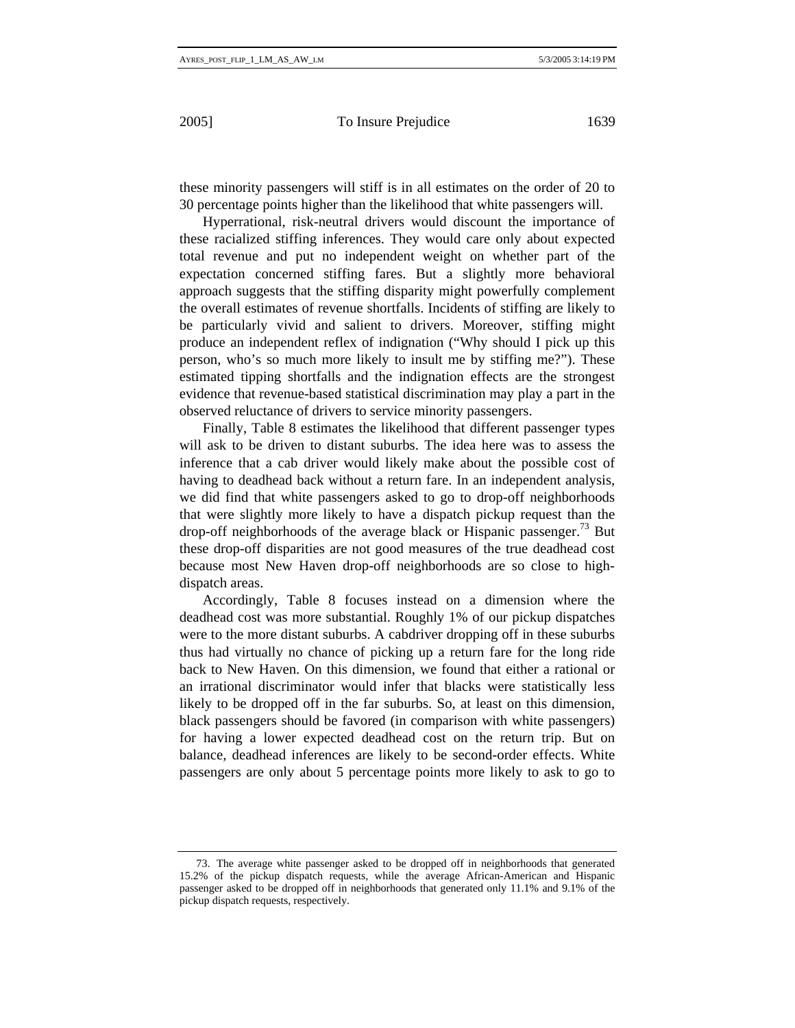these minority passengers will stiff is in all estimates on the order of 20 to 30 percentage points higher than the likelihood that white passengers will.

Hyperrational, risk-neutral drivers would discount the importance of these racialized stiffing inferences. They would care only about expected total revenue and put no independent weight on whether part of the expectation concerned stiffing fares. But a slightly more behavioral approach suggests that the stiffing disparity might powerfully complement the overall estimates of revenue shortfalls. Incidents of stiffing are likely to be particularly vivid and salient to drivers. Moreover, stiffing might produce an independent reflex of indignation ("Why should I pick up this person, who's so much more likely to insult me by stiffing me?"). These estimated tipping shortfalls and the indignation effects are the strongest evidence that revenue-based statistical discrimination may play a part in the observed reluctance of drivers to service minority passengers.

Finally, Table 8 estimates the likelihood that different passenger types will ask to be driven to distant suburbs. The idea here was to assess the inference that a cab driver would likely make about the possible cost of having to deadhead back without a return fare. In an independent analysis, we did find that white passengers asked to go to drop-off neighborhoods that were slightly more likely to have a dispatch pickup request than the drop-off neighborhoods of the average black or Hispanic passenger.<sup>73</sup> But these drop-off disparities are not good measures of the true deadhead cost because most New Haven drop-off neighborhoods are so close to highdispatch areas.

Accordingly, Table 8 focuses instead on a dimension where the deadhead cost was more substantial. Roughly 1% of our pickup dispatches were to the more distant suburbs. A cabdriver dropping off in these suburbs thus had virtually no chance of picking up a return fare for the long ride back to New Haven. On this dimension, we found that either a rational or an irrational discriminator would infer that blacks were statistically less likely to be dropped off in the far suburbs. So, at least on this dimension, black passengers should be favored (in comparison with white passengers) for having a lower expected deadhead cost on the return trip. But on balance, deadhead inferences are likely to be second-order effects. White passengers are only about 5 percentage points more likely to ask to go to

<sup>73.</sup> The average white passenger asked to be dropped off in neighborhoods that generated 15.2% of the pickup dispatch requests, while the average African-American and Hispanic passenger asked to be dropped off in neighborhoods that generated only 11.1% and 9.1% of the pickup dispatch requests, respectively.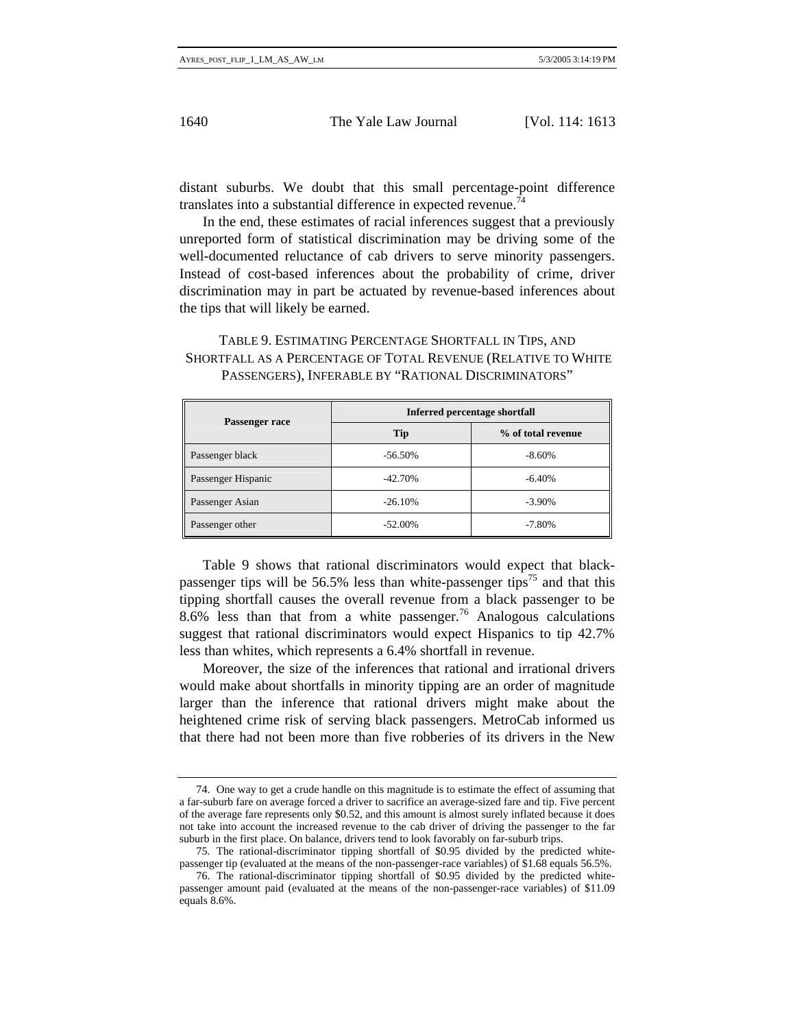distant suburbs. We doubt that this small percentage-point difference translates into a substantial difference in expected revenue.<sup>74</sup>

In the end, these estimates of racial inferences suggest that a previously unreported form of statistical discrimination may be driving some of the well-documented reluctance of cab drivers to serve minority passengers. Instead of cost-based inferences about the probability of crime, driver discrimination may in part be actuated by revenue-based inferences about the tips that will likely be earned.

| Passenger race           | <b>Inferred percentage shortfall</b> |                    |  |  |  |
|--------------------------|--------------------------------------|--------------------|--|--|--|
|                          | Tip                                  | % of total revenue |  |  |  |
| Passenger black          | $-56.50\%$                           | $-8.60\%$          |  |  |  |
| II<br>Passenger Hispanic | $-42.70%$                            | $-6.40%$           |  |  |  |
| Passenger Asian          | $-26.10%$                            | $-3.90\%$          |  |  |  |
| Passenger other          | $-52.00\%$                           | $-7.80\%$          |  |  |  |

# TABLE 9. ESTIMATING PERCENTAGE SHORTFALL IN TIPS, AND SHORTFALL AS A PERCENTAGE OF TOTAL REVENUE (RELATIVE TO WHITE PASSENGERS), INFERABLE BY "RATIONAL DISCRIMINATORS"

Table 9 shows that rational discriminators would expect that blackpassenger tips will be  $56.5\%$  less than white-passenger tips<sup>75</sup> and that this tipping shortfall causes the overall revenue from a black passenger to be 8.6% less than that from a white passenger.<sup>76</sup> Analogous calculations suggest that rational discriminators would expect Hispanics to tip 42.7% less than whites, which represents a 6.4% shortfall in revenue.

Moreover, the size of the inferences that rational and irrational drivers would make about shortfalls in minority tipping are an order of magnitude larger than the inference that rational drivers might make about the heightened crime risk of serving black passengers. MetroCab informed us that there had not been more than five robberies of its drivers in the New

<sup>74.</sup> One way to get a crude handle on this magnitude is to estimate the effect of assuming that a far-suburb fare on average forced a driver to sacrifice an average-sized fare and tip. Five percent of the average fare represents only \$0.52, and this amount is almost surely inflated because it does not take into account the increased revenue to the cab driver of driving the passenger to the far suburb in the first place. On balance, drivers tend to look favorably on far-suburb trips.

<sup>75.</sup> The rational-discriminator tipping shortfall of \$0.95 divided by the predicted whitepassenger tip (evaluated at the means of the non-passenger-race variables) of \$1.68 equals 56.5%.

<sup>76.</sup> The rational-discriminator tipping shortfall of \$0.95 divided by the predicted whitepassenger amount paid (evaluated at the means of the non-passenger-race variables) of \$11.09 equals 8.6%.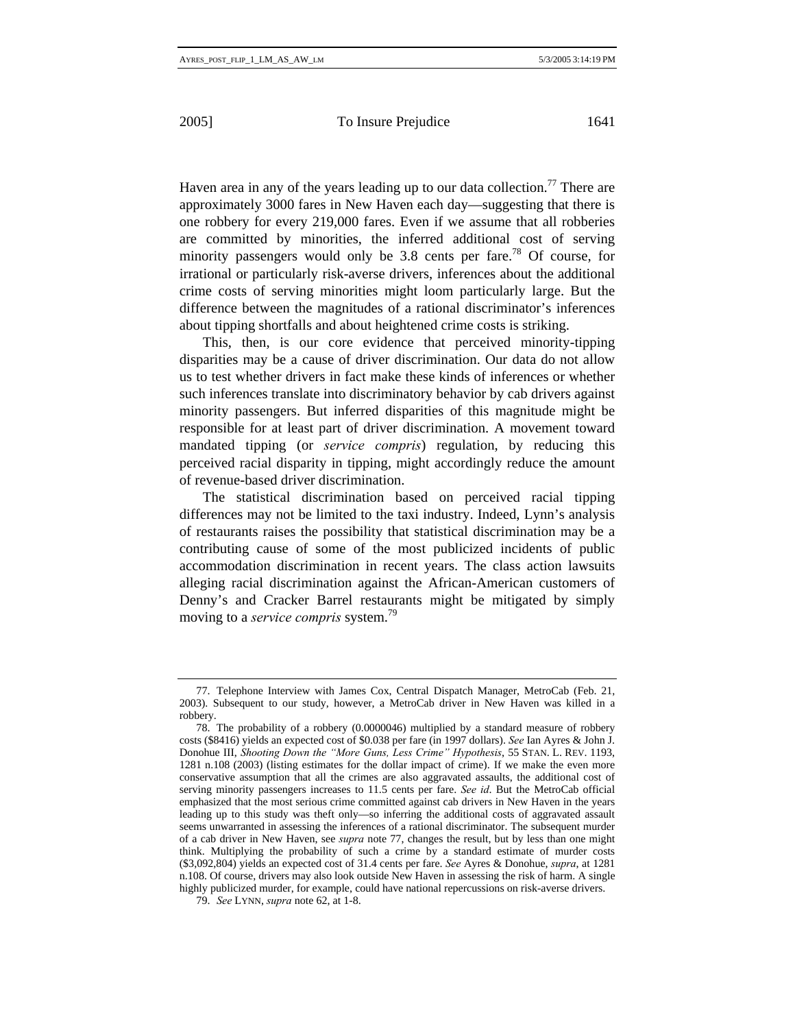Haven area in any of the years leading up to our data collection.<sup>77</sup> There are approximately 3000 fares in New Haven each day—suggesting that there is one robbery for every 219,000 fares. Even if we assume that all robberies are committed by minorities, the inferred additional cost of serving minority passengers would only be  $3.8$  cents per fare.<sup>78</sup> Of course, for irrational or particularly risk-averse drivers, inferences about the additional crime costs of serving minorities might loom particularly large. But the difference between the magnitudes of a rational discriminator's inferences about tipping shortfalls and about heightened crime costs is striking.

This, then, is our core evidence that perceived minority-tipping disparities may be a cause of driver discrimination. Our data do not allow us to test whether drivers in fact make these kinds of inferences or whether such inferences translate into discriminatory behavior by cab drivers against minority passengers. But inferred disparities of this magnitude might be responsible for at least part of driver discrimination. A movement toward mandated tipping (or *service compris*) regulation, by reducing this perceived racial disparity in tipping, might accordingly reduce the amount of revenue-based driver discrimination.

The statistical discrimination based on perceived racial tipping differences may not be limited to the taxi industry. Indeed, Lynn's analysis of restaurants raises the possibility that statistical discrimination may be a contributing cause of some of the most publicized incidents of public accommodation discrimination in recent years. The class action lawsuits alleging racial discrimination against the African-American customers of Denny's and Cracker Barrel restaurants might be mitigated by simply moving to a *service compris* system.<sup>79</sup>

<sup>77.</sup> Telephone Interview with James Cox, Central Dispatch Manager, MetroCab (Feb. 21, 2003). Subsequent to our study, however, a MetroCab driver in New Haven was killed in a robbery.

<sup>78.</sup> The probability of a robbery (0.0000046) multiplied by a standard measure of robbery costs (\$8416) yields an expected cost of \$0.038 per fare (in 1997 dollars). *See* Ian Ayres & John J. Donohue III, *Shooting Down the "More Guns, Less Crime" Hypothesis*, 55 STAN. L. REV. 1193, 1281 n.108 (2003) (listing estimates for the dollar impact of crime). If we make the even more conservative assumption that all the crimes are also aggravated assaults, the additional cost of serving minority passengers increases to 11.5 cents per fare. *See id*. But the MetroCab official emphasized that the most serious crime committed against cab drivers in New Haven in the years leading up to this study was theft only—so inferring the additional costs of aggravated assault seems unwarranted in assessing the inferences of a rational discriminator. The subsequent murder of a cab driver in New Haven, see *supra* note 77, changes the result, but by less than one might think. Multiplying the probability of such a crime by a standard estimate of murder costs (\$3,092,804) yields an expected cost of 31.4 cents per fare. *See* Ayres & Donohue, *supra*, at 1281 n.108. Of course, drivers may also look outside New Haven in assessing the risk of harm. A single highly publicized murder, for example, could have national repercussions on risk-averse drivers.

<sup>79.</sup> *See* LYNN, *supra* note 62, at 1-8.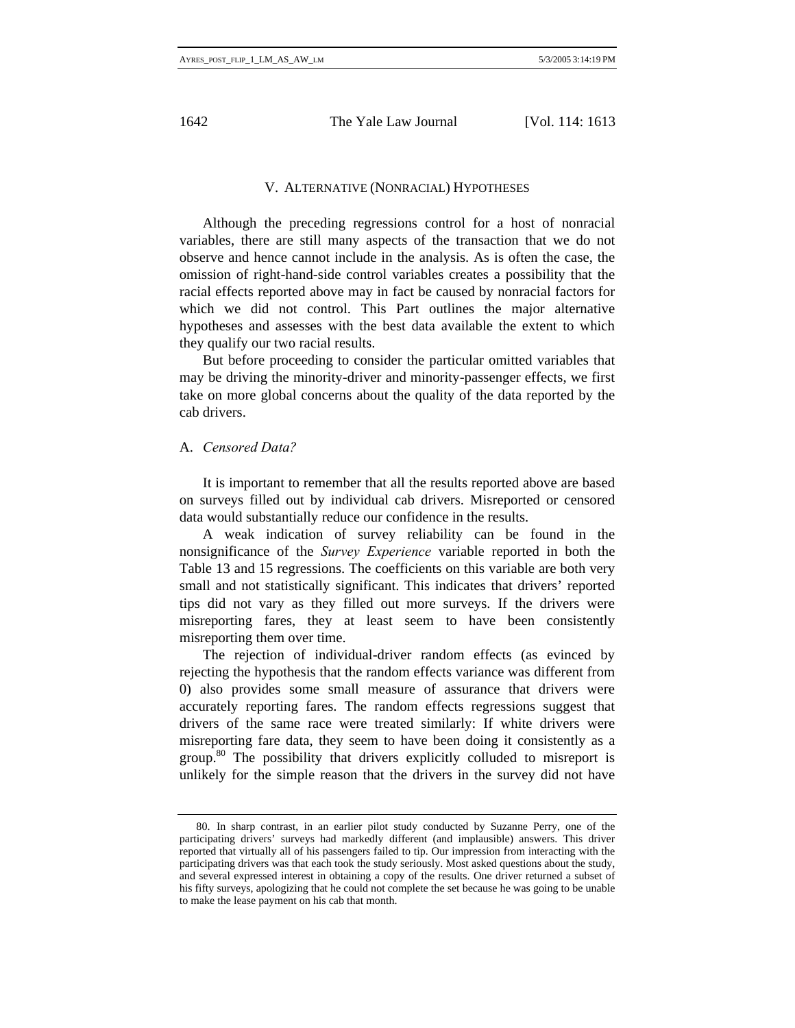#### V. ALTERNATIVE (NONRACIAL) HYPOTHESES

Although the preceding regressions control for a host of nonracial variables, there are still many aspects of the transaction that we do not observe and hence cannot include in the analysis. As is often the case, the omission of right-hand-side control variables creates a possibility that the racial effects reported above may in fact be caused by nonracial factors for which we did not control. This Part outlines the major alternative hypotheses and assesses with the best data available the extent to which they qualify our two racial results.

But before proceeding to consider the particular omitted variables that may be driving the minority-driver and minority-passenger effects, we first take on more global concerns about the quality of the data reported by the cab drivers.

#### A. *Censored Data?*

It is important to remember that all the results reported above are based on surveys filled out by individual cab drivers. Misreported or censored data would substantially reduce our confidence in the results.

A weak indication of survey reliability can be found in the nonsignificance of the *Survey Experience* variable reported in both the Table 13 and 15 regressions. The coefficients on this variable are both very small and not statistically significant. This indicates that drivers' reported tips did not vary as they filled out more surveys. If the drivers were misreporting fares, they at least seem to have been consistently misreporting them over time.

The rejection of individual-driver random effects (as evinced by rejecting the hypothesis that the random effects variance was different from 0) also provides some small measure of assurance that drivers were accurately reporting fares. The random effects regressions suggest that drivers of the same race were treated similarly: If white drivers were misreporting fare data, they seem to have been doing it consistently as a group.<sup>80</sup> The possibility that drivers explicitly colluded to misreport is unlikely for the simple reason that the drivers in the survey did not have

<sup>80.</sup> In sharp contrast, in an earlier pilot study conducted by Suzanne Perry, one of the participating drivers' surveys had markedly different (and implausible) answers. This driver reported that virtually all of his passengers failed to tip. Our impression from interacting with the participating drivers was that each took the study seriously. Most asked questions about the study, and several expressed interest in obtaining a copy of the results. One driver returned a subset of his fifty surveys, apologizing that he could not complete the set because he was going to be unable to make the lease payment on his cab that month.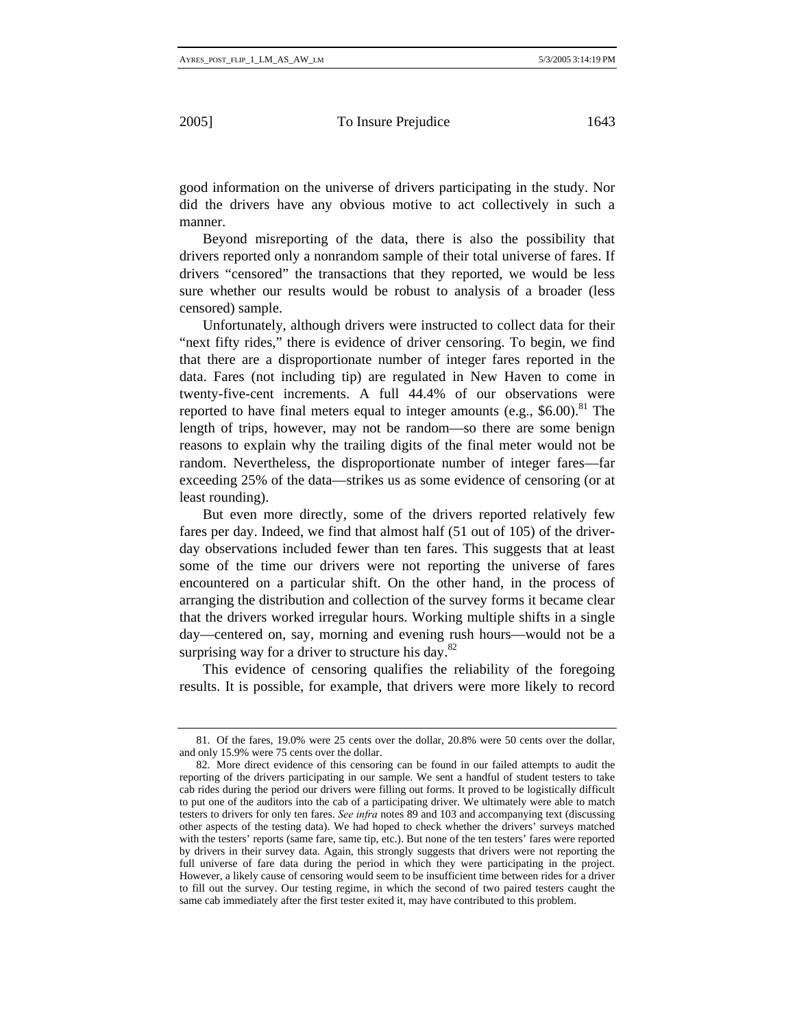good information on the universe of drivers participating in the study. Nor did the drivers have any obvious motive to act collectively in such a manner.

Beyond misreporting of the data, there is also the possibility that drivers reported only a nonrandom sample of their total universe of fares. If drivers "censored" the transactions that they reported, we would be less sure whether our results would be robust to analysis of a broader (less censored) sample.

Unfortunately, although drivers were instructed to collect data for their "next fifty rides," there is evidence of driver censoring. To begin, we find that there are a disproportionate number of integer fares reported in the data. Fares (not including tip) are regulated in New Haven to come in twenty-five-cent increments. A full 44.4% of our observations were reported to have final meters equal to integer amounts (e.g.,  $$6.00$ ).<sup>81</sup> The length of trips, however, may not be random—so there are some benign reasons to explain why the trailing digits of the final meter would not be random. Nevertheless, the disproportionate number of integer fares—far exceeding 25% of the data—strikes us as some evidence of censoring (or at least rounding).

But even more directly, some of the drivers reported relatively few fares per day. Indeed, we find that almost half (51 out of 105) of the driverday observations included fewer than ten fares. This suggests that at least some of the time our drivers were not reporting the universe of fares encountered on a particular shift. On the other hand, in the process of arranging the distribution and collection of the survey forms it became clear that the drivers worked irregular hours. Working multiple shifts in a single day—centered on, say, morning and evening rush hours—would not be a surprising way for a driver to structure his day.<sup>82</sup>

This evidence of censoring qualifies the reliability of the foregoing results. It is possible, for example, that drivers were more likely to record

<sup>81.</sup> Of the fares, 19.0% were 25 cents over the dollar, 20.8% were 50 cents over the dollar, and only 15.9% were 75 cents over the dollar.

<sup>82.</sup> More direct evidence of this censoring can be found in our failed attempts to audit the reporting of the drivers participating in our sample. We sent a handful of student testers to take cab rides during the period our drivers were filling out forms. It proved to be logistically difficult to put one of the auditors into the cab of a participating driver. We ultimately were able to match testers to drivers for only ten fares. *See infra* notes 89 and 103 and accompanying text (discussing other aspects of the testing data). We had hoped to check whether the drivers' surveys matched with the testers' reports (same fare, same tip, etc.). But none of the ten testers' fares were reported by drivers in their survey data. Again, this strongly suggests that drivers were not reporting the full universe of fare data during the period in which they were participating in the project. However, a likely cause of censoring would seem to be insufficient time between rides for a driver to fill out the survey. Our testing regime, in which the second of two paired testers caught the same cab immediately after the first tester exited it, may have contributed to this problem.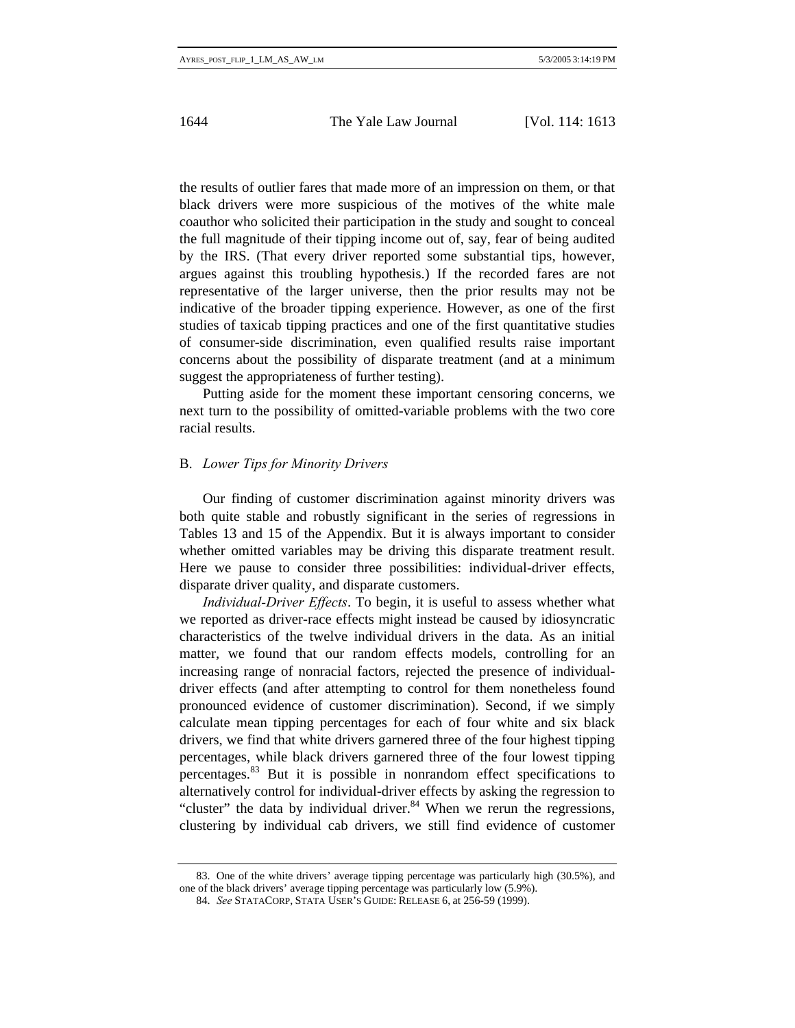the results of outlier fares that made more of an impression on them, or that black drivers were more suspicious of the motives of the white male coauthor who solicited their participation in the study and sought to conceal the full magnitude of their tipping income out of, say, fear of being audited by the IRS. (That every driver reported some substantial tips, however, argues against this troubling hypothesis.) If the recorded fares are not representative of the larger universe, then the prior results may not be indicative of the broader tipping experience. However, as one of the first studies of taxicab tipping practices and one of the first quantitative studies of consumer-side discrimination, even qualified results raise important concerns about the possibility of disparate treatment (and at a minimum suggest the appropriateness of further testing).

Putting aside for the moment these important censoring concerns, we next turn to the possibility of omitted-variable problems with the two core racial results.

## B. *Lower Tips for Minority Drivers*

Our finding of customer discrimination against minority drivers was both quite stable and robustly significant in the series of regressions in Tables 13 and 15 of the Appendix. But it is always important to consider whether omitted variables may be driving this disparate treatment result. Here we pause to consider three possibilities: individual-driver effects, disparate driver quality, and disparate customers.

*Individual-Driver Effects*. To begin, it is useful to assess whether what we reported as driver-race effects might instead be caused by idiosyncratic characteristics of the twelve individual drivers in the data. As an initial matter, we found that our random effects models, controlling for an increasing range of nonracial factors, rejected the presence of individualdriver effects (and after attempting to control for them nonetheless found pronounced evidence of customer discrimination). Second, if we simply calculate mean tipping percentages for each of four white and six black drivers, we find that white drivers garnered three of the four highest tipping percentages, while black drivers garnered three of the four lowest tipping percentages.83 But it is possible in nonrandom effect specifications to alternatively control for individual-driver effects by asking the regression to "cluster" the data by individual driver.<sup>84</sup> When we rerun the regressions, clustering by individual cab drivers, we still find evidence of customer

<sup>83.</sup> One of the white drivers' average tipping percentage was particularly high (30.5%), and one of the black drivers' average tipping percentage was particularly low (5.9%).

<sup>84.</sup> *See* STATACORP, STATA USER'S GUIDE: RELEASE 6, at 256-59 (1999).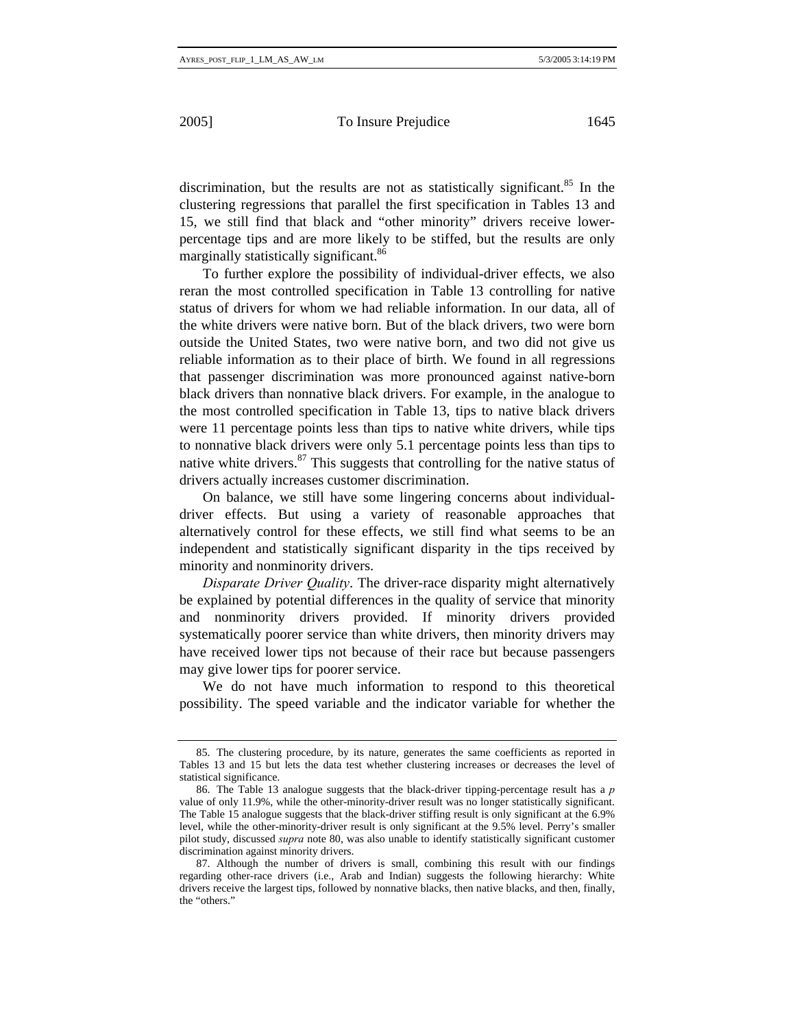discrimination, but the results are not as statistically significant.<sup>85</sup> In the clustering regressions that parallel the first specification in Tables 13 and 15, we still find that black and "other minority" drivers receive lowerpercentage tips and are more likely to be stiffed, but the results are only marginally statistically significant.<sup>86</sup>

To further explore the possibility of individual-driver effects, we also reran the most controlled specification in Table 13 controlling for native status of drivers for whom we had reliable information. In our data, all of the white drivers were native born. But of the black drivers, two were born outside the United States, two were native born, and two did not give us reliable information as to their place of birth. We found in all regressions that passenger discrimination was more pronounced against native-born black drivers than nonnative black drivers. For example, in the analogue to the most controlled specification in Table 13, tips to native black drivers were 11 percentage points less than tips to native white drivers, while tips to nonnative black drivers were only 5.1 percentage points less than tips to native white drivers. $^{87}$  This suggests that controlling for the native status of drivers actually increases customer discrimination.

On balance, we still have some lingering concerns about individualdriver effects. But using a variety of reasonable approaches that alternatively control for these effects, we still find what seems to be an independent and statistically significant disparity in the tips received by minority and nonminority drivers.

*Disparate Driver Quality*. The driver-race disparity might alternatively be explained by potential differences in the quality of service that minority and nonminority drivers provided. If minority drivers provided systematically poorer service than white drivers, then minority drivers may have received lower tips not because of their race but because passengers may give lower tips for poorer service.

We do not have much information to respond to this theoretical possibility. The speed variable and the indicator variable for whether the

<sup>85.</sup> The clustering procedure, by its nature, generates the same coefficients as reported in Tables 13 and 15 but lets the data test whether clustering increases or decreases the level of statistical significance.

<sup>86.</sup> The Table 13 analogue suggests that the black-driver tipping-percentage result has a *p* value of only 11.9%, while the other-minority-driver result was no longer statistically significant. The Table 15 analogue suggests that the black-driver stiffing result is only significant at the 6.9% level, while the other-minority-driver result is only significant at the 9.5% level. Perry's smaller pilot study, discussed *supra* note 80, was also unable to identify statistically significant customer discrimination against minority drivers.

<sup>87.</sup> Although the number of drivers is small, combining this result with our findings regarding other-race drivers (i.e., Arab and Indian) suggests the following hierarchy: White drivers receive the largest tips, followed by nonnative blacks, then native blacks, and then, finally, the "others."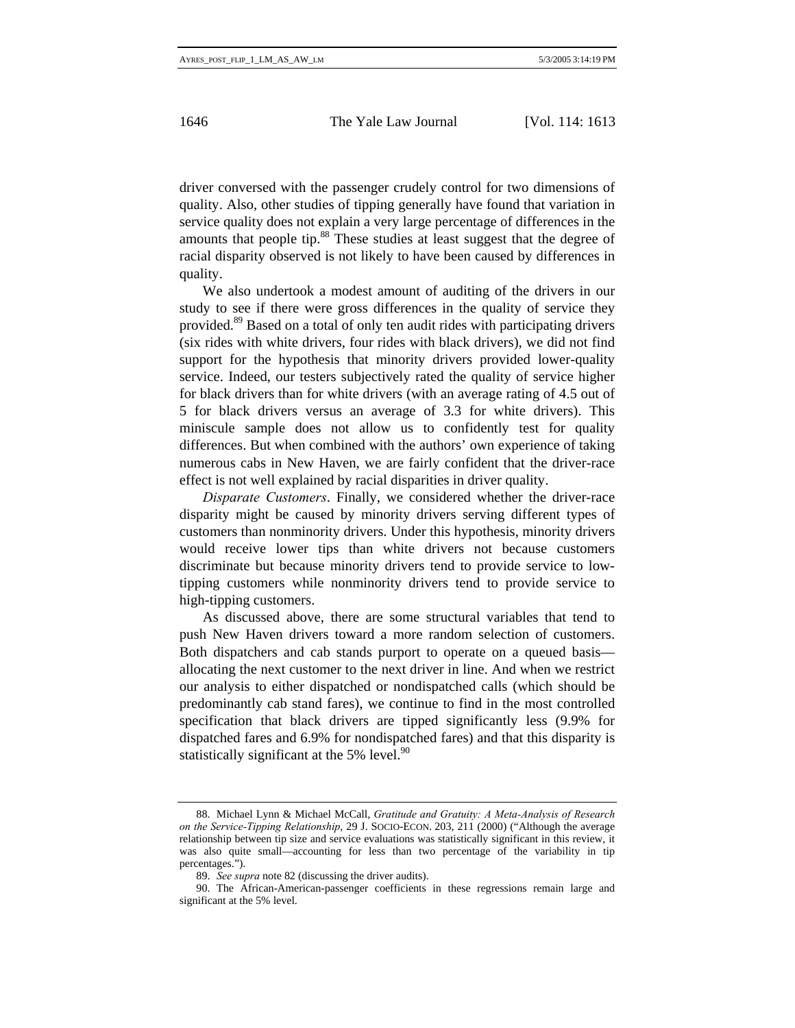driver conversed with the passenger crudely control for two dimensions of quality. Also, other studies of tipping generally have found that variation in service quality does not explain a very large percentage of differences in the amounts that people tip.<sup>88</sup> These studies at least suggest that the degree of racial disparity observed is not likely to have been caused by differences in quality.

We also undertook a modest amount of auditing of the drivers in our study to see if there were gross differences in the quality of service they provided.<sup>89</sup> Based on a total of only ten audit rides with participating drivers (six rides with white drivers, four rides with black drivers), we did not find support for the hypothesis that minority drivers provided lower-quality service. Indeed, our testers subjectively rated the quality of service higher for black drivers than for white drivers (with an average rating of 4.5 out of 5 for black drivers versus an average of 3.3 for white drivers). This miniscule sample does not allow us to confidently test for quality differences. But when combined with the authors' own experience of taking numerous cabs in New Haven, we are fairly confident that the driver-race effect is not well explained by racial disparities in driver quality.

*Disparate Customers*. Finally, we considered whether the driver-race disparity might be caused by minority drivers serving different types of customers than nonminority drivers. Under this hypothesis, minority drivers would receive lower tips than white drivers not because customers discriminate but because minority drivers tend to provide service to lowtipping customers while nonminority drivers tend to provide service to high-tipping customers.

As discussed above, there are some structural variables that tend to push New Haven drivers toward a more random selection of customers. Both dispatchers and cab stands purport to operate on a queued basis allocating the next customer to the next driver in line. And when we restrict our analysis to either dispatched or nondispatched calls (which should be predominantly cab stand fares), we continue to find in the most controlled specification that black drivers are tipped significantly less (9.9% for dispatched fares and 6.9% for nondispatched fares) and that this disparity is statistically significant at the 5% level. $90$ 

<sup>88.</sup> Michael Lynn & Michael McCall, *Gratitude and Gratuity: A Meta-Analysis of Research on the Service-Tipping Relationship*, 29 J. SOCIO-ECON. 203, 211 (2000) ("Although the average relationship between tip size and service evaluations was statistically significant in this review, it was also quite small—accounting for less than two percentage of the variability in tip percentages.").

<sup>89.</sup> *See supra* note 82 (discussing the driver audits).

<sup>90.</sup> The African-American-passenger coefficients in these regressions remain large and significant at the 5% level.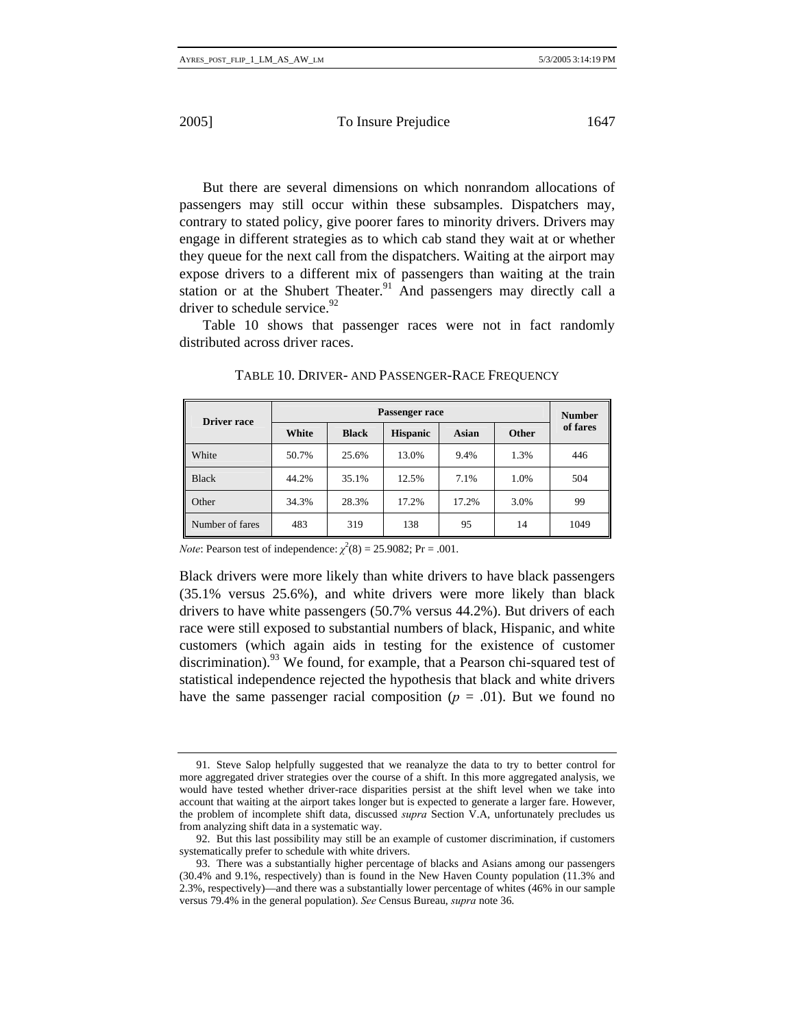But there are several dimensions on which nonrandom allocations of passengers may still occur within these subsamples. Dispatchers may, contrary to stated policy, give poorer fares to minority drivers. Drivers may engage in different strategies as to which cab stand they wait at or whether they queue for the next call from the dispatchers. Waiting at the airport may expose drivers to a different mix of passengers than waiting at the train station or at the Shubert Theater.<sup>91</sup> And passengers may directly call a driver to schedule service. $92$ 

Table 10 shows that passenger races were not in fact randomly distributed across driver races.

| <b>Driver race</b> |       | <b>Number</b> |                 |       |              |          |
|--------------------|-------|---------------|-----------------|-------|--------------|----------|
|                    | White | <b>Black</b>  | <b>Hispanic</b> | Asian | <b>Other</b> | of fares |
| White              | 50.7% | 25.6%         | 13.0%           | 9.4%  | 1.3%         | 446      |
| <b>Black</b>       | 44.2% | 35.1%         | 12.5%           | 7.1%  | 1.0%         | 504      |
| Other              | 34.3% | 28.3%         | 17.2%           | 17.2% | 3.0%         | 99       |
| Number of fares    | 483   | 319           | 138             | 95    | 14           | 1049     |

TABLE 10. DRIVER- AND PASSENGER-RACE FREQUENCY

*Note*: Pearson test of independence:  $\chi^2(8) = 25.9082$ ; Pr = .001.

Black drivers were more likely than white drivers to have black passengers (35.1% versus 25.6%), and white drivers were more likely than black drivers to have white passengers (50.7% versus 44.2%). But drivers of each race were still exposed to substantial numbers of black, Hispanic, and white customers (which again aids in testing for the existence of customer discrimination).<sup>93</sup> We found, for example, that a Pearson chi-squared test of statistical independence rejected the hypothesis that black and white drivers have the same passenger racial composition ( $p = .01$ ). But we found no

<sup>91.</sup> Steve Salop helpfully suggested that we reanalyze the data to try to better control for more aggregated driver strategies over the course of a shift. In this more aggregated analysis, we would have tested whether driver-race disparities persist at the shift level when we take into account that waiting at the airport takes longer but is expected to generate a larger fare. However, the problem of incomplete shift data, discussed *supra* Section V.A, unfortunately precludes us from analyzing shift data in a systematic way.

<sup>92.</sup> But this last possibility may still be an example of customer discrimination, if customers systematically prefer to schedule with white drivers.

<sup>93.</sup> There was a substantially higher percentage of blacks and Asians among our passengers (30.4% and 9.1%, respectively) than is found in the New Haven County population (11.3% and 2.3%, respectively)—and there was a substantially lower percentage of whites (46% in our sample versus 79.4% in the general population). *See* Census Bureau, *supra* note 36.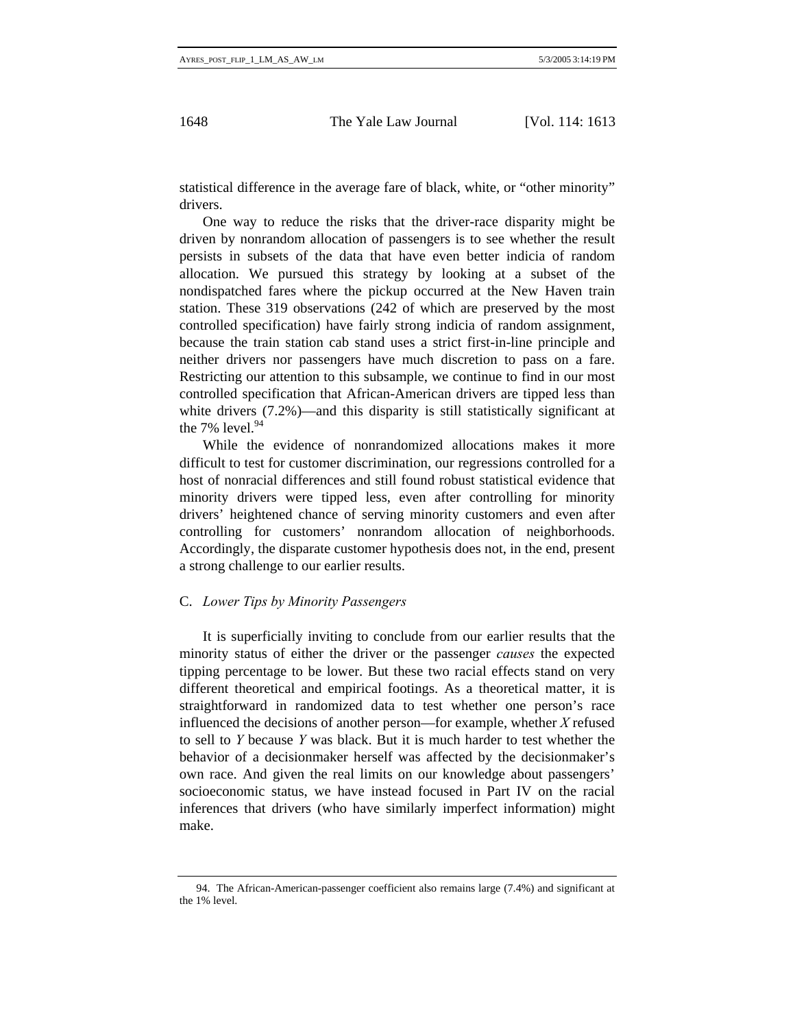statistical difference in the average fare of black, white, or "other minority" drivers.

One way to reduce the risks that the driver-race disparity might be driven by nonrandom allocation of passengers is to see whether the result persists in subsets of the data that have even better indicia of random allocation. We pursued this strategy by looking at a subset of the nondispatched fares where the pickup occurred at the New Haven train station. These 319 observations (242 of which are preserved by the most controlled specification) have fairly strong indicia of random assignment, because the train station cab stand uses a strict first-in-line principle and neither drivers nor passengers have much discretion to pass on a fare. Restricting our attention to this subsample, we continue to find in our most controlled specification that African-American drivers are tipped less than white drivers (7.2%)—and this disparity is still statistically significant at the 7% level. $94$ 

While the evidence of nonrandomized allocations makes it more difficult to test for customer discrimination, our regressions controlled for a host of nonracial differences and still found robust statistical evidence that minority drivers were tipped less, even after controlling for minority drivers' heightened chance of serving minority customers and even after controlling for customers' nonrandom allocation of neighborhoods. Accordingly, the disparate customer hypothesis does not, in the end, present a strong challenge to our earlier results.

#### C. *Lower Tips by Minority Passengers*

It is superficially inviting to conclude from our earlier results that the minority status of either the driver or the passenger *causes* the expected tipping percentage to be lower. But these two racial effects stand on very different theoretical and empirical footings. As a theoretical matter, it is straightforward in randomized data to test whether one person's race influenced the decisions of another person—for example, whether *X* refused to sell to *Y* because *Y* was black. But it is much harder to test whether the behavior of a decisionmaker herself was affected by the decisionmaker's own race. And given the real limits on our knowledge about passengers' socioeconomic status, we have instead focused in Part IV on the racial inferences that drivers (who have similarly imperfect information) might make.

<sup>94.</sup> The African-American-passenger coefficient also remains large (7.4%) and significant at the 1% level.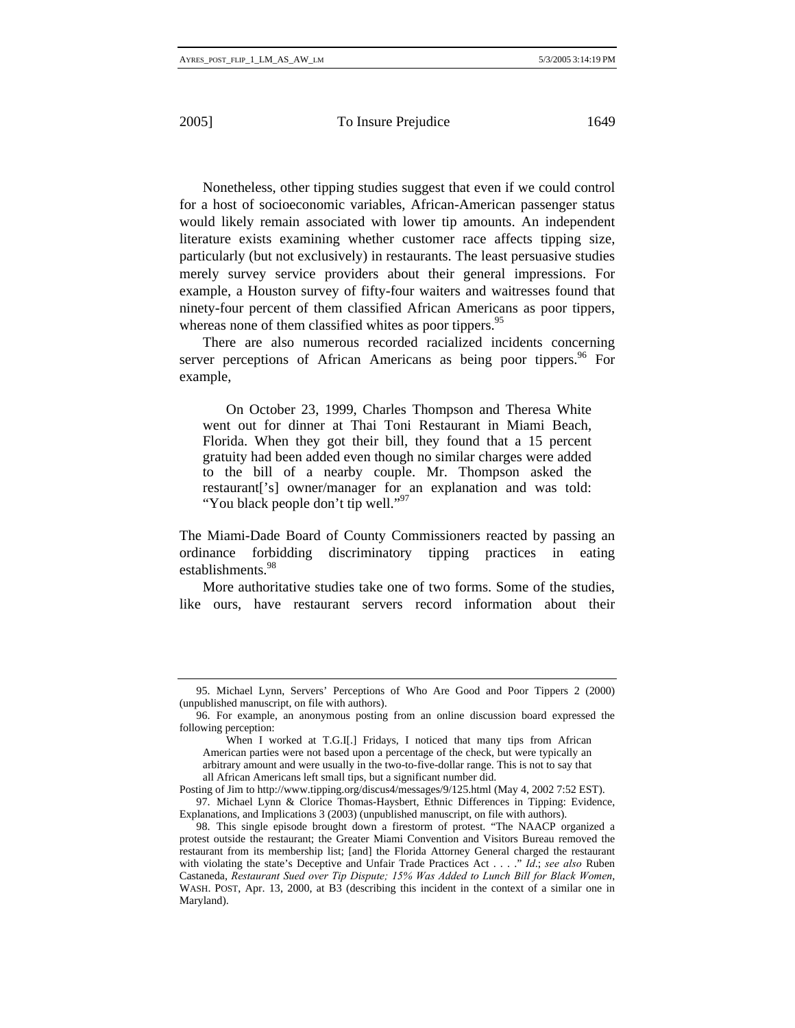Nonetheless, other tipping studies suggest that even if we could control for a host of socioeconomic variables, African-American passenger status would likely remain associated with lower tip amounts. An independent literature exists examining whether customer race affects tipping size, particularly (but not exclusively) in restaurants. The least persuasive studies merely survey service providers about their general impressions. For example, a Houston survey of fifty-four waiters and waitresses found that ninety-four percent of them classified African Americans as poor tippers, whereas none of them classified whites as poor tippers.<sup>95</sup>

There are also numerous recorded racialized incidents concerning server perceptions of African Americans as being poor tippers.  $96$  For example,

On October 23, 1999, Charles Thompson and Theresa White went out for dinner at Thai Toni Restaurant in Miami Beach, Florida. When they got their bill, they found that a 15 percent gratuity had been added even though no similar charges were added to the bill of a nearby couple. Mr. Thompson asked the restaurant['s] owner/manager for an explanation and was told: "You black people don't tip well."<sup>97</sup>

The Miami-Dade Board of County Commissioners reacted by passing an ordinance forbidding discriminatory tipping practices in eating establishments<sup>98</sup>

More authoritative studies take one of two forms. Some of the studies, like ours, have restaurant servers record information about their

<sup>95.</sup> Michael Lynn, Servers' Perceptions of Who Are Good and Poor Tippers 2 (2000) (unpublished manuscript, on file with authors).

<sup>96.</sup> For example, an anonymous posting from an online discussion board expressed the following perception:

When I worked at T.G.I[.] Fridays, I noticed that many tips from African American parties were not based upon a percentage of the check, but were typically an arbitrary amount and were usually in the two-to-five-dollar range. This is not to say that all African Americans left small tips, but a significant number did.

Posting of Jim to http://www.tipping.org/discus4/messages/9/125.html (May 4, 2002 7:52 EST).

<sup>97.</sup> Michael Lynn & Clorice Thomas-Haysbert, Ethnic Differences in Tipping: Evidence, Explanations, and Implications 3 (2003) (unpublished manuscript, on file with authors).

<sup>98.</sup> This single episode brought down a firestorm of protest. "The NAACP organized a protest outside the restaurant; the Greater Miami Convention and Visitors Bureau removed the restaurant from its membership list; [and] the Florida Attorney General charged the restaurant with violating the state's Deceptive and Unfair Trade Practices Act . . . ." *Id*.; *see also* Ruben Castaneda, *Restaurant Sued over Tip Dispute; 15% Was Added to Lunch Bill for Black Women*, WASH. POST, Apr. 13, 2000, at B3 (describing this incident in the context of a similar one in Maryland).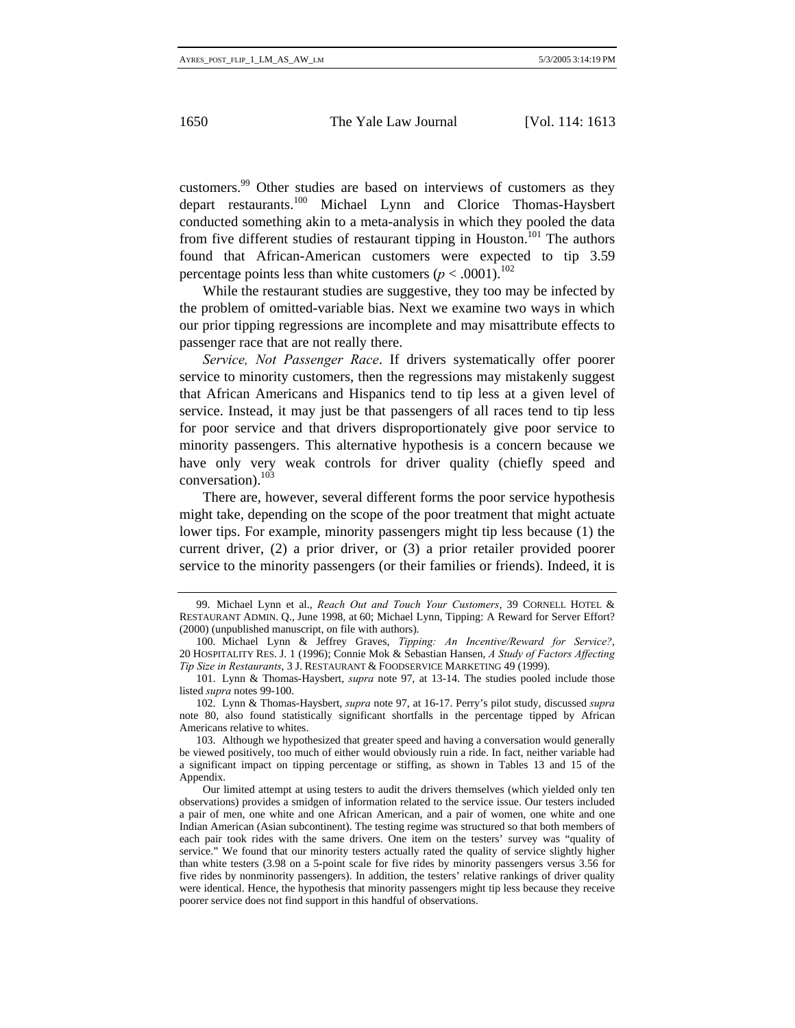customers.99 Other studies are based on interviews of customers as they depart restaurants.100 Michael Lynn and Clorice Thomas-Haysbert conducted something akin to a meta-analysis in which they pooled the data from five different studies of restaurant tipping in Houston.<sup>101</sup> The authors found that African-American customers were expected to tip 3.59 percentage points less than white customers ( $p < .0001$ ).<sup>102</sup>

While the restaurant studies are suggestive, they too may be infected by the problem of omitted-variable bias. Next we examine two ways in which our prior tipping regressions are incomplete and may misattribute effects to passenger race that are not really there.

*Service, Not Passenger Race*. If drivers systematically offer poorer service to minority customers, then the regressions may mistakenly suggest that African Americans and Hispanics tend to tip less at a given level of service. Instead, it may just be that passengers of all races tend to tip less for poor service and that drivers disproportionately give poor service to minority passengers. This alternative hypothesis is a concern because we have only very weak controls for driver quality (chiefly speed and conversation). $^{103}$ 

There are, however, several different forms the poor service hypothesis might take, depending on the scope of the poor treatment that might actuate lower tips. For example, minority passengers might tip less because (1) the current driver, (2) a prior driver, or (3) a prior retailer provided poorer service to the minority passengers (or their families or friends). Indeed, it is

<sup>99.</sup> Michael Lynn et al., *Reach Out and Touch Your Customers*, 39 CORNELL HOTEL & RESTAURANT ADMIN. Q., June 1998, at 60; Michael Lynn, Tipping: A Reward for Server Effort? (2000) (unpublished manuscript, on file with authors).

<sup>100.</sup> Michael Lynn & Jeffrey Graves, *Tipping: An Incentive/Reward for Service?*, 20 HOSPITALITY RES. J. 1 (1996); Connie Mok & Sebastian Hansen, *A Study of Factors Affecting Tip Size in Restaurants*, 3 J. RESTAURANT & FOODSERVICE MARKETING 49 (1999).

<sup>101.</sup> Lynn & Thomas-Haysbert, *supra* note 97, at 13-14. The studies pooled include those listed *supra* notes 99-100.

<sup>102.</sup> Lynn & Thomas-Haysbert, *supra* note 97, at 16-17. Perry's pilot study, discussed *supra* note 80, also found statistically significant shortfalls in the percentage tipped by African Americans relative to whites.

<sup>103.</sup> Although we hypothesized that greater speed and having a conversation would generally be viewed positively, too much of either would obviously ruin a ride. In fact, neither variable had a significant impact on tipping percentage or stiffing, as shown in Tables 13 and 15 of the Appendix.

Our limited attempt at using testers to audit the drivers themselves (which yielded only ten observations) provides a smidgen of information related to the service issue. Our testers included a pair of men, one white and one African American, and a pair of women, one white and one Indian American (Asian subcontinent). The testing regime was structured so that both members of each pair took rides with the same drivers. One item on the testers' survey was "quality of service." We found that our minority testers actually rated the quality of service slightly higher than white testers (3.98 on a 5-point scale for five rides by minority passengers versus 3.56 for five rides by nonminority passengers). In addition, the testers' relative rankings of driver quality were identical. Hence, the hypothesis that minority passengers might tip less because they receive poorer service does not find support in this handful of observations.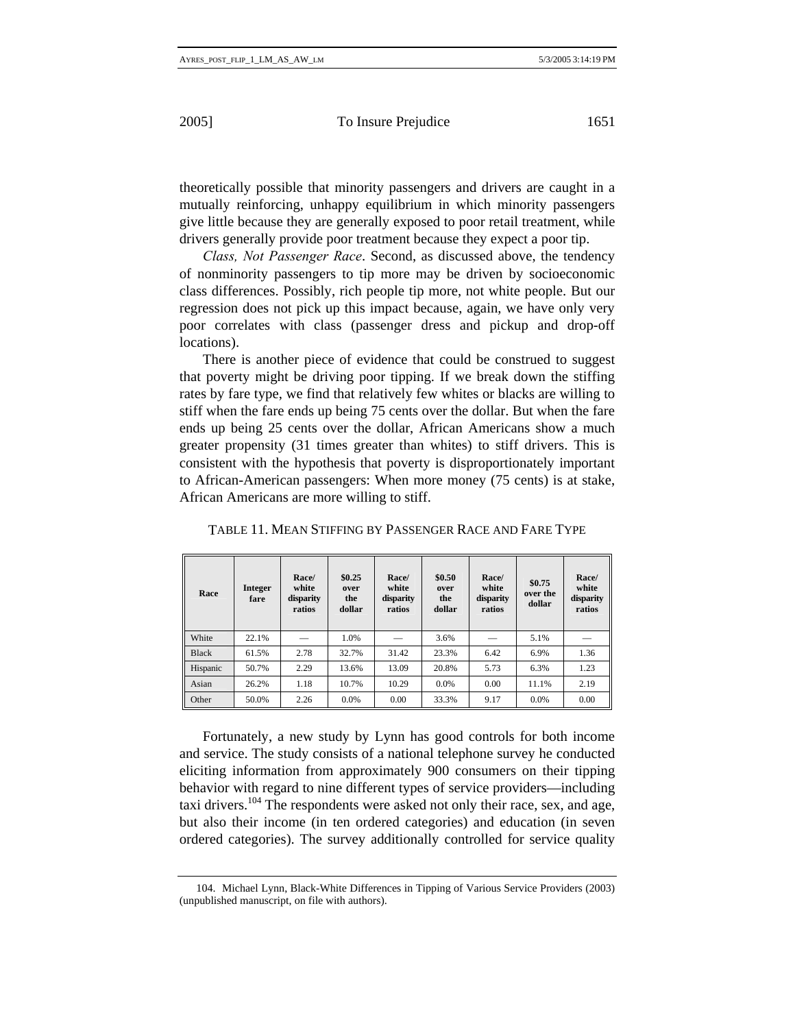theoretically possible that minority passengers and drivers are caught in a mutually reinforcing, unhappy equilibrium in which minority passengers give little because they are generally exposed to poor retail treatment, while drivers generally provide poor treatment because they expect a poor tip.

*Class, Not Passenger Race*. Second, as discussed above, the tendency of nonminority passengers to tip more may be driven by socioeconomic class differences. Possibly, rich people tip more, not white people. But our regression does not pick up this impact because, again, we have only very poor correlates with class (passenger dress and pickup and drop-off locations).

There is another piece of evidence that could be construed to suggest that poverty might be driving poor tipping. If we break down the stiffing rates by fare type, we find that relatively few whites or blacks are willing to stiff when the fare ends up being 75 cents over the dollar. But when the fare ends up being 25 cents over the dollar, African Americans show a much greater propensity (31 times greater than whites) to stiff drivers. This is consistent with the hypothesis that poverty is disproportionately important to African-American passengers: When more money (75 cents) is at stake, African Americans are more willing to stiff.

| Race         | Integer<br>fare | Race/<br>white<br>disparity<br>ratios | \$0.25<br>over<br>the<br>dollar | Race/<br>white<br>disparity<br>ratios | \$0.50<br>over<br>the<br>dollar | Race/<br>white<br>disparity<br>ratios | \$0.75<br>over the<br>dollar | Race/<br>white<br>disparity<br>ratios |
|--------------|-----------------|---------------------------------------|---------------------------------|---------------------------------------|---------------------------------|---------------------------------------|------------------------------|---------------------------------------|
| White        | 22.1%           |                                       | 1.0%                            |                                       | 3.6%                            |                                       | 5.1%                         |                                       |
| <b>Black</b> | 61.5%           | 2.78                                  | 32.7%                           | 31.42                                 | 23.3%                           | 6.42                                  | 6.9%                         | 1.36                                  |
| Hispanic     | 50.7%           | 2.29                                  | 13.6%                           | 13.09                                 | 20.8%                           | 5.73                                  | 6.3%                         | 1.23                                  |
| Asian        | 26.2%           | 1.18                                  | 10.7%                           | 10.29                                 | 0.0%                            | 0.00                                  | 11.1%                        | 2.19                                  |
| Other        | 50.0%           | 2.26                                  | $0.0\%$                         | 0.00                                  | 33.3%                           | 9.17                                  | 0.0%                         | 0.00                                  |

TABLE 11. MEAN STIFFING BY PASSENGER RACE AND FARE TYPE

Fortunately, a new study by Lynn has good controls for both income and service. The study consists of a national telephone survey he conducted eliciting information from approximately 900 consumers on their tipping behavior with regard to nine different types of service providers—including taxi drivers.<sup>104</sup> The respondents were asked not only their race, sex, and age, but also their income (in ten ordered categories) and education (in seven ordered categories). The survey additionally controlled for service quality

<sup>104.</sup> Michael Lynn, Black-White Differences in Tipping of Various Service Providers (2003) (unpublished manuscript, on file with authors).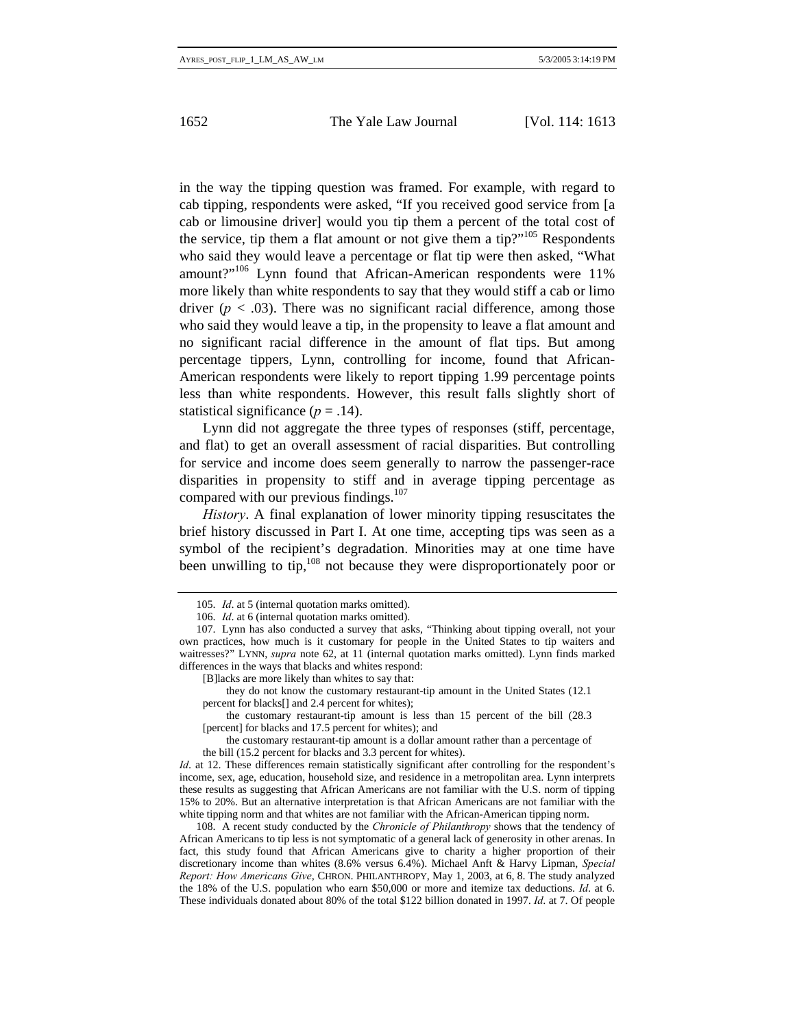in the way the tipping question was framed. For example, with regard to cab tipping, respondents were asked, "If you received good service from [a cab or limousine driver] would you tip them a percent of the total cost of the service, tip them a flat amount or not give them a tip?"105 Respondents who said they would leave a percentage or flat tip were then asked, "What amount?"<sup>106</sup> Lynn found that African-American respondents were  $11\%$ more likely than white respondents to say that they would stiff a cab or limo driver  $(p < .03)$ . There was no significant racial difference, among those who said they would leave a tip, in the propensity to leave a flat amount and no significant racial difference in the amount of flat tips. But among percentage tippers, Lynn, controlling for income, found that African-American respondents were likely to report tipping 1.99 percentage points less than white respondents. However, this result falls slightly short of statistical significance  $(p = .14)$ .

Lynn did not aggregate the three types of responses (stiff, percentage, and flat) to get an overall assessment of racial disparities. But controlling for service and income does seem generally to narrow the passenger-race disparities in propensity to stiff and in average tipping percentage as compared with our previous findings. $107$ 

*History*. A final explanation of lower minority tipping resuscitates the brief history discussed in Part I. At one time, accepting tips was seen as a symbol of the recipient's degradation. Minorities may at one time have been unwilling to tip, $108$  not because they were disproportionately poor or

<sup>105.</sup> *Id*. at 5 (internal quotation marks omitted).

<sup>106.</sup> *Id*. at 6 (internal quotation marks omitted).

<sup>107.</sup> Lynn has also conducted a survey that asks, "Thinking about tipping overall, not your own practices, how much is it customary for people in the United States to tip waiters and waitresses?" LYNN, *supra* note 62, at 11 (internal quotation marks omitted). Lynn finds marked differences in the ways that blacks and whites respond:

<sup>[</sup>B]lacks are more likely than whites to say that:

they do not know the customary restaurant-tip amount in the United States (12.1 percent for blacks[] and 2.4 percent for whites);

the customary restaurant-tip amount is less than 15 percent of the bill (28.3 [percent] for blacks and 17.5 percent for whites); and

the customary restaurant-tip amount is a dollar amount rather than a percentage of the bill (15.2 percent for blacks and 3.3 percent for whites).

*Id.* at 12. These differences remain statistically significant after controlling for the respondent's income, sex, age, education, household size, and residence in a metropolitan area. Lynn interprets these results as suggesting that African Americans are not familiar with the U.S. norm of tipping 15% to 20%. But an alternative interpretation is that African Americans are not familiar with the white tipping norm and that whites are not familiar with the African-American tipping norm.

<sup>108.</sup> A recent study conducted by the *Chronicle of Philanthropy* shows that the tendency of African Americans to tip less is not symptomatic of a general lack of generosity in other arenas. In fact, this study found that African Americans give to charity a higher proportion of their discretionary income than whites (8.6% versus 6.4%). Michael Anft & Harvy Lipman, *Special Report: How Americans Give*, CHRON. PHILANTHROPY, May 1, 2003, at 6, 8. The study analyzed the 18% of the U.S. population who earn \$50,000 or more and itemize tax deductions. *Id*. at 6. These individuals donated about 80% of the total \$122 billion donated in 1997. *Id*. at 7. Of people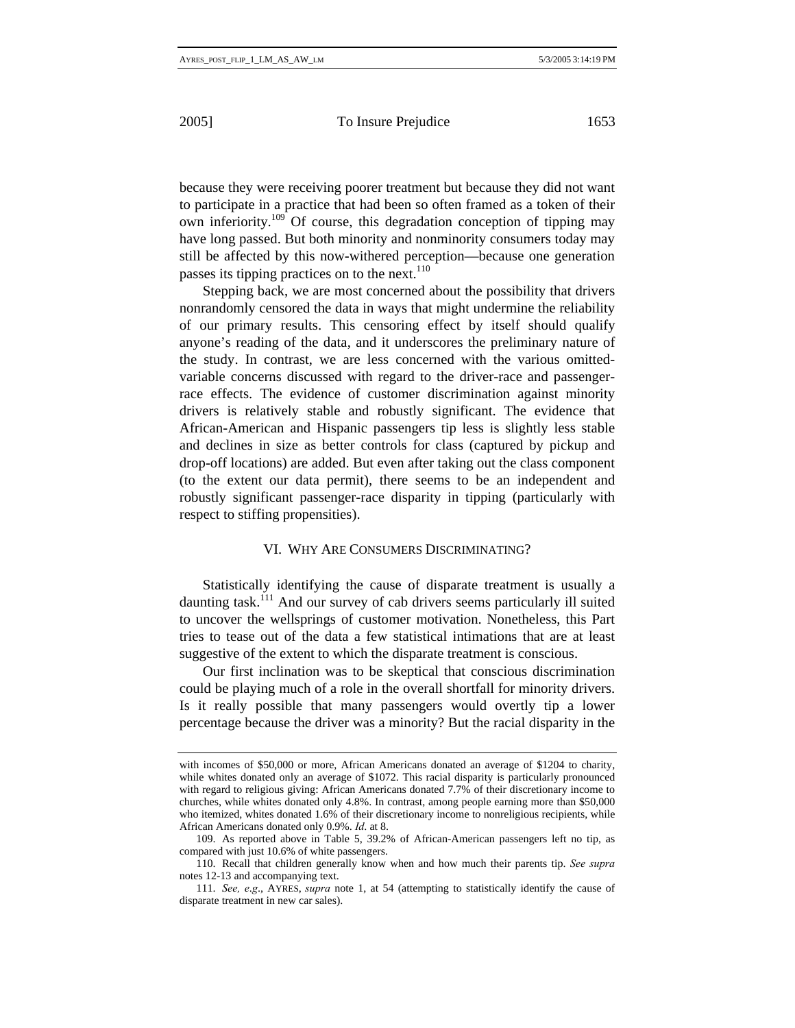because they were receiving poorer treatment but because they did not want to participate in a practice that had been so often framed as a token of their own inferiority.109 Of course, this degradation conception of tipping may have long passed. But both minority and nonminority consumers today may still be affected by this now-withered perception—because one generation passes its tipping practices on to the next.<sup>110</sup>

Stepping back, we are most concerned about the possibility that drivers nonrandomly censored the data in ways that might undermine the reliability of our primary results. This censoring effect by itself should qualify anyone's reading of the data, and it underscores the preliminary nature of the study. In contrast, we are less concerned with the various omittedvariable concerns discussed with regard to the driver-race and passengerrace effects. The evidence of customer discrimination against minority drivers is relatively stable and robustly significant. The evidence that African-American and Hispanic passengers tip less is slightly less stable and declines in size as better controls for class (captured by pickup and drop-off locations) are added. But even after taking out the class component (to the extent our data permit), there seems to be an independent and robustly significant passenger-race disparity in tipping (particularly with respect to stiffing propensities).

### VI. WHY ARE CONSUMERS DISCRIMINATING?

Statistically identifying the cause of disparate treatment is usually a daunting task.<sup>111</sup> And our survey of cab drivers seems particularly ill suited to uncover the wellsprings of customer motivation. Nonetheless, this Part tries to tease out of the data a few statistical intimations that are at least suggestive of the extent to which the disparate treatment is conscious.

Our first inclination was to be skeptical that conscious discrimination could be playing much of a role in the overall shortfall for minority drivers. Is it really possible that many passengers would overtly tip a lower percentage because the driver was a minority? But the racial disparity in the

with incomes of \$50,000 or more, African Americans donated an average of \$1204 to charity, while whites donated only an average of \$1072. This racial disparity is particularly pronounced with regard to religious giving: African Americans donated 7.7% of their discretionary income to churches, while whites donated only 4.8%. In contrast, among people earning more than \$50,000 who itemized, whites donated 1.6% of their discretionary income to nonreligious recipients, while African Americans donated only 0.9%. *Id*. at 8.

<sup>109.</sup> As reported above in Table 5, 39.2% of African-American passengers left no tip, as compared with just 10.6% of white passengers.

<sup>110.</sup> Recall that children generally know when and how much their parents tip. *See supra* notes 12-13 and accompanying text.

<sup>111.</sup> *See, e*.*g*., AYRES, *supra* note 1, at 54 (attempting to statistically identify the cause of disparate treatment in new car sales).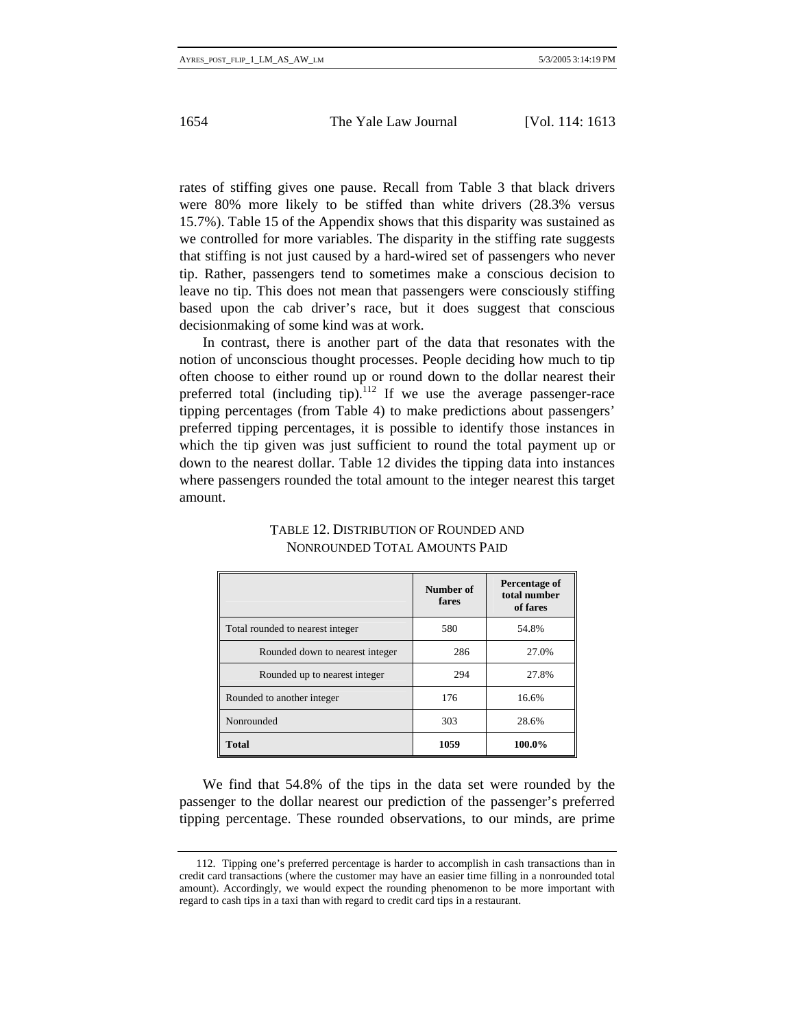rates of stiffing gives one pause. Recall from Table 3 that black drivers were 80% more likely to be stiffed than white drivers (28.3% versus 15.7%). Table 15 of the Appendix shows that this disparity was sustained as we controlled for more variables. The disparity in the stiffing rate suggests that stiffing is not just caused by a hard-wired set of passengers who never tip. Rather, passengers tend to sometimes make a conscious decision to leave no tip. This does not mean that passengers were consciously stiffing based upon the cab driver's race, but it does suggest that conscious decisionmaking of some kind was at work.

In contrast, there is another part of the data that resonates with the notion of unconscious thought processes. People deciding how much to tip often choose to either round up or round down to the dollar nearest their preferred total (including tip). If we use the average passenger-race tipping percentages (from Table 4) to make predictions about passengers' preferred tipping percentages, it is possible to identify those instances in which the tip given was just sufficient to round the total payment up or down to the nearest dollar. Table 12 divides the tipping data into instances where passengers rounded the total amount to the integer nearest this target amount.

|                                  | Number of<br>fares | Percentage of<br>total number<br>of fares |
|----------------------------------|--------------------|-------------------------------------------|
| Total rounded to nearest integer | 580                | 54.8%                                     |
| Rounded down to nearest integer  | 286                | 27.0%                                     |
| Rounded up to nearest integer    | 294                | 27.8%                                     |
| Rounded to another integer       | 176                | 16.6%                                     |
| Nonrounded                       | 303                | 28.6%                                     |
| <b>Total</b>                     | 1059               | 100.0%                                    |

# TABLE 12. DISTRIBUTION OF ROUNDED AND NONROUNDED TOTAL AMOUNTS PAID

We find that 54.8% of the tips in the data set were rounded by the passenger to the dollar nearest our prediction of the passenger's preferred tipping percentage. These rounded observations, to our minds, are prime

<sup>112.</sup> Tipping one's preferred percentage is harder to accomplish in cash transactions than in credit card transactions (where the customer may have an easier time filling in a nonrounded total amount). Accordingly, we would expect the rounding phenomenon to be more important with regard to cash tips in a taxi than with regard to credit card tips in a restaurant.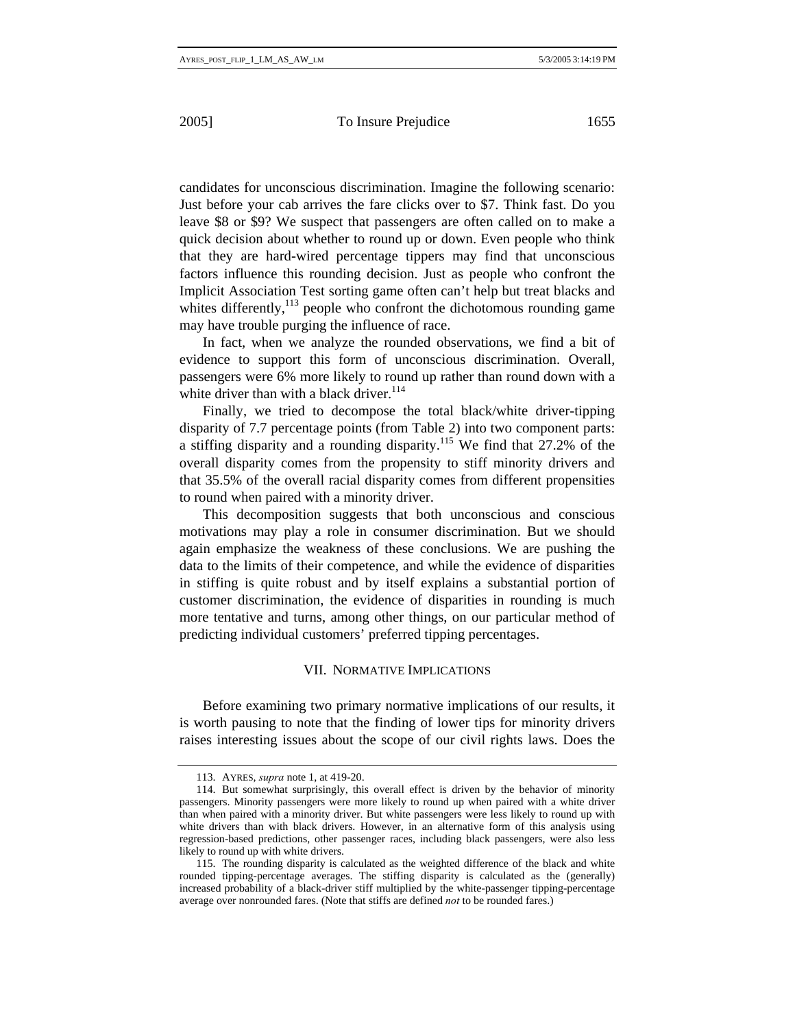candidates for unconscious discrimination. Imagine the following scenario: Just before your cab arrives the fare clicks over to \$7. Think fast. Do you leave \$8 or \$9? We suspect that passengers are often called on to make a quick decision about whether to round up or down. Even people who think that they are hard-wired percentage tippers may find that unconscious factors influence this rounding decision. Just as people who confront the Implicit Association Test sorting game often can't help but treat blacks and whites differently, $^{113}$  people who confront the dichotomous rounding game may have trouble purging the influence of race.

In fact, when we analyze the rounded observations, we find a bit of evidence to support this form of unconscious discrimination. Overall, passengers were 6% more likely to round up rather than round down with a white driver than with a black driver.<sup>114</sup>

Finally, we tried to decompose the total black/white driver-tipping disparity of 7.7 percentage points (from Table 2) into two component parts: a stiffing disparity and a rounding disparity.<sup>115</sup> We find that  $27.2\%$  of the overall disparity comes from the propensity to stiff minority drivers and that 35.5% of the overall racial disparity comes from different propensities to round when paired with a minority driver.

This decomposition suggests that both unconscious and conscious motivations may play a role in consumer discrimination. But we should again emphasize the weakness of these conclusions. We are pushing the data to the limits of their competence, and while the evidence of disparities in stiffing is quite robust and by itself explains a substantial portion of customer discrimination, the evidence of disparities in rounding is much more tentative and turns, among other things, on our particular method of predicting individual customers' preferred tipping percentages.

#### VII. NORMATIVE IMPLICATIONS

Before examining two primary normative implications of our results, it is worth pausing to note that the finding of lower tips for minority drivers raises interesting issues about the scope of our civil rights laws. Does the

<sup>113.</sup> AYRES, *supra* note 1, at 419-20.

<sup>114.</sup> But somewhat surprisingly, this overall effect is driven by the behavior of minority passengers. Minority passengers were more likely to round up when paired with a white driver than when paired with a minority driver. But white passengers were less likely to round up with white drivers than with black drivers. However, in an alternative form of this analysis using regression-based predictions, other passenger races, including black passengers, were also less likely to round up with white drivers.

<sup>115.</sup> The rounding disparity is calculated as the weighted difference of the black and white rounded tipping-percentage averages. The stiffing disparity is calculated as the (generally) increased probability of a black-driver stiff multiplied by the white-passenger tipping-percentage average over nonrounded fares. (Note that stiffs are defined *not* to be rounded fares.)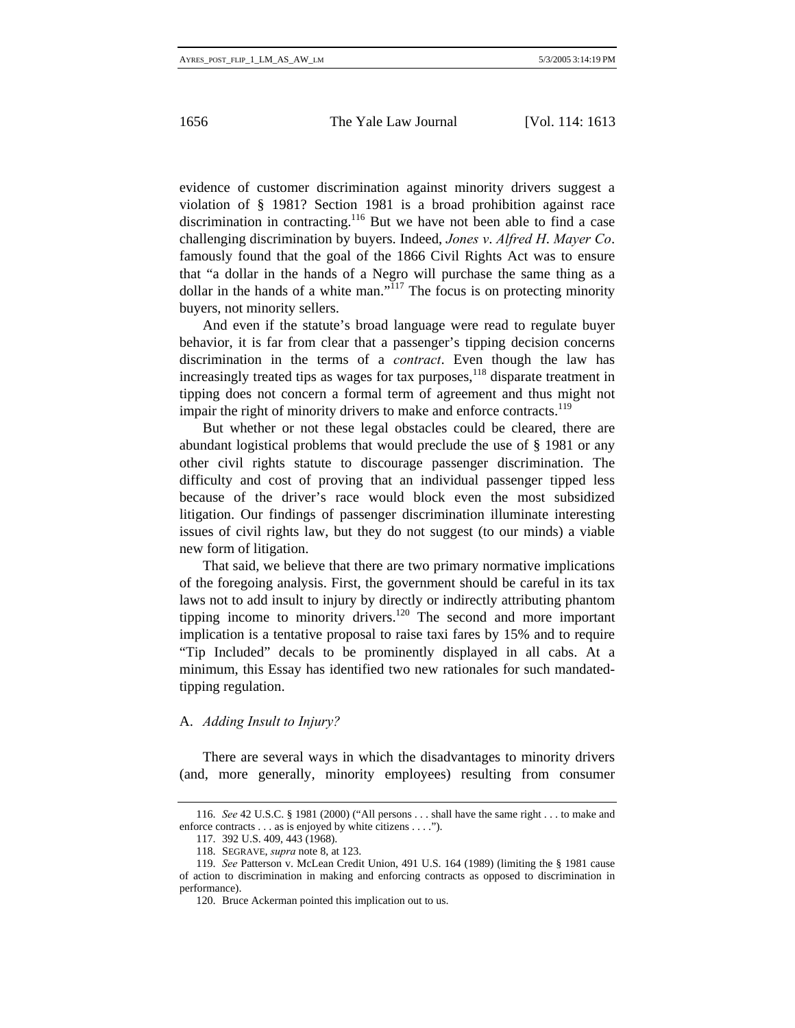evidence of customer discrimination against minority drivers suggest a violation of § 1981? Section 1981 is a broad prohibition against race discrimination in contracting.<sup>116</sup> But we have not been able to find a case challenging discrimination by buyers. Indeed, *Jones v*. *Alfred H*. *Mayer Co*. famously found that the goal of the 1866 Civil Rights Act was to ensure that "a dollar in the hands of a Negro will purchase the same thing as a dollar in the hands of a white man." $117$  The focus is on protecting minority buyers, not minority sellers.

And even if the statute's broad language were read to regulate buyer behavior, it is far from clear that a passenger's tipping decision concerns discrimination in the terms of a *contract*. Even though the law has increasingly treated tips as wages for tax purposes, $118$  disparate treatment in tipping does not concern a formal term of agreement and thus might not impair the right of minority drivers to make and enforce contracts.<sup>119</sup>

But whether or not these legal obstacles could be cleared, there are abundant logistical problems that would preclude the use of § 1981 or any other civil rights statute to discourage passenger discrimination. The difficulty and cost of proving that an individual passenger tipped less because of the driver's race would block even the most subsidized litigation. Our findings of passenger discrimination illuminate interesting issues of civil rights law, but they do not suggest (to our minds) a viable new form of litigation.

That said, we believe that there are two primary normative implications of the foregoing analysis. First, the government should be careful in its tax laws not to add insult to injury by directly or indirectly attributing phantom tipping income to minority drivers.120 The second and more important implication is a tentative proposal to raise taxi fares by 15% and to require "Tip Included" decals to be prominently displayed in all cabs. At a minimum, this Essay has identified two new rationales for such mandatedtipping regulation.

#### A. *Adding Insult to Injury?*

There are several ways in which the disadvantages to minority drivers (and, more generally, minority employees) resulting from consumer

<sup>116.</sup> *See* 42 U.S.C. § 1981 (2000) ("All persons . . . shall have the same right . . . to make and enforce contracts . . . as is enjoyed by white citizens . . . .").

<sup>117. 392</sup> U.S. 409, 443 (1968).

<sup>118.</sup> SEGRAVE, *supra* note 8, at 123.

<sup>119.</sup> *See* Patterson v. McLean Credit Union, 491 U.S. 164 (1989) (limiting the § 1981 cause of action to discrimination in making and enforcing contracts as opposed to discrimination in performance).

<sup>120.</sup> Bruce Ackerman pointed this implication out to us.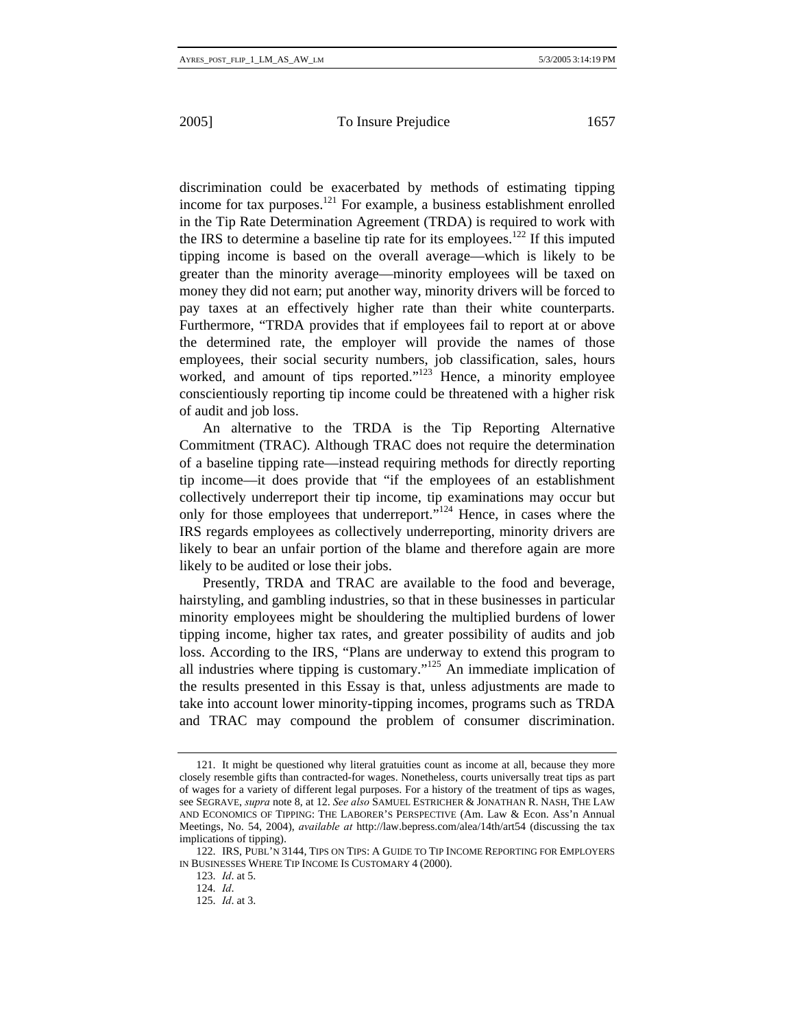discrimination could be exacerbated by methods of estimating tipping income for tax purposes.<sup>121</sup> For example, a business establishment enrolled in the Tip Rate Determination Agreement (TRDA) is required to work with the IRS to determine a baseline tip rate for its employees.<sup>122</sup> If this imputed tipping income is based on the overall average—which is likely to be greater than the minority average—minority employees will be taxed on money they did not earn; put another way, minority drivers will be forced to pay taxes at an effectively higher rate than their white counterparts. Furthermore, "TRDA provides that if employees fail to report at or above the determined rate, the employer will provide the names of those employees, their social security numbers, job classification, sales, hours worked, and amount of tips reported."<sup>123</sup> Hence, a minority employee conscientiously reporting tip income could be threatened with a higher risk of audit and job loss.

An alternative to the TRDA is the Tip Reporting Alternative Commitment (TRAC). Although TRAC does not require the determination of a baseline tipping rate—instead requiring methods for directly reporting tip income—it does provide that "if the employees of an establishment collectively underreport their tip income, tip examinations may occur but only for those employees that underreport.<sup>"124</sup> Hence, in cases where the IRS regards employees as collectively underreporting, minority drivers are likely to bear an unfair portion of the blame and therefore again are more likely to be audited or lose their jobs.

Presently, TRDA and TRAC are available to the food and beverage, hairstyling, and gambling industries, so that in these businesses in particular minority employees might be shouldering the multiplied burdens of lower tipping income, higher tax rates, and greater possibility of audits and job loss. According to the IRS, "Plans are underway to extend this program to all industries where tipping is customary."125 An immediate implication of the results presented in this Essay is that, unless adjustments are made to take into account lower minority-tipping incomes, programs such as TRDA and TRAC may compound the problem of consumer discrimination.

124. *Id*.

<sup>121.</sup> It might be questioned why literal gratuities count as income at all, because they more closely resemble gifts than contracted-for wages. Nonetheless, courts universally treat tips as part of wages for a variety of different legal purposes. For a history of the treatment of tips as wages, see SEGRAVE, *supra* note 8, at 12. *See also* SAMUEL ESTRICHER & JONATHAN R. NASH, THE LAW AND ECONOMICS OF TIPPING: THE LABORER'S PERSPECTIVE (Am. Law & Econ. Ass'n Annual Meetings, No. 54, 2004), *available at* http://law.bepress.com/alea/14th/art54 (discussing the tax implications of tipping).

<sup>122.</sup> IRS, PUBL'N 3144, TIPS ON TIPS: A GUIDE TO TIP INCOME REPORTING FOR EMPLOYERS IN BUSINESSES WHERE TIP INCOME IS CUSTOMARY 4 (2000).

<sup>123.</sup> *Id*. at 5.

<sup>125.</sup> *Id*. at 3.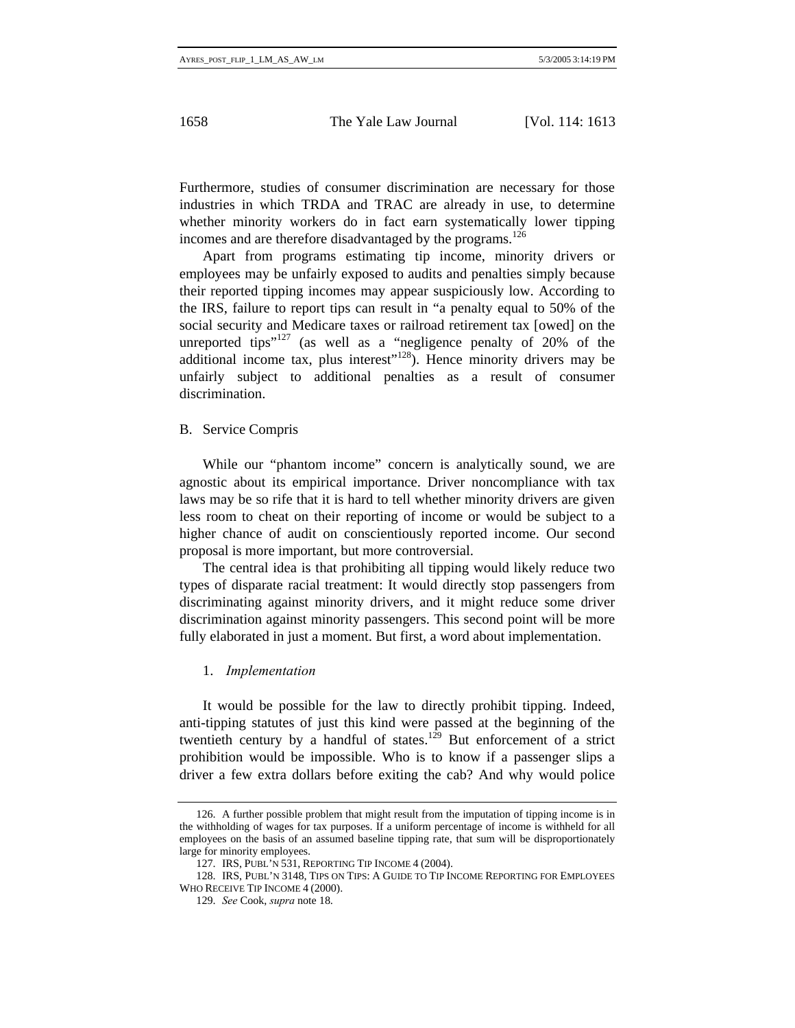Furthermore, studies of consumer discrimination are necessary for those industries in which TRDA and TRAC are already in use, to determine whether minority workers do in fact earn systematically lower tipping incomes and are therefore disadvantaged by the programs.<sup>126</sup>

Apart from programs estimating tip income, minority drivers or employees may be unfairly exposed to audits and penalties simply because their reported tipping incomes may appear suspiciously low. According to the IRS, failure to report tips can result in "a penalty equal to 50% of the social security and Medicare taxes or railroad retirement tax [owed] on the unreported tips<sup> $127$ </sup> (as well as a "negligence penalty of 20% of the additional income tax, plus interest"<sup>128</sup>). Hence minority drivers may be unfairly subject to additional penalties as a result of consumer discrimination.

#### B. Service Compris

While our "phantom income" concern is analytically sound, we are agnostic about its empirical importance. Driver noncompliance with tax laws may be so rife that it is hard to tell whether minority drivers are given less room to cheat on their reporting of income or would be subject to a higher chance of audit on conscientiously reported income. Our second proposal is more important, but more controversial.

The central idea is that prohibiting all tipping would likely reduce two types of disparate racial treatment: It would directly stop passengers from discriminating against minority drivers, and it might reduce some driver discrimination against minority passengers. This second point will be more fully elaborated in just a moment. But first, a word about implementation.

#### 1. *Implementation*

It would be possible for the law to directly prohibit tipping. Indeed, anti-tipping statutes of just this kind were passed at the beginning of the twentieth century by a handful of states.<sup>129</sup> But enforcement of a strict prohibition would be impossible. Who is to know if a passenger slips a driver a few extra dollars before exiting the cab? And why would police

<sup>126.</sup> A further possible problem that might result from the imputation of tipping income is in the withholding of wages for tax purposes. If a uniform percentage of income is withheld for all employees on the basis of an assumed baseline tipping rate, that sum will be disproportionately large for minority employees.

<sup>127.</sup> IRS, PUBL'N 531, REPORTING TIP INCOME 4 (2004).

<sup>128.</sup> IRS, PUBL'N 3148, TIPS ON TIPS: A GUIDE TO TIP INCOME REPORTING FOR EMPLOYEES WHO RECEIVE TIP INCOME 4 (2000).

<sup>129.</sup> *See* Cook, *supra* note 18.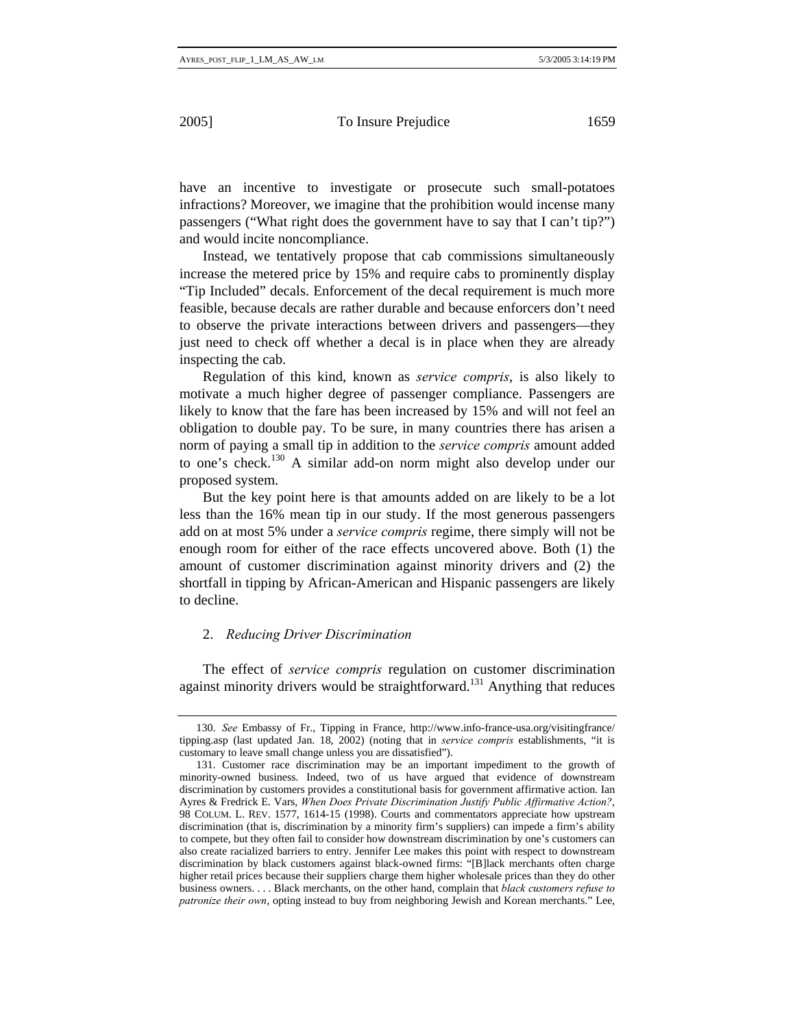have an incentive to investigate or prosecute such small-potatoes infractions? Moreover, we imagine that the prohibition would incense many passengers ("What right does the government have to say that I can't tip?") and would incite noncompliance.

Instead, we tentatively propose that cab commissions simultaneously increase the metered price by 15% and require cabs to prominently display "Tip Included" decals. Enforcement of the decal requirement is much more feasible, because decals are rather durable and because enforcers don't need to observe the private interactions between drivers and passengers—they just need to check off whether a decal is in place when they are already inspecting the cab.

Regulation of this kind, known as *service compris*, is also likely to motivate a much higher degree of passenger compliance. Passengers are likely to know that the fare has been increased by 15% and will not feel an obligation to double pay. To be sure, in many countries there has arisen a norm of paying a small tip in addition to the *service compris* amount added to one's check.130 A similar add-on norm might also develop under our proposed system.

But the key point here is that amounts added on are likely to be a lot less than the 16% mean tip in our study. If the most generous passengers add on at most 5% under a *service compris* regime, there simply will not be enough room for either of the race effects uncovered above. Both (1) the amount of customer discrimination against minority drivers and (2) the shortfall in tipping by African-American and Hispanic passengers are likely to decline.

### 2. *Reducing Driver Discrimination*

The effect of *service compris* regulation on customer discrimination against minority drivers would be straightforward.<sup>131</sup> Anything that reduces

<sup>130.</sup> *See* Embassy of Fr., Tipping in France, http://www.info-france-usa.org/visitingfrance/ tipping.asp (last updated Jan. 18, 2002) (noting that in *service compris* establishments, "it is customary to leave small change unless you are dissatisfied").

<sup>131.</sup> Customer race discrimination may be an important impediment to the growth of minority-owned business. Indeed, two of us have argued that evidence of downstream discrimination by customers provides a constitutional basis for government affirmative action. Ian Ayres & Fredrick E. Vars, *When Does Private Discrimination Justify Public Affirmative Action?*, 98 COLUM. L. REV. 1577, 1614-15 (1998). Courts and commentators appreciate how upstream discrimination (that is, discrimination by a minority firm's suppliers) can impede a firm's ability to compete, but they often fail to consider how downstream discrimination by one's customers can also create racialized barriers to entry. Jennifer Lee makes this point with respect to downstream discrimination by black customers against black-owned firms: "[B]lack merchants often charge higher retail prices because their suppliers charge them higher wholesale prices than they do other business owners. . . . Black merchants, on the other hand, complain that *black customers refuse to patronize their own*, opting instead to buy from neighboring Jewish and Korean merchants." Lee,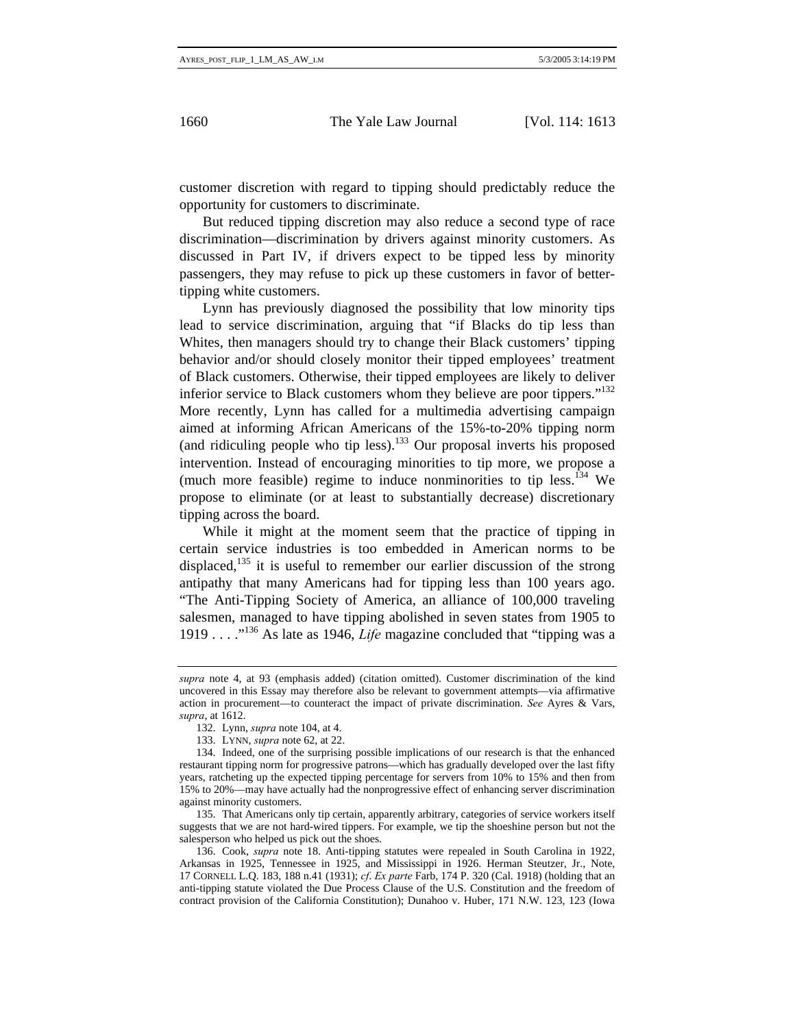customer discretion with regard to tipping should predictably reduce the opportunity for customers to discriminate.

But reduced tipping discretion may also reduce a second type of race discrimination—discrimination by drivers against minority customers. As discussed in Part IV, if drivers expect to be tipped less by minority passengers, they may refuse to pick up these customers in favor of bettertipping white customers.

Lynn has previously diagnosed the possibility that low minority tips lead to service discrimination, arguing that "if Blacks do tip less than Whites, then managers should try to change their Black customers' tipping behavior and/or should closely monitor their tipped employees' treatment of Black customers. Otherwise, their tipped employees are likely to deliver inferior service to Black customers whom they believe are poor tippers."<sup>132</sup> More recently, Lynn has called for a multimedia advertising campaign aimed at informing African Americans of the 15%-to-20% tipping norm (and ridiculing people who tip less).<sup>133</sup> Our proposal inverts his proposed intervention. Instead of encouraging minorities to tip more, we propose a (much more feasible) regime to induce nonminorities to tip less.<sup>134</sup> We propose to eliminate (or at least to substantially decrease) discretionary tipping across the board.

While it might at the moment seem that the practice of tipping in certain service industries is too embedded in American norms to be displaced, $135$  it is useful to remember our earlier discussion of the strong antipathy that many Americans had for tipping less than 100 years ago. "The Anti-Tipping Society of America, an alliance of 100,000 traveling salesmen, managed to have tipping abolished in seven states from 1905 to 1919 . . . ."136 As late as 1946, *Life* magazine concluded that "tipping was a

135. That Americans only tip certain, apparently arbitrary, categories of service workers itself suggests that we are not hard-wired tippers. For example, we tip the shoeshine person but not the salesperson who helped us pick out the shoes.

*supra* note 4, at 93 (emphasis added) (citation omitted). Customer discrimination of the kind uncovered in this Essay may therefore also be relevant to government attempts—via affirmative action in procurement—to counteract the impact of private discrimination. *See* Ayres & Vars, *supra*, at 1612.

<sup>132.</sup> Lynn, *supra* note 104, at 4.

<sup>133.</sup> LYNN, *supra* note 62, at 22.

<sup>134.</sup> Indeed, one of the surprising possible implications of our research is that the enhanced restaurant tipping norm for progressive patrons—which has gradually developed over the last fifty years, ratcheting up the expected tipping percentage for servers from 10% to 15% and then from 15% to 20%—may have actually had the nonprogressive effect of enhancing server discrimination against minority customers.

<sup>136.</sup> Cook, *supra* note 18. Anti-tipping statutes were repealed in South Carolina in 1922, Arkansas in 1925, Tennessee in 1925, and Mississippi in 1926. Herman Steutzer, Jr., Note, 17 CORNELL L.Q. 183, 188 n.41 (1931); *cf*. *Ex parte* Farb, 174 P. 320 (Cal. 1918) (holding that an anti-tipping statute violated the Due Process Clause of the U.S. Constitution and the freedom of contract provision of the California Constitution); Dunahoo v. Huber, 171 N.W. 123, 123 (Iowa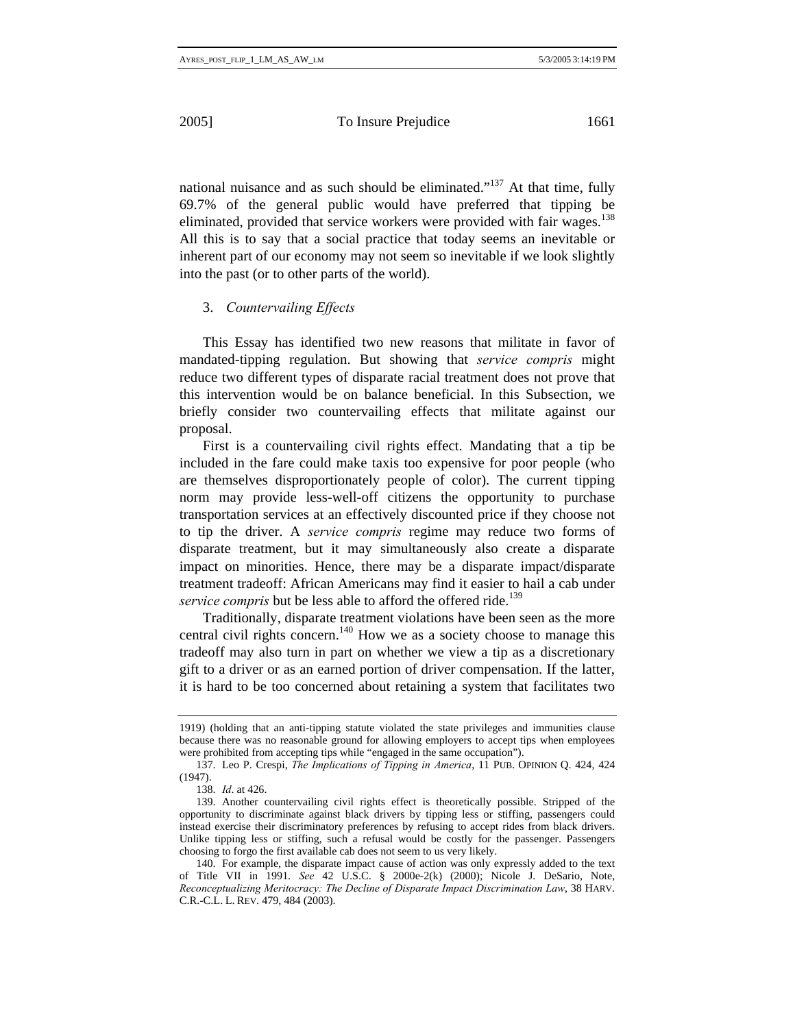national nuisance and as such should be eliminated. $1137$  At that time, fully 69.7% of the general public would have preferred that tipping be eliminated, provided that service workers were provided with fair wages.<sup>138</sup> All this is to say that a social practice that today seems an inevitable or inherent part of our economy may not seem so inevitable if we look slightly into the past (or to other parts of the world).

#### 3. *Countervailing Effects*

This Essay has identified two new reasons that militate in favor of mandated-tipping regulation. But showing that *service compris* might reduce two different types of disparate racial treatment does not prove that this intervention would be on balance beneficial. In this Subsection, we briefly consider two countervailing effects that militate against our proposal.

First is a countervailing civil rights effect. Mandating that a tip be included in the fare could make taxis too expensive for poor people (who are themselves disproportionately people of color). The current tipping norm may provide less-well-off citizens the opportunity to purchase transportation services at an effectively discounted price if they choose not to tip the driver. A *service compris* regime may reduce two forms of disparate treatment, but it may simultaneously also create a disparate impact on minorities. Hence, there may be a disparate impact/disparate treatment tradeoff: African Americans may find it easier to hail a cab under *service compris* but be less able to afford the offered ride.<sup>139</sup>

Traditionally, disparate treatment violations have been seen as the more central civil rights concern.<sup>140</sup> How we as a society choose to manage this tradeoff may also turn in part on whether we view a tip as a discretionary gift to a driver or as an earned portion of driver compensation. If the latter, it is hard to be too concerned about retaining a system that facilitates two

<sup>1919) (</sup>holding that an anti-tipping statute violated the state privileges and immunities clause because there was no reasonable ground for allowing employers to accept tips when employees were prohibited from accepting tips while "engaged in the same occupation").

<sup>137.</sup> Leo P. Crespi, *The Implications of Tipping in America*, 11 PUB. OPINION Q. 424, 424 (1947).

<sup>138.</sup> *Id*. at 426.

<sup>139.</sup> Another countervailing civil rights effect is theoretically possible. Stripped of the opportunity to discriminate against black drivers by tipping less or stiffing, passengers could instead exercise their discriminatory preferences by refusing to accept rides from black drivers. Unlike tipping less or stiffing, such a refusal would be costly for the passenger. Passengers choosing to forgo the first available cab does not seem to us very likely.

<sup>140.</sup> For example, the disparate impact cause of action was only expressly added to the text of Title VII in 1991. *See* 42 U.S.C. § 2000e-2(k) (2000); Nicole J. DeSario, Note, *Reconceptualizing Meritocracy: The Decline of Disparate Impact Discrimination Law*, 38 HARV. C.R.-C.L. L. REV. 479, 484 (2003).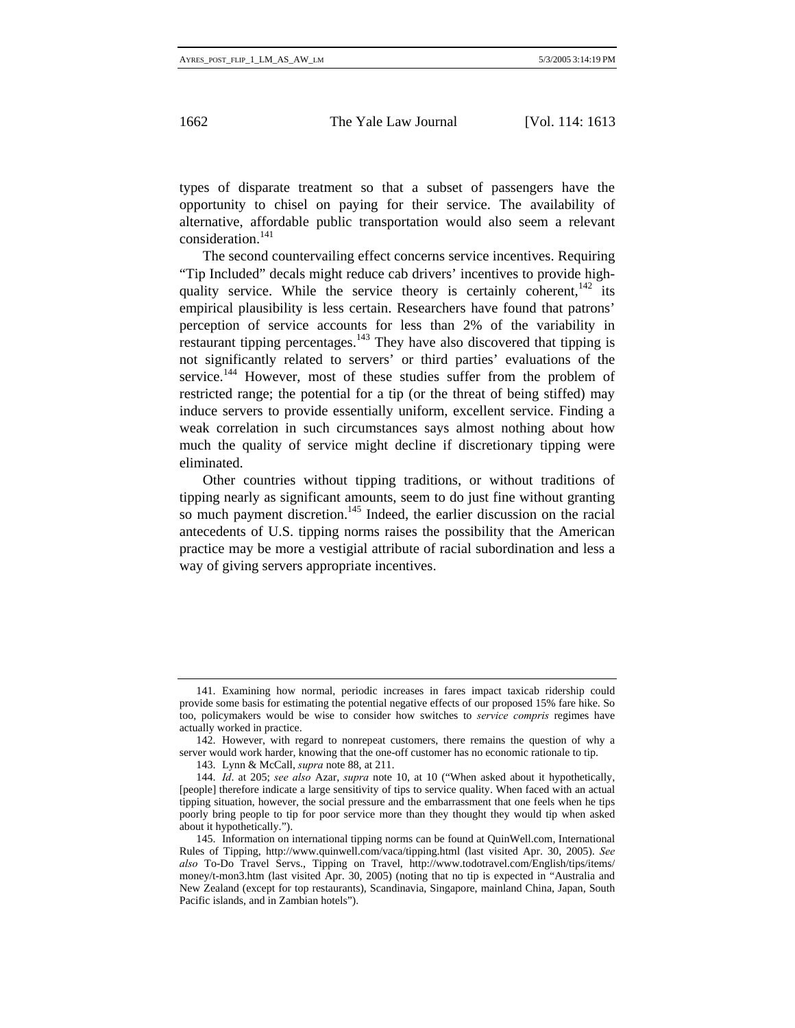types of disparate treatment so that a subset of passengers have the opportunity to chisel on paying for their service. The availability of alternative, affordable public transportation would also seem a relevant consideration.<sup>141</sup>

The second countervailing effect concerns service incentives. Requiring "Tip Included" decals might reduce cab drivers' incentives to provide highquality service. While the service theory is certainly coherent,  $142$  its empirical plausibility is less certain. Researchers have found that patrons' perception of service accounts for less than 2% of the variability in restaurant tipping percentages.143 They have also discovered that tipping is not significantly related to servers' or third parties' evaluations of the service.<sup>144</sup> However, most of these studies suffer from the problem of restricted range; the potential for a tip (or the threat of being stiffed) may induce servers to provide essentially uniform, excellent service. Finding a weak correlation in such circumstances says almost nothing about how much the quality of service might decline if discretionary tipping were eliminated.

Other countries without tipping traditions, or without traditions of tipping nearly as significant amounts, seem to do just fine without granting so much payment discretion.<sup>145</sup> Indeed, the earlier discussion on the racial antecedents of U.S. tipping norms raises the possibility that the American practice may be more a vestigial attribute of racial subordination and less a way of giving servers appropriate incentives.

<sup>141.</sup> Examining how normal, periodic increases in fares impact taxicab ridership could provide some basis for estimating the potential negative effects of our proposed 15% fare hike. So too, policymakers would be wise to consider how switches to *service compris* regimes have actually worked in practice.

<sup>142.</sup> However, with regard to nonrepeat customers, there remains the question of why a server would work harder, knowing that the one-off customer has no economic rationale to tip.

<sup>143.</sup> Lynn & McCall, *supra* note 88, at 211.

<sup>144.</sup> *Id*. at 205; *see also* Azar, *supra* note 10, at 10 ("When asked about it hypothetically, [people] therefore indicate a large sensitivity of tips to service quality. When faced with an actual tipping situation, however, the social pressure and the embarrassment that one feels when he tips poorly bring people to tip for poor service more than they thought they would tip when asked about it hypothetically.").

<sup>145.</sup> Information on international tipping norms can be found at QuinWell.com, International Rules of Tipping, http://www.quinwell.com/vaca/tipping.html (last visited Apr. 30, 2005). *See also* To-Do Travel Servs., Tipping on Travel, http://www.todotravel.com/English/tips/items/ money/t-mon3.htm (last visited Apr. 30, 2005) (noting that no tip is expected in "Australia and New Zealand (except for top restaurants), Scandinavia, Singapore, mainland China, Japan, South Pacific islands, and in Zambian hotels").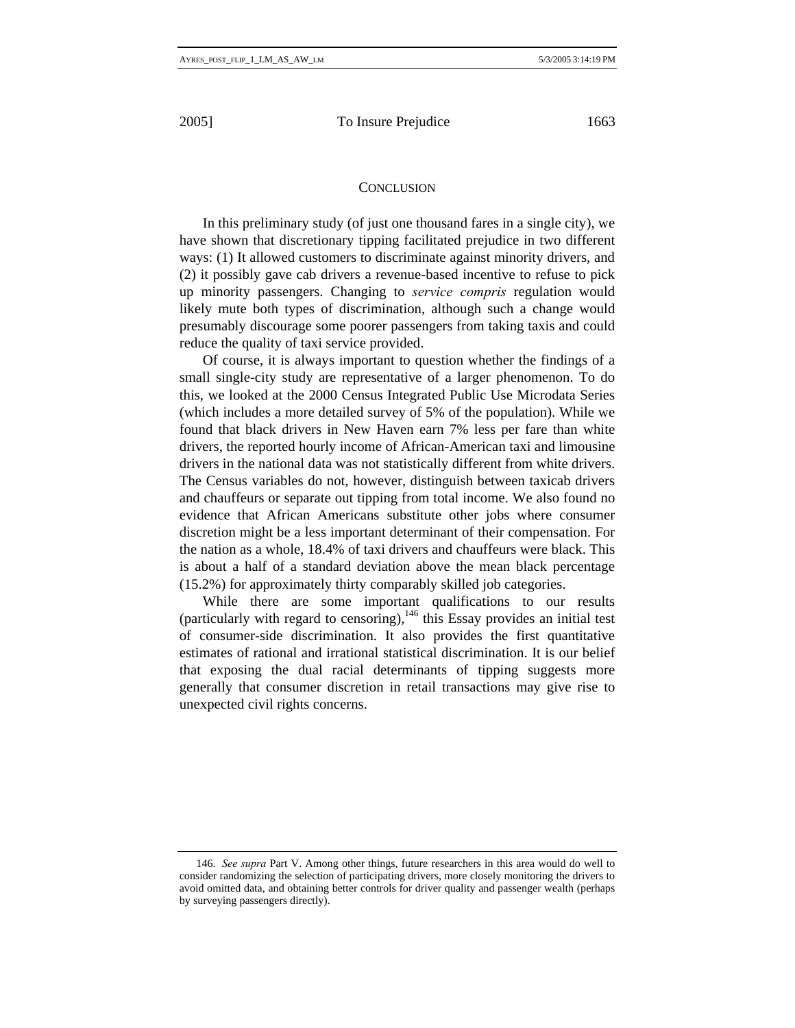#### **CONCLUSION**

In this preliminary study (of just one thousand fares in a single city), we have shown that discretionary tipping facilitated prejudice in two different ways: (1) It allowed customers to discriminate against minority drivers, and (2) it possibly gave cab drivers a revenue-based incentive to refuse to pick up minority passengers. Changing to *service compris* regulation would likely mute both types of discrimination, although such a change would presumably discourage some poorer passengers from taking taxis and could reduce the quality of taxi service provided.

Of course, it is always important to question whether the findings of a small single-city study are representative of a larger phenomenon. To do this, we looked at the 2000 Census Integrated Public Use Microdata Series (which includes a more detailed survey of 5% of the population). While we found that black drivers in New Haven earn 7% less per fare than white drivers, the reported hourly income of African-American taxi and limousine drivers in the national data was not statistically different from white drivers. The Census variables do not, however, distinguish between taxicab drivers and chauffeurs or separate out tipping from total income. We also found no evidence that African Americans substitute other jobs where consumer discretion might be a less important determinant of their compensation. For the nation as a whole, 18.4% of taxi drivers and chauffeurs were black. This is about a half of a standard deviation above the mean black percentage (15.2%) for approximately thirty comparably skilled job categories.

While there are some important qualifications to our results (particularly with regard to censoring),146 this Essay provides an initial test of consumer-side discrimination. It also provides the first quantitative estimates of rational and irrational statistical discrimination. It is our belief that exposing the dual racial determinants of tipping suggests more generally that consumer discretion in retail transactions may give rise to unexpected civil rights concerns.

<sup>146.</sup> *See supra* Part V. Among other things, future researchers in this area would do well to consider randomizing the selection of participating drivers, more closely monitoring the drivers to avoid omitted data, and obtaining better controls for driver quality and passenger wealth (perhaps by surveying passengers directly).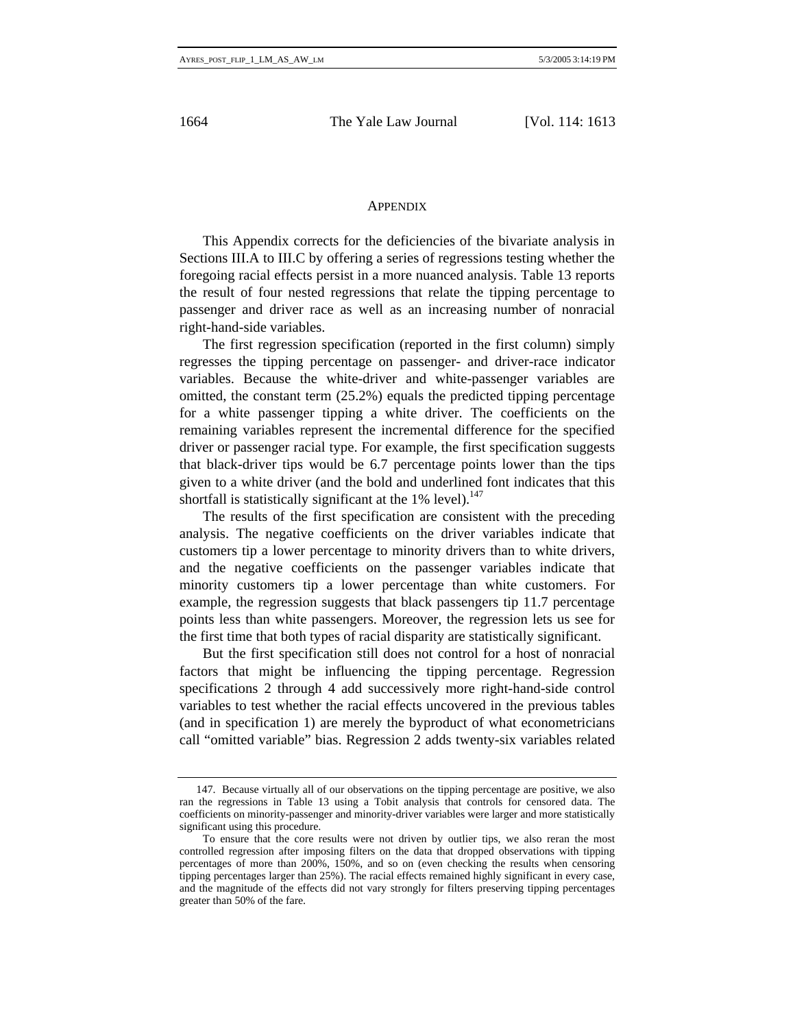#### **APPENDIX**

This Appendix corrects for the deficiencies of the bivariate analysis in Sections III.A to III.C by offering a series of regressions testing whether the foregoing racial effects persist in a more nuanced analysis. Table 13 reports the result of four nested regressions that relate the tipping percentage to passenger and driver race as well as an increasing number of nonracial right-hand-side variables.

The first regression specification (reported in the first column) simply regresses the tipping percentage on passenger- and driver-race indicator variables. Because the white-driver and white-passenger variables are omitted, the constant term (25.2%) equals the predicted tipping percentage for a white passenger tipping a white driver. The coefficients on the remaining variables represent the incremental difference for the specified driver or passenger racial type. For example, the first specification suggests that black-driver tips would be 6.7 percentage points lower than the tips given to a white driver (and the bold and underlined font indicates that this shortfall is statistically significant at the  $1\%$  level).<sup>147</sup>

The results of the first specification are consistent with the preceding analysis. The negative coefficients on the driver variables indicate that customers tip a lower percentage to minority drivers than to white drivers, and the negative coefficients on the passenger variables indicate that minority customers tip a lower percentage than white customers. For example, the regression suggests that black passengers tip 11.7 percentage points less than white passengers. Moreover, the regression lets us see for the first time that both types of racial disparity are statistically significant.

But the first specification still does not control for a host of nonracial factors that might be influencing the tipping percentage. Regression specifications 2 through 4 add successively more right-hand-side control variables to test whether the racial effects uncovered in the previous tables (and in specification 1) are merely the byproduct of what econometricians call "omitted variable" bias. Regression 2 adds twenty-six variables related

<sup>147.</sup> Because virtually all of our observations on the tipping percentage are positive, we also ran the regressions in Table 13 using a Tobit analysis that controls for censored data. The coefficients on minority-passenger and minority-driver variables were larger and more statistically significant using this procedure.

To ensure that the core results were not driven by outlier tips, we also reran the most controlled regression after imposing filters on the data that dropped observations with tipping percentages of more than 200%, 150%, and so on (even checking the results when censoring tipping percentages larger than 25%). The racial effects remained highly significant in every case, and the magnitude of the effects did not vary strongly for filters preserving tipping percentages greater than 50% of the fare.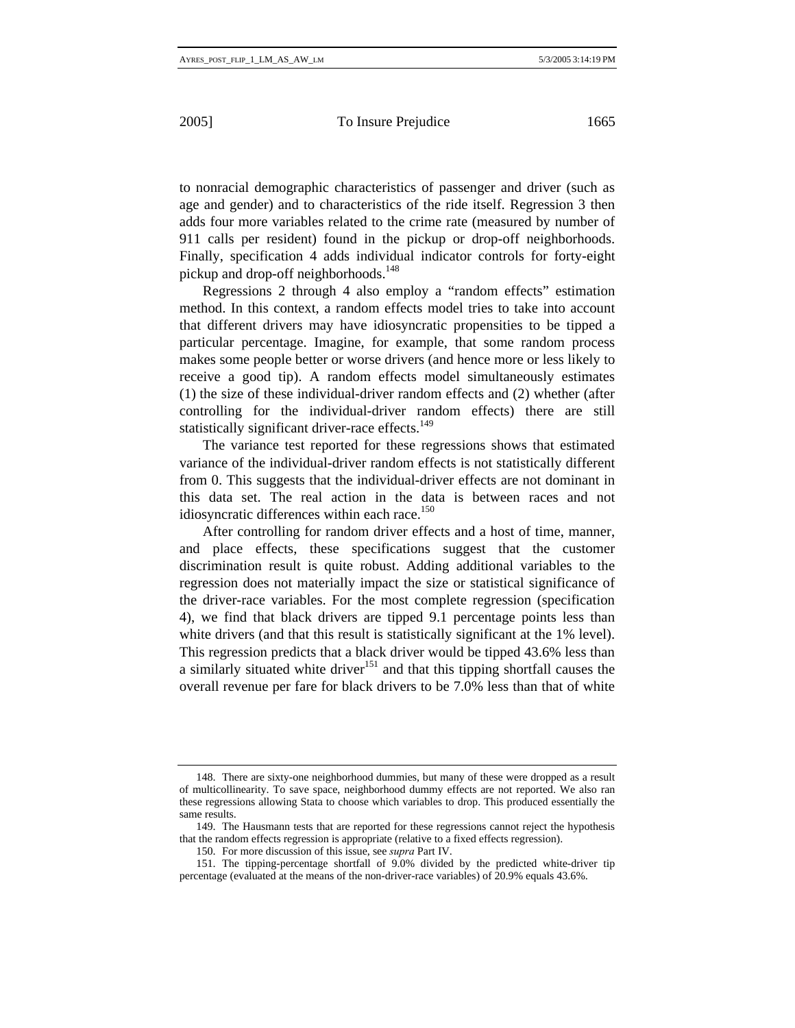to nonracial demographic characteristics of passenger and driver (such as age and gender) and to characteristics of the ride itself. Regression 3 then adds four more variables related to the crime rate (measured by number of 911 calls per resident) found in the pickup or drop-off neighborhoods. Finally, specification 4 adds individual indicator controls for forty-eight pickup and drop-off neighborhoods.<sup>148</sup>

Regressions 2 through 4 also employ a "random effects" estimation method. In this context, a random effects model tries to take into account that different drivers may have idiosyncratic propensities to be tipped a particular percentage. Imagine, for example, that some random process makes some people better or worse drivers (and hence more or less likely to receive a good tip). A random effects model simultaneously estimates (1) the size of these individual-driver random effects and (2) whether (after controlling for the individual-driver random effects) there are still statistically significant driver-race effects.<sup>149</sup>

The variance test reported for these regressions shows that estimated variance of the individual-driver random effects is not statistically different from 0. This suggests that the individual-driver effects are not dominant in this data set. The real action in the data is between races and not idiosyncratic differences within each race.<sup>150</sup>

After controlling for random driver effects and a host of time, manner, and place effects, these specifications suggest that the customer discrimination result is quite robust. Adding additional variables to the regression does not materially impact the size or statistical significance of the driver-race variables. For the most complete regression (specification 4), we find that black drivers are tipped 9.1 percentage points less than white drivers (and that this result is statistically significant at the 1% level). This regression predicts that a black driver would be tipped 43.6% less than a similarly situated white driver<sup>151</sup> and that this tipping shortfall causes the overall revenue per fare for black drivers to be 7.0% less than that of white

<sup>148.</sup> There are sixty-one neighborhood dummies, but many of these were dropped as a result of multicollinearity. To save space, neighborhood dummy effects are not reported. We also ran these regressions allowing Stata to choose which variables to drop. This produced essentially the same results.

<sup>149.</sup> The Hausmann tests that are reported for these regressions cannot reject the hypothesis that the random effects regression is appropriate (relative to a fixed effects regression).

<sup>150.</sup> For more discussion of this issue, see *supra* Part IV.

<sup>151.</sup> The tipping-percentage shortfall of 9.0% divided by the predicted white-driver tip percentage (evaluated at the means of the non-driver-race variables) of 20.9% equals 43.6%.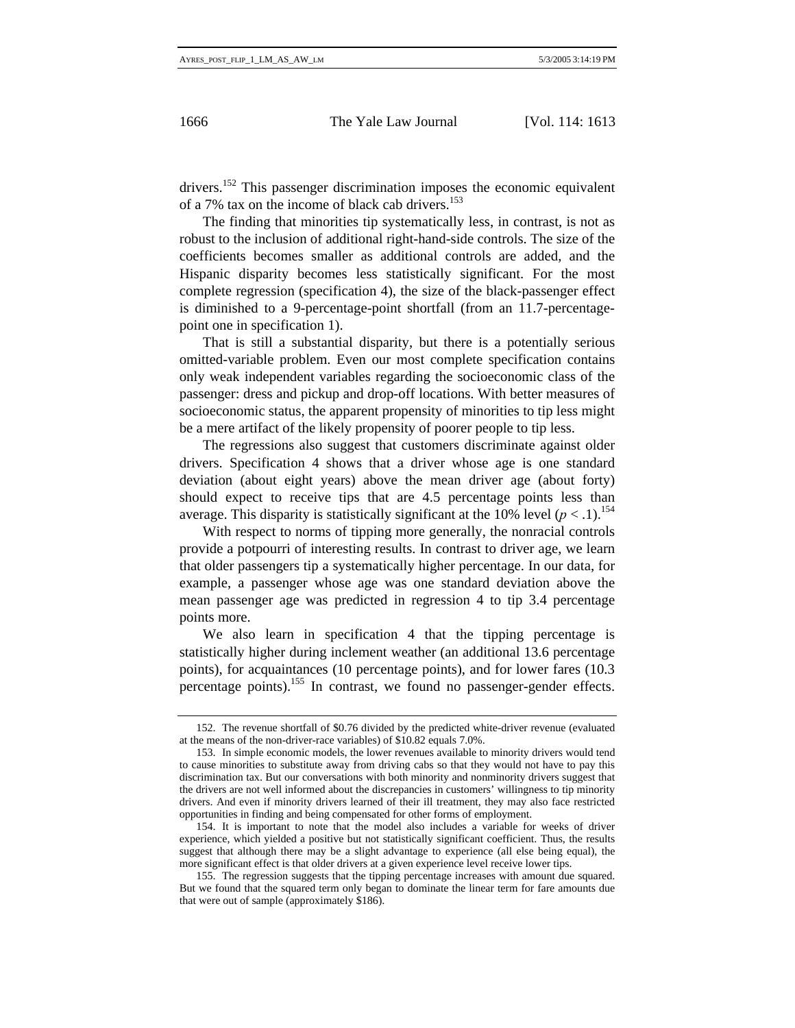drivers.<sup>152</sup> This passenger discrimination imposes the economic equivalent of a 7% tax on the income of black cab drivers.<sup>153</sup>

The finding that minorities tip systematically less, in contrast, is not as robust to the inclusion of additional right-hand-side controls. The size of the coefficients becomes smaller as additional controls are added, and the Hispanic disparity becomes less statistically significant. For the most complete regression (specification 4), the size of the black-passenger effect is diminished to a 9-percentage-point shortfall (from an 11.7-percentagepoint one in specification 1).

That is still a substantial disparity, but there is a potentially serious omitted-variable problem. Even our most complete specification contains only weak independent variables regarding the socioeconomic class of the passenger: dress and pickup and drop-off locations. With better measures of socioeconomic status, the apparent propensity of minorities to tip less might be a mere artifact of the likely propensity of poorer people to tip less.

The regressions also suggest that customers discriminate against older drivers. Specification 4 shows that a driver whose age is one standard deviation (about eight years) above the mean driver age (about forty) should expect to receive tips that are 4.5 percentage points less than average. This disparity is statistically significant at the 10% level  $(p < 0.1)$ .<sup>154</sup>

With respect to norms of tipping more generally, the nonracial controls provide a potpourri of interesting results. In contrast to driver age, we learn that older passengers tip a systematically higher percentage. In our data, for example, a passenger whose age was one standard deviation above the mean passenger age was predicted in regression 4 to tip 3.4 percentage points more.

We also learn in specification 4 that the tipping percentage is statistically higher during inclement weather (an additional 13.6 percentage points), for acquaintances (10 percentage points), and for lower fares (10.3 percentage points).155 In contrast, we found no passenger-gender effects.

<sup>152.</sup> The revenue shortfall of \$0.76 divided by the predicted white-driver revenue (evaluated at the means of the non-driver-race variables) of \$10.82 equals 7.0%.

<sup>153.</sup> In simple economic models, the lower revenues available to minority drivers would tend to cause minorities to substitute away from driving cabs so that they would not have to pay this discrimination tax. But our conversations with both minority and nonminority drivers suggest that the drivers are not well informed about the discrepancies in customers' willingness to tip minority drivers. And even if minority drivers learned of their ill treatment, they may also face restricted opportunities in finding and being compensated for other forms of employment.

<sup>154.</sup> It is important to note that the model also includes a variable for weeks of driver experience, which yielded a positive but not statistically significant coefficient. Thus, the results suggest that although there may be a slight advantage to experience (all else being equal), the more significant effect is that older drivers at a given experience level receive lower tips.

<sup>155.</sup> The regression suggests that the tipping percentage increases with amount due squared. But we found that the squared term only began to dominate the linear term for fare amounts due that were out of sample (approximately \$186).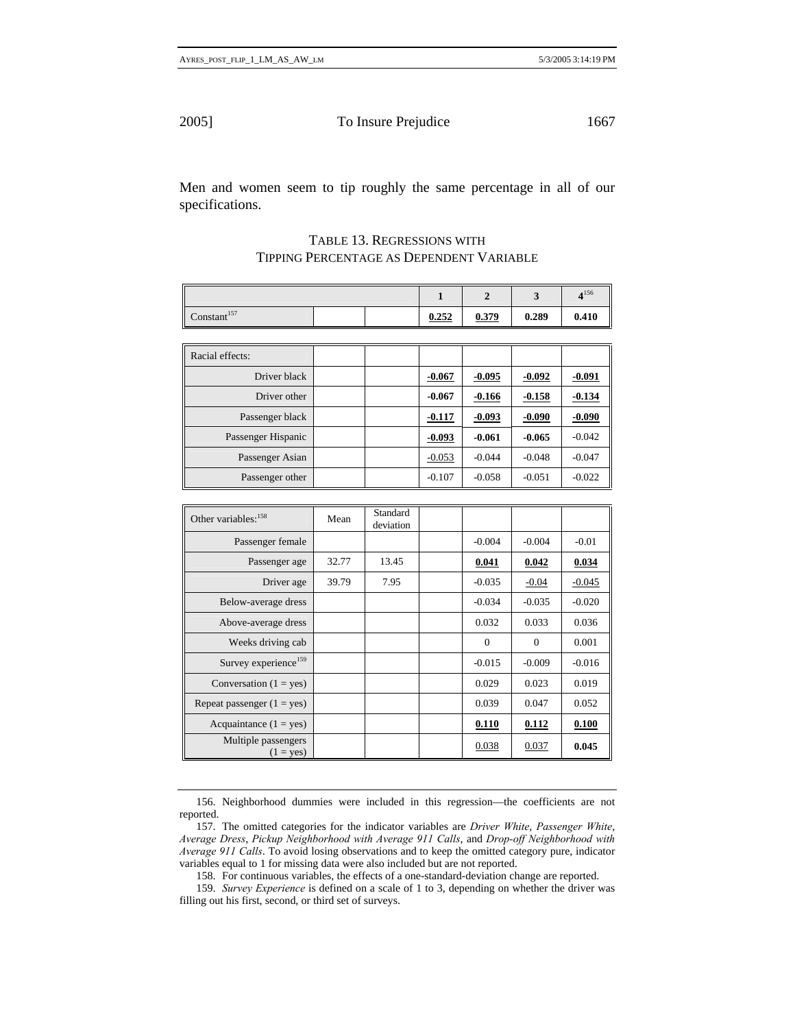Men and women seem to tip roughly the same percentage in all of our specifications.

|                                    |       |                       | $\mathbf{1}$ | $\mathbf{2}$ | 3        | $4^{156}$ |  |  |
|------------------------------------|-------|-----------------------|--------------|--------------|----------|-----------|--|--|
| Constant <sup>157</sup>            |       |                       | 0.252        | 0.379        | 0.289    | 0.410     |  |  |
|                                    |       |                       |              |              |          |           |  |  |
| Racial effects:                    |       |                       |              |              |          |           |  |  |
| Driver black                       |       |                       | $-0.067$     | $-0.095$     | $-0.092$ | $-0.091$  |  |  |
| Driver other                       |       |                       | $-0.067$     | $-0.166$     | $-0.158$ | $-0.134$  |  |  |
| Passenger black                    |       |                       | $-0.117$     | $-0.093$     | $-0.090$ | $-0.090$  |  |  |
| Passenger Hispanic                 |       |                       | $-0.093$     | $-0.061$     | $-0.065$ | $-0.042$  |  |  |
| Passenger Asian                    |       |                       | $-0.053$     | $-0.044$     | $-0.048$ | $-0.047$  |  |  |
| Passenger other                    |       |                       | $-0.107$     | $-0.058$     | $-0.051$ | $-0.022$  |  |  |
|                                    |       |                       |              |              |          |           |  |  |
| Other variables: <sup>158</sup>    | Mean  | Standard<br>deviation |              |              |          |           |  |  |
| Passenger female                   |       |                       |              | $-0.004$     | $-0.004$ | $-0.01$   |  |  |
| Passenger age                      | 32.77 | 13.45                 |              | 0.041        | 0.042    | 0.034     |  |  |
| Driver age                         | 39.79 | 7.95                  |              | $-0.035$     | $-0.04$  | $-0.045$  |  |  |
| Below-average dress                |       |                       |              | $-0.034$     | $-0.035$ | $-0.020$  |  |  |
| Above-average dress                |       |                       |              | 0.032        | 0.033    | 0.036     |  |  |
| Weeks driving cab                  |       |                       |              | $\Omega$     | $\Omega$ | 0.001     |  |  |
| Survey experience <sup>159</sup>   |       |                       |              | $-0.015$     | $-0.009$ | $-0.016$  |  |  |
| Conversation $(1 = yes)$           |       |                       |              | 0.029        | 0.023    | 0.019     |  |  |
| Repeat passenger $(1 = yes)$       |       |                       |              | 0.039        | 0.047    | 0.052     |  |  |
| Acquaintance $(1 = yes)$           |       |                       |              | 0.110        | 0.112    | 0.100     |  |  |
| Multiple passengers<br>$(1 = yes)$ |       |                       |              | 0.038        | 0.037    | 0.045     |  |  |

# TABLE 13. REGRESSIONS WITH TIPPING PERCENTAGE AS DEPENDENT VARIABLE

156. Neighborhood dummies were included in this regression—the coefficients are not reported.

158. For continuous variables, the effects of a one-standard-deviation change are reported.

159. *Survey Experience* is defined on a scale of 1 to 3, depending on whether the driver was filling out his first, second, or third set of surveys.

<sup>157.</sup> The omitted categories for the indicator variables are *Driver White*, *Passenger White*, *Average Dress*, *Pickup Neighborhood with Average 911 Calls*, and *Drop-off Neighborhood with Average 911 Calls*. To avoid losing observations and to keep the omitted category pure, indicator variables equal to 1 for missing data were also included but are not reported.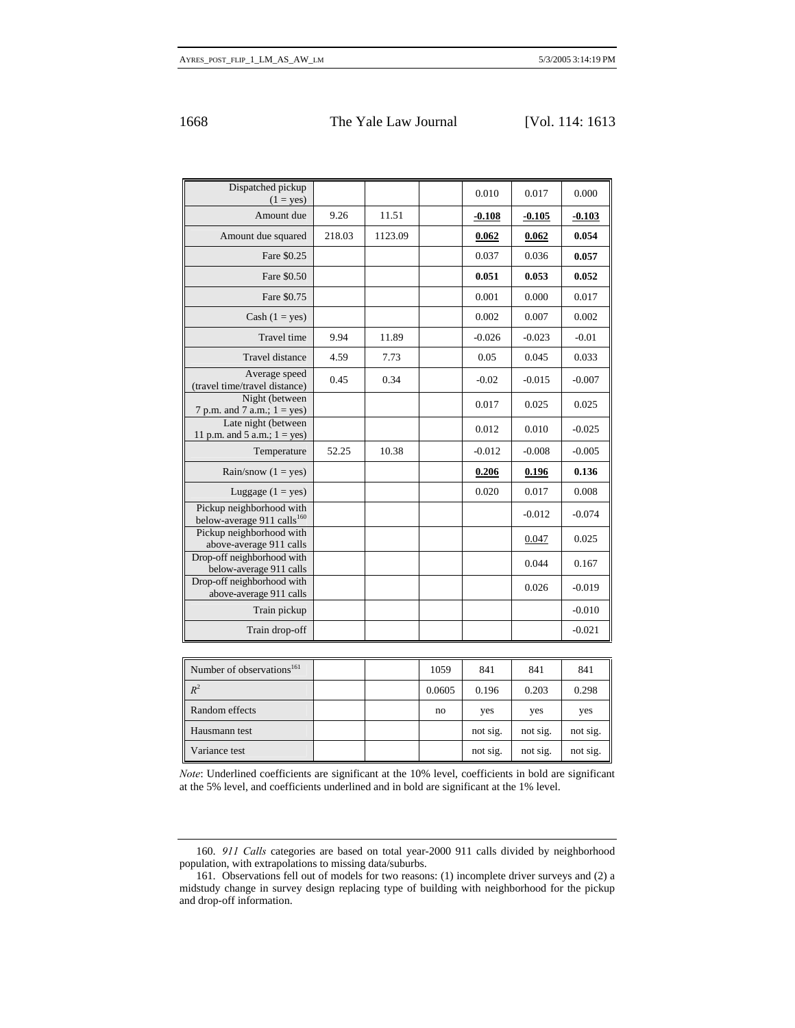| Dispatched pickup<br>$(1 = yes)$                                   |        |         |        | 0.010    | 0.017    | 0.000    |
|--------------------------------------------------------------------|--------|---------|--------|----------|----------|----------|
| Amount due                                                         | 9.26   | 11.51   |        | $-0.108$ | $-0.105$ | $-0.103$ |
| Amount due squared                                                 | 218.03 | 1123.09 |        | 0.062    | 0.062    | 0.054    |
| Fare \$0.25                                                        |        |         |        | 0.037    | 0.036    | 0.057    |
| Fare \$0.50                                                        |        |         |        | 0.051    | 0.053    | 0.052    |
| Fare \$0.75                                                        |        |         |        | 0.001    | 0.000    | 0.017    |
| Cash $(1 = yes)$                                                   |        |         |        | 0.002    | 0.007    | 0.002    |
| Travel time                                                        | 9.94   | 11.89   |        | $-0.026$ | $-0.023$ | $-0.01$  |
| <b>Travel</b> distance                                             | 4.59   | 7.73    |        | 0.05     | 0.045    | 0.033    |
| Average speed<br>(travel time/travel distance)                     | 0.45   | 0.34    |        | $-0.02$  | $-0.015$ | $-0.007$ |
| Night (between<br>7 p.m. and 7 a.m.; $1 = yes$ )                   |        |         |        | 0.017    | 0.025    | 0.025    |
| Late night (between<br>11 p.m. and 5 a.m.; $1 = yes$ )             |        |         |        | 0.012    | 0.010    | $-0.025$ |
| Temperature                                                        | 52.25  | 10.38   |        | $-0.012$ | $-0.008$ | $-0.005$ |
| Rain/snow $(1 = yes)$                                              |        |         |        | 0.206    | 0.196    | 0.136    |
| Luggage $(1 = yes)$                                                |        |         |        | 0.020    | 0.017    | 0.008    |
| Pickup neighborhood with<br>below-average 911 calls <sup>160</sup> |        |         |        |          | $-0.012$ | $-0.074$ |
| Pickup neighborhood with<br>above-average 911 calls                |        |         |        |          | 0.047    | 0.025    |
| Drop-off neighborhood with<br>below-average 911 calls              |        |         |        |          | 0.044    | 0.167    |
| Drop-off neighborhood with<br>above-average 911 calls              |        |         |        |          | 0.026    | $-0.019$ |
| Train pickup                                                       |        |         |        |          |          | $-0.010$ |
| Train drop-off                                                     |        |         |        |          |          | $-0.021$ |
|                                                                    |        |         |        |          |          |          |
| Number of observations <sup>161</sup>                              |        |         | 1059   | 841      | 841      | 841      |
| $R^2$                                                              |        |         | 0.0605 | 0.196    | 0.203    | 0.298    |
| Random effects                                                     |        |         | no     | yes      | yes      | yes      |
| Hausmann test                                                      |        |         |        | not sig. | not sig. | not sig. |
| Variance test                                                      |        |         |        | not sig. | not sig. | not sig. |

*Note*: Underlined coefficients are significant at the 10% level, coefficients in bold are significant at the 5% level, and coefficients underlined and in bold are significant at the 1% level.

<sup>160.</sup> *911 Calls* categories are based on total year-2000 911 calls divided by neighborhood population, with extrapolations to missing data/suburbs.

<sup>161.</sup> Observations fell out of models for two reasons: (1) incomplete driver surveys and (2) a midstudy change in survey design replacing type of building with neighborhood for the pickup and drop-off information.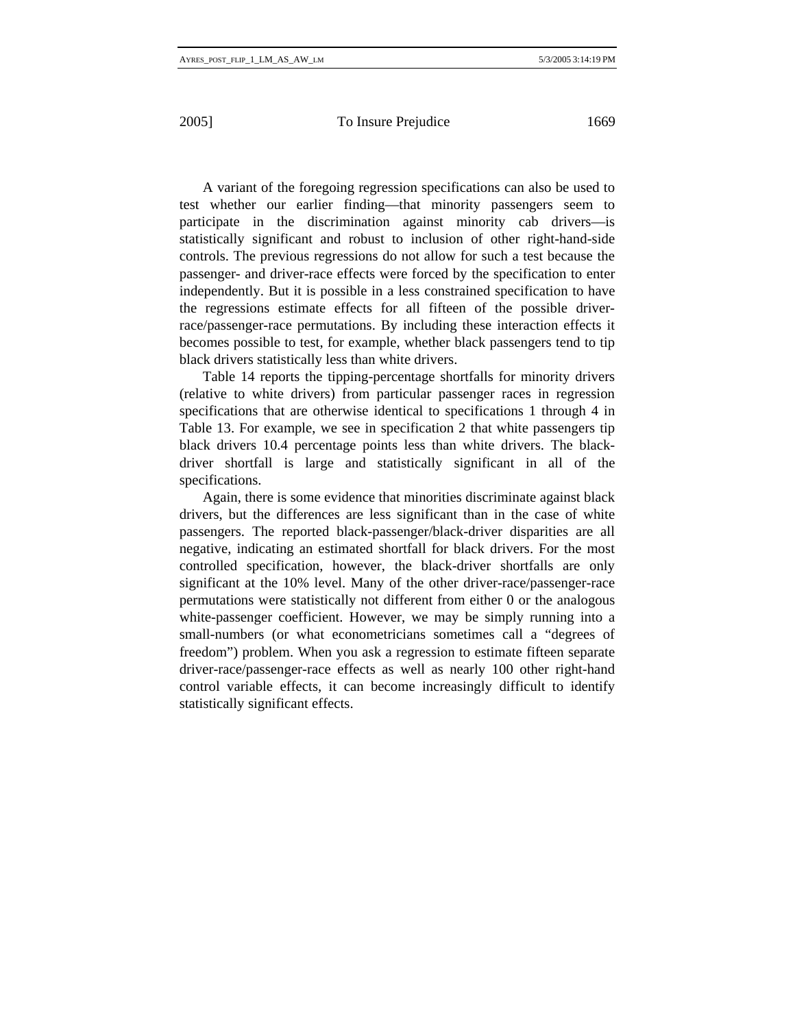A variant of the foregoing regression specifications can also be used to test whether our earlier finding—that minority passengers seem to participate in the discrimination against minority cab drivers—is statistically significant and robust to inclusion of other right-hand-side controls. The previous regressions do not allow for such a test because the passenger- and driver-race effects were forced by the specification to enter independently. But it is possible in a less constrained specification to have the regressions estimate effects for all fifteen of the possible driverrace/passenger-race permutations. By including these interaction effects it becomes possible to test, for example, whether black passengers tend to tip black drivers statistically less than white drivers.

Table 14 reports the tipping-percentage shortfalls for minority drivers (relative to white drivers) from particular passenger races in regression specifications that are otherwise identical to specifications 1 through 4 in Table 13. For example, we see in specification 2 that white passengers tip black drivers 10.4 percentage points less than white drivers. The blackdriver shortfall is large and statistically significant in all of the specifications.

Again, there is some evidence that minorities discriminate against black drivers, but the differences are less significant than in the case of white passengers. The reported black-passenger/black-driver disparities are all negative, indicating an estimated shortfall for black drivers. For the most controlled specification, however, the black-driver shortfalls are only significant at the 10% level. Many of the other driver-race/passenger-race permutations were statistically not different from either 0 or the analogous white-passenger coefficient. However, we may be simply running into a small-numbers (or what econometricians sometimes call a "degrees of freedom") problem. When you ask a regression to estimate fifteen separate driver-race/passenger-race effects as well as nearly 100 other right-hand control variable effects, it can become increasingly difficult to identify statistically significant effects.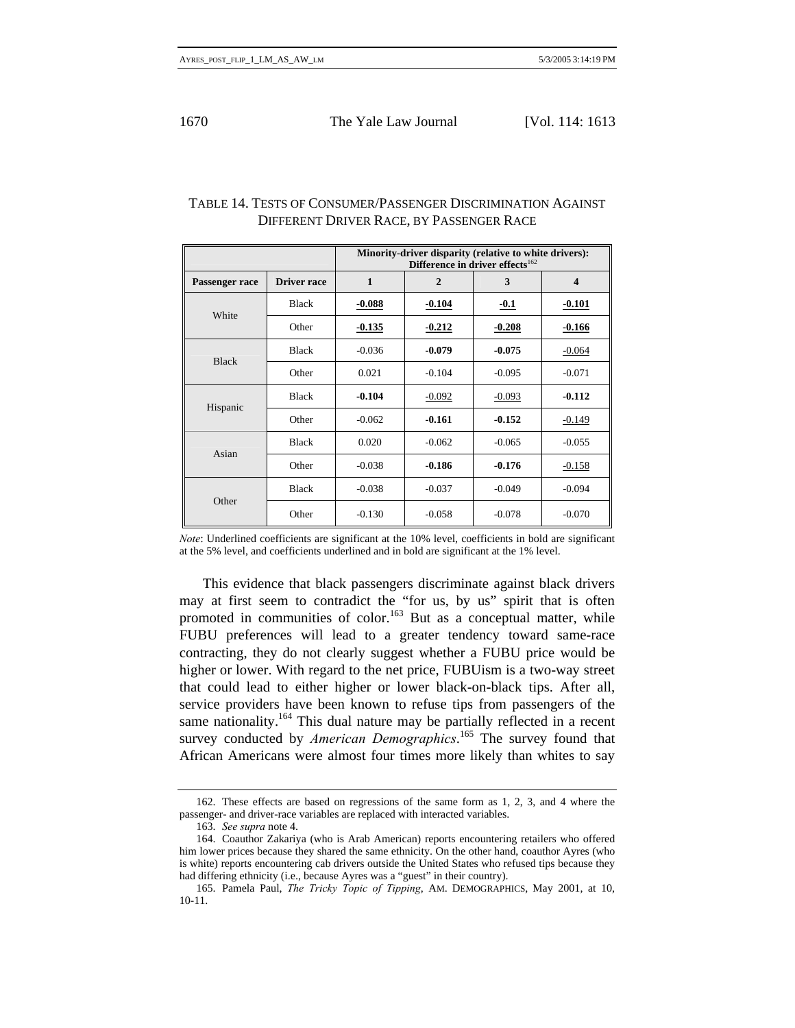|                |                    | Minority-driver disparity (relative to white drivers):<br>Difference in driver effects <sup>162</sup> |                |             |                  |  |  |
|----------------|--------------------|-------------------------------------------------------------------------------------------------------|----------------|-------------|------------------|--|--|
| Passenger race | <b>Driver race</b> | $\mathbf{1}$                                                                                          | $\overline{2}$ | 3           | $\boldsymbol{4}$ |  |  |
| White          | <b>Black</b>       | $-0.088$                                                                                              | $-0.104$       | <u>-0.1</u> | <u>-0.101</u>    |  |  |
|                | Other              | $-0.135$                                                                                              | <u>-0.212</u>  | $-0.208$    | $-0.166$         |  |  |
| <b>Black</b>   | <b>Black</b>       | $-0.036$                                                                                              | $-0.079$       | $-0.075$    | $-0.064$         |  |  |
|                | Other              | 0.021                                                                                                 | $-0.104$       | $-0.095$    | $-0.071$         |  |  |
| Hispanic       | Black              | $-0.104$                                                                                              | $-0.092$       | $-0.093$    | $-0.112$         |  |  |
|                | Other              | $-0.062$                                                                                              | $-0.161$       | $-0.152$    | $-0.149$         |  |  |
|                | <b>Black</b>       | 0.020                                                                                                 | $-0.062$       | $-0.065$    | $-0.055$         |  |  |
| Asian          | Other              | $-0.038$                                                                                              | $-0.186$       | $-0.176$    | $-0.158$         |  |  |
|                | <b>Black</b>       | $-0.038$                                                                                              | $-0.037$       | $-0.049$    | $-0.094$         |  |  |
| Other          | Other              | $-0.130$                                                                                              | $-0.058$       | $-0.078$    | $-0.070$         |  |  |

# TABLE 14. TESTS OF CONSUMER/PASSENGER DISCRIMINATION AGAINST DIFFERENT DRIVER RACE, BY PASSENGER RACE

*Note*: Underlined coefficients are significant at the 10% level, coefficients in bold are significant at the 5% level, and coefficients underlined and in bold are significant at the 1% level.

This evidence that black passengers discriminate against black drivers may at first seem to contradict the "for us, by us" spirit that is often promoted in communities of color.<sup>163</sup> But as a conceptual matter, while FUBU preferences will lead to a greater tendency toward same-race contracting, they do not clearly suggest whether a FUBU price would be higher or lower. With regard to the net price, FUBUism is a two-way street that could lead to either higher or lower black-on-black tips. After all, service providers have been known to refuse tips from passengers of the same nationality.<sup>164</sup> This dual nature may be partially reflected in a recent survey conducted by *American Demographics*. 165 The survey found that African Americans were almost four times more likely than whites to say

<sup>162.</sup> These effects are based on regressions of the same form as 1, 2, 3, and 4 where the passenger- and driver-race variables are replaced with interacted variables.

<sup>163.</sup> *See supra* note 4.

<sup>164.</sup> Coauthor Zakariya (who is Arab American) reports encountering retailers who offered him lower prices because they shared the same ethnicity. On the other hand, coauthor Ayres (who is white) reports encountering cab drivers outside the United States who refused tips because they had differing ethnicity (i.e., because Ayres was a "guest" in their country).

<sup>165.</sup> Pamela Paul, *The Tricky Topic of Tipping*, AM. DEMOGRAPHICS, May 2001, at 10, 10-11.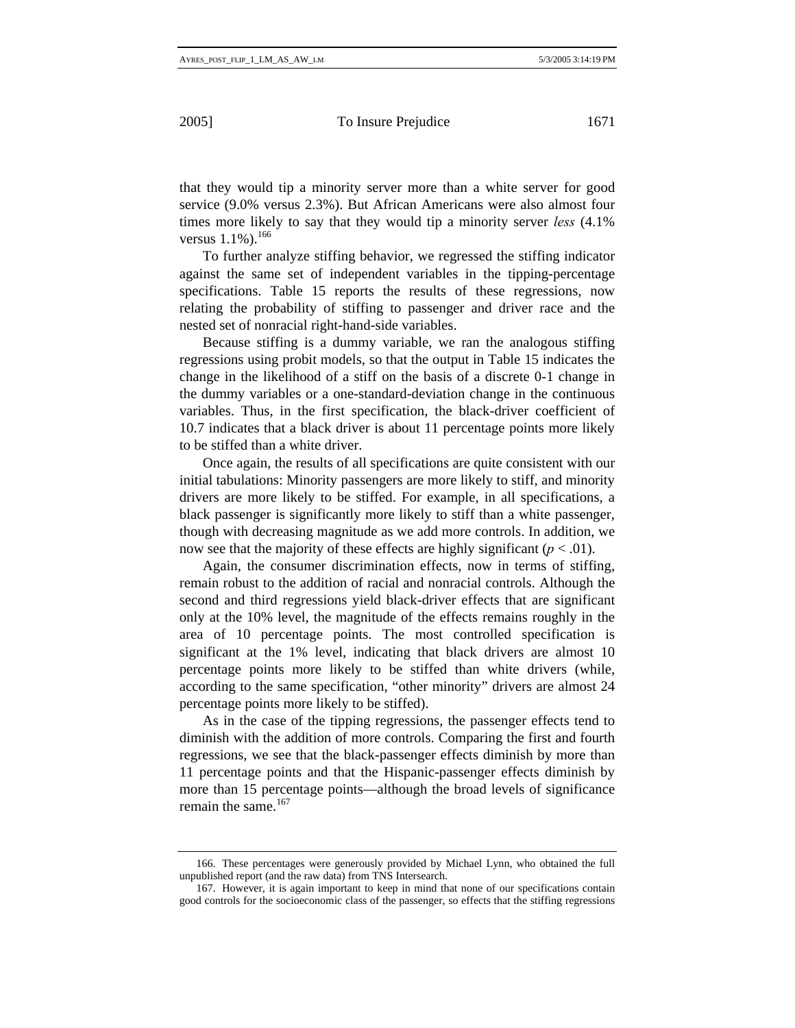that they would tip a minority server more than a white server for good service (9.0% versus 2.3%). But African Americans were also almost four times more likely to say that they would tip a minority server *less* (4.1% versus  $1.1\%$ ).<sup>166</sup>

To further analyze stiffing behavior, we regressed the stiffing indicator against the same set of independent variables in the tipping-percentage specifications. Table 15 reports the results of these regressions, now relating the probability of stiffing to passenger and driver race and the nested set of nonracial right-hand-side variables.

Because stiffing is a dummy variable, we ran the analogous stiffing regressions using probit models, so that the output in Table 15 indicates the change in the likelihood of a stiff on the basis of a discrete 0-1 change in the dummy variables or a one-standard-deviation change in the continuous variables. Thus, in the first specification, the black-driver coefficient of 10.7 indicates that a black driver is about 11 percentage points more likely to be stiffed than a white driver.

Once again, the results of all specifications are quite consistent with our initial tabulations: Minority passengers are more likely to stiff, and minority drivers are more likely to be stiffed. For example, in all specifications, a black passenger is significantly more likely to stiff than a white passenger, though with decreasing magnitude as we add more controls. In addition, we now see that the majority of these effects are highly significant  $(p < .01)$ .

Again, the consumer discrimination effects, now in terms of stiffing, remain robust to the addition of racial and nonracial controls. Although the second and third regressions yield black-driver effects that are significant only at the 10% level, the magnitude of the effects remains roughly in the area of 10 percentage points. The most controlled specification is significant at the 1% level, indicating that black drivers are almost 10 percentage points more likely to be stiffed than white drivers (while, according to the same specification, "other minority" drivers are almost 24 percentage points more likely to be stiffed).

As in the case of the tipping regressions, the passenger effects tend to diminish with the addition of more controls. Comparing the first and fourth regressions, we see that the black-passenger effects diminish by more than 11 percentage points and that the Hispanic-passenger effects diminish by more than 15 percentage points—although the broad levels of significance remain the same. $167$ 

<sup>166.</sup> These percentages were generously provided by Michael Lynn, who obtained the full unpublished report (and the raw data) from TNS Intersearch.

<sup>167.</sup> However, it is again important to keep in mind that none of our specifications contain good controls for the socioeconomic class of the passenger, so effects that the stiffing regressions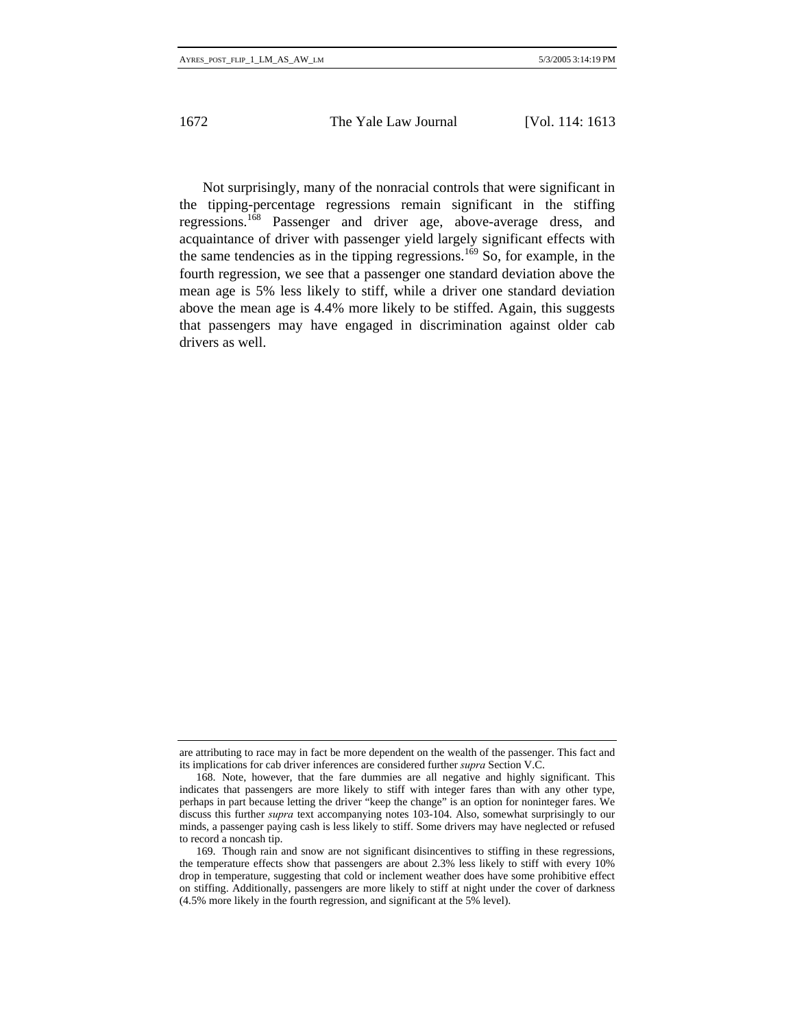Not surprisingly, many of the nonracial controls that were significant in the tipping-percentage regressions remain significant in the stiffing regressions.168 Passenger and driver age, above-average dress, and acquaintance of driver with passenger yield largely significant effects with the same tendencies as in the tipping regressions.<sup>169</sup> So, for example, in the fourth regression, we see that a passenger one standard deviation above the mean age is 5% less likely to stiff, while a driver one standard deviation above the mean age is 4.4% more likely to be stiffed. Again, this suggests that passengers may have engaged in discrimination against older cab drivers as well.

are attributing to race may in fact be more dependent on the wealth of the passenger. This fact and its implications for cab driver inferences are considered further *supra* Section V.C.

<sup>168.</sup> Note, however, that the fare dummies are all negative and highly significant. This indicates that passengers are more likely to stiff with integer fares than with any other type, perhaps in part because letting the driver "keep the change" is an option for noninteger fares. We discuss this further *supra* text accompanying notes 103-104. Also, somewhat surprisingly to our minds, a passenger paying cash is less likely to stiff. Some drivers may have neglected or refused to record a noncash tip.

<sup>169.</sup> Though rain and snow are not significant disincentives to stiffing in these regressions, the temperature effects show that passengers are about 2.3% less likely to stiff with every 10% drop in temperature, suggesting that cold or inclement weather does have some prohibitive effect on stiffing. Additionally, passengers are more likely to stiff at night under the cover of darkness (4.5% more likely in the fourth regression, and significant at the 5% level).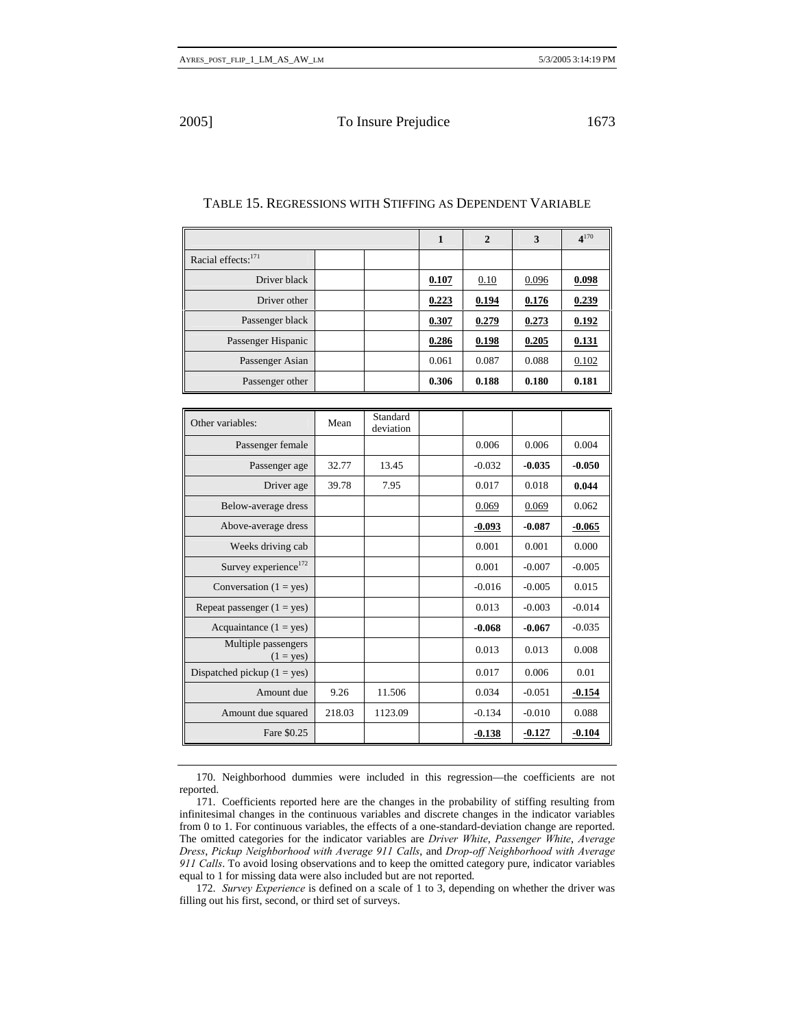|                                |  | 1     | $\mathbf{2}$ | 3     | $4^{170}$ |
|--------------------------------|--|-------|--------------|-------|-----------|
| Racial effects: <sup>171</sup> |  |       |              |       |           |
| Driver black                   |  | 0.107 | 0.10         | 0.096 | 0.098     |
| Driver other                   |  | 0.223 | 0.194        | 0.176 | 0.239     |
| Passenger black                |  | 0.307 | 0.279        | 0.273 | 0.192     |
| Passenger Hispanic             |  | 0.286 | 0.198        | 0.205 | 0.131     |
| Passenger Asian                |  | 0.061 | 0.087        | 0.088 | 0.102     |
| Passenger other                |  | 0.306 | 0.188        | 0.180 | 0.181     |

#### TABLE 15. REGRESSIONS WITH STIFFING AS DEPENDENT VARIABLE

| Other variables:                   | Mean   | Standard<br>deviation |          |          |          |
|------------------------------------|--------|-----------------------|----------|----------|----------|
| Passenger female                   |        |                       | 0.006    | 0.006    | 0.004    |
| Passenger age                      | 32.77  | 13.45                 | $-0.032$ | $-0.035$ | $-0.050$ |
| Driver age                         | 39.78  | 7.95                  | 0.017    | 0.018    | 0.044    |
| Below-average dress                |        |                       | 0.069    | 0.069    | 0.062    |
| Above-average dress                |        |                       | $-0.093$ | $-0.087$ | $-0.065$ |
| Weeks driving cab                  |        |                       | 0.001    | 0.001    | 0.000    |
| Survey experience <sup>172</sup>   |        |                       | 0.001    | $-0.007$ | $-0.005$ |
| Conversation $(1 = yes)$           |        |                       | $-0.016$ | $-0.005$ | 0.015    |
| Repeat passenger $(1 = yes)$       |        |                       | 0.013    | $-0.003$ | $-0.014$ |
| Acquaintance $(1 = yes)$           |        |                       | $-0.068$ | $-0.067$ | $-0.035$ |
| Multiple passengers<br>$(1 = yes)$ |        |                       | 0.013    | 0.013    | 0.008    |
| Dispatched pickup $(1 = yes)$      |        |                       | 0.017    | 0.006    | 0.01     |
| Amount due                         | 9.26   | 11.506                | 0.034    | $-0.051$ | $-0.154$ |
| Amount due squared                 | 218.03 | 1123.09               | $-0.134$ | $-0.010$ | 0.088    |
| Fare \$0.25                        |        |                       | $-0.138$ | $-0.127$ | $-0.104$ |

170. Neighborhood dummies were included in this regression—the coefficients are not reported.

172. *Survey Experience* is defined on a scale of 1 to 3, depending on whether the driver was filling out his first, second, or third set of surveys.

<sup>171.</sup> Coefficients reported here are the changes in the probability of stiffing resulting from infinitesimal changes in the continuous variables and discrete changes in the indicator variables from 0 to 1. For continuous variables, the effects of a one-standard-deviation change are reported. The omitted categories for the indicator variables are *Driver White*, *Passenger White*, *Average Dress*, *Pickup Neighborhood with Average 911 Calls*, and *Drop-off Neighborhood with Average 911 Calls*. To avoid losing observations and to keep the omitted category pure, indicator variables equal to 1 for missing data were also included but are not reported.